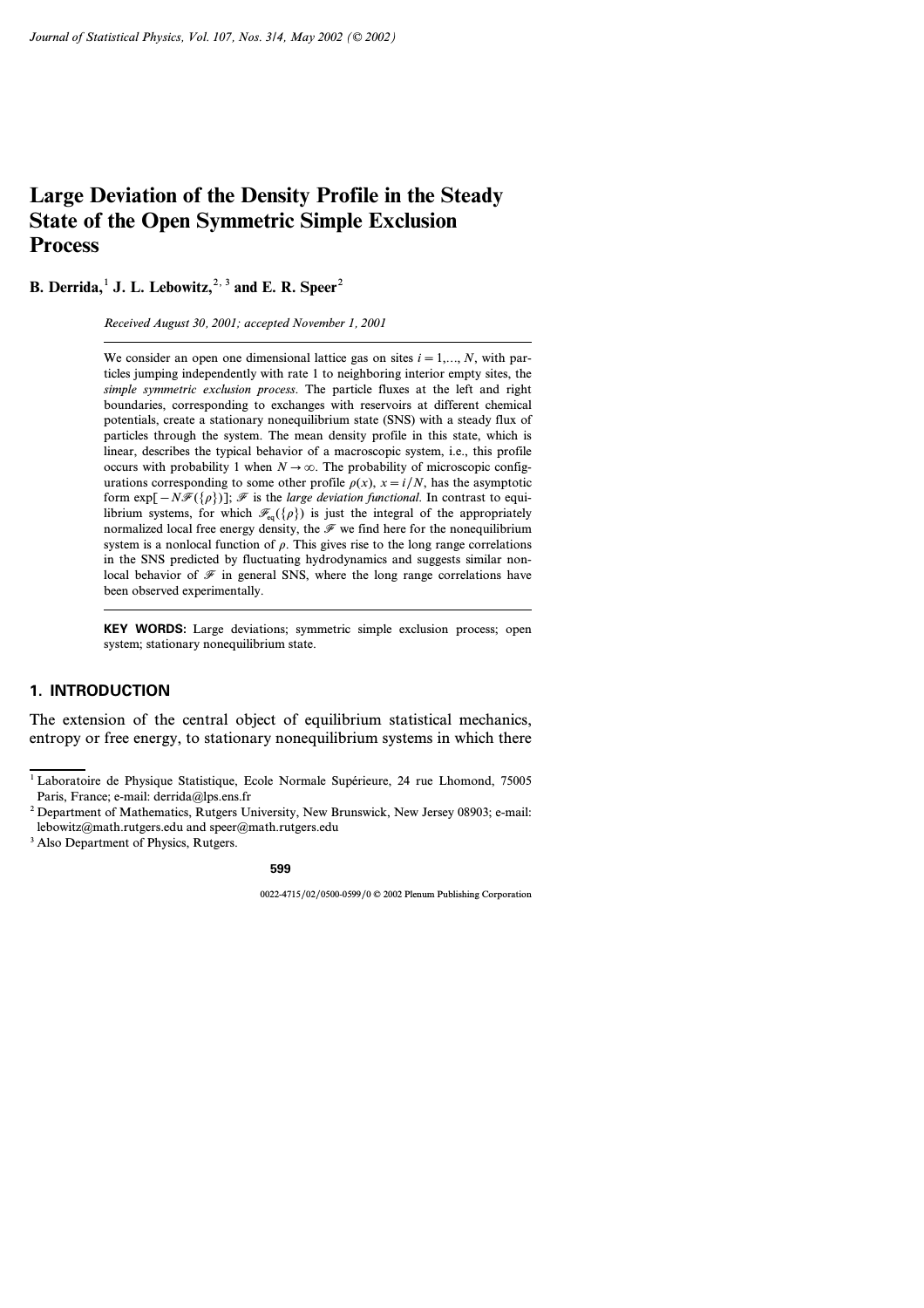# **Large Deviation of the Density Profile in the Steady State of the Open Symmetric Simple Exclusion Process**

**B.** Derrida,<sup>1</sup> J. L. Lebowitz,<sup>2, 3</sup> and E. R. Speer<sup>2</sup>

*Received August 30, 2001; accepted November 1, 2001*

We consider an open one dimensional lattice gas on sites  $i=1,\ldots,N$ , with particles jumping independently with rate *1* to neighboring interior empty sites, the *simple symmetric exclusion process*. The particle fluxes at the left and right boundaries, corresponding to exchanges with reservoirs at different chemical potentials, create a stationary nonequilibrium state (SNS) with a steady flux of particles through the system. The mean density profile in this state, which is linear, describes the typical behavior of a macroscopic system, i.e., this profile occurs with probability 1 when  $N \to \infty$ . The probability of microscopic configurations corresponding to some other profile  $\rho(x)$ ,  $x = i/N$ , has the asymptotic form exp*[−N*F*({r})]*; F is the *large deviation functional*. In contrast to equilibrium systems, for which  $\mathcal{F}_{eq}({\rho})$  is just the integral of the appropriately normalized local free energy density, the  $\mathcal F$  we find here for the nonequilibrium system is a nonlocal function of  $\rho$ . This gives rise to the long range correlations in the SNS predicted by fluctuating hydrodynamics and suggests similar nonlocal behavior of  $\mathcal F$  in general SNS, where the long range correlations have been observed experimentally.

**KEY WORDS:** Large deviations; symmetric simple exclusion process; open system; stationary nonequilibrium state.

# **1. INTRODUCTION**

The extension of the central object of equilibrium statistical mechanics, entropy or free energy, to stationary nonequilibrium systems in which there

<sup>1</sup> Laboratoire de Physique Statistique, Ecole Normale Supérieure, 24 rue Lhomond, 75005 Paris, France; e-mail: derrida@lps.ens.fr

<sup>2</sup> Department of Mathematics, Rutgers University, New Brunswick, New Jersey 08903; e-mail: lebowitz@math.rutgers.edu and speer@math.rutgers.edu

<sup>&</sup>lt;sup>3</sup> Also Department of Physics, Rutgers.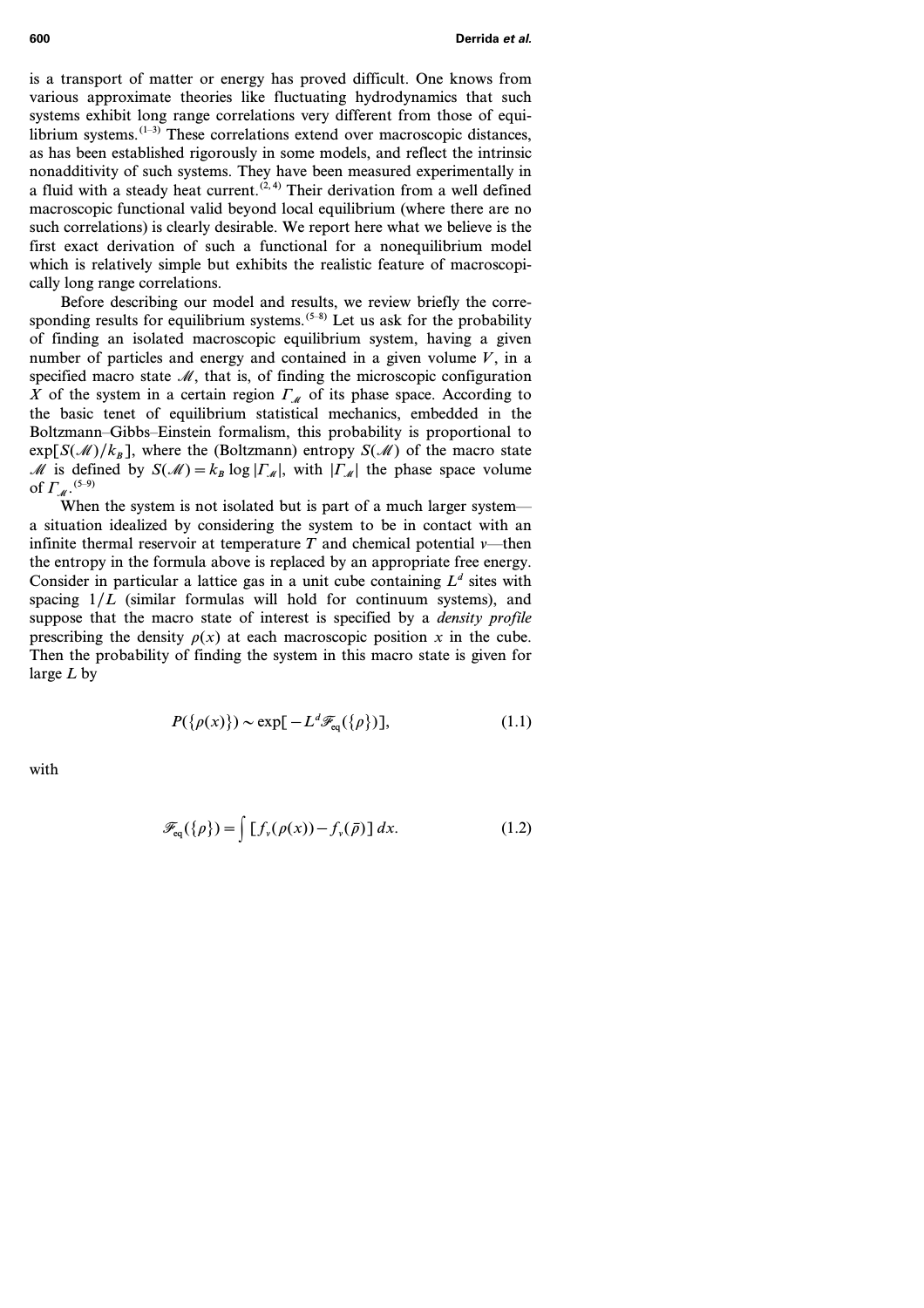is a transport of matter or energy has proved difficult. One knows from various approximate theories like fluctuating hydrodynamics that such systems exhibit long range correlations very different from those of equilibrium systems. $(1-3)$  These correlations extend over macroscopic distances, as has been established rigorously in some models, and reflect the intrinsic nonadditivity of such systems. They have been measured experimentally in a fluid with a steady heat current.<sup> $(2, 4)$ </sup> Their derivation from a well defined macroscopic functional valid beyond local equilibrium (where there are no such correlations) is clearly desirable. We report here what we believe is the first exact derivation of such a functional for a nonequilibrium model which is relatively simple but exhibits the realistic feature of macroscopically long range correlations.

Before describing our model and results, we review briefly the corresponding results for equilibrium systems.<sup> $(5-8)$ </sup> Let us ask for the probability of finding an isolated macroscopic equilibrium system, having a given number of particles and energy and contained in a given volume  $V$ , in a specified macro state  $M$ , that is, of finding the microscopic configuration X of the system in a certain region  $\Gamma_M$  of its phase space. According to the basic tenet of equilibrium statistical mechanics, embedded in the Boltzmann–Gibbs–Einstein formalism, this probability is proportional to  $\exp[S(\mathcal{M})/k_B]$ , where the (Boltzmann) entropy  $S(\mathcal{M})$  of the macro state M is defined by  $S(\mathcal{M})=k_B \log |\Gamma_{\mathcal{M}}|$ , with  $|\Gamma_{\mathcal{M}}|$  the phase space volume of  $\Gamma_M$ . <sup>(5–9)</sup>

When the system is not isolated but is part of a much larger system a situation idealized by considering the system to be in contact with an infinite thermal reservoir at temperature  $T$  and chemical potential  $\nu$ —then the entropy in the formula above is replaced by an appropriate free energy. Consider in particular a lattice gas in a unit cube containing  $L^d$  sites with spacing  $1/L$  (similar formulas will hold for continuum systems), and suppose that the macro state of interest is specified by a *density profile* prescribing the density  $\rho(x)$  at each macroscopic position x in the cube. Then the probability of finding the system in this macro state is given for large *L* by

$$
P(\{\rho(x)\}) \sim \exp[-L^d \mathcal{F}_{eq}(\{\rho\})],\tag{1.1}
$$

with

$$
\mathscr{F}_{\text{eq}}(\{\rho\}) = \int [f_{\nu}(\rho(x)) - f_{\nu}(\bar{\rho})] dx. \tag{1.2}
$$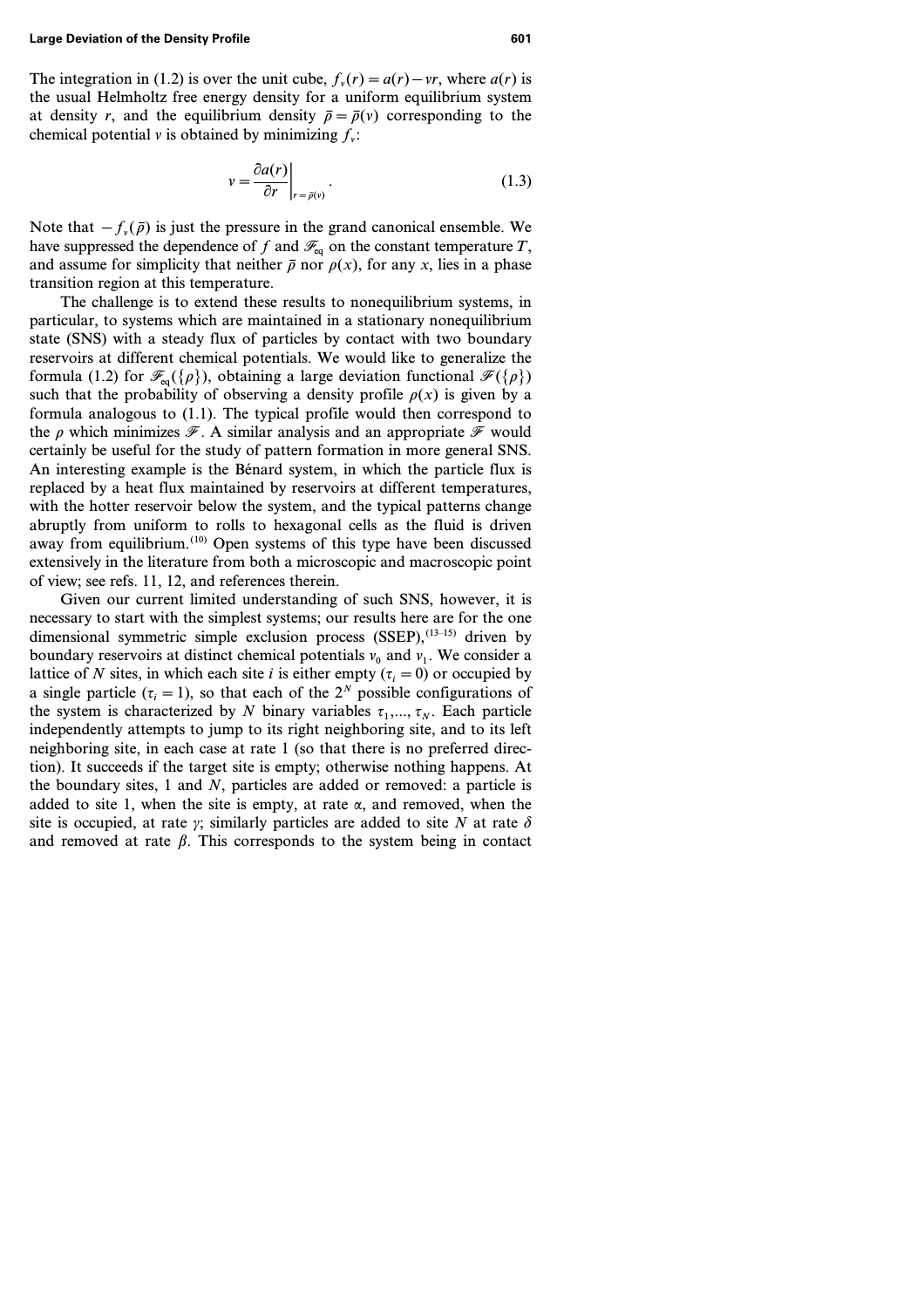The integration in (1.2) is over the unit cube,  $f_n(r) = a(r) - \nu r$ , where  $a(r)$  is the usual Helmholtz free energy density for a uniform equilibrium system at density *r*, and the equilibrium density  $\bar{\rho} = \bar{\rho}(v)$  corresponding to the chemical potential  $\nu$  is obtained by minimizing  $f_n$ :

$$
v = \frac{\partial a(r)}{\partial r}\bigg|_{r = \bar{\rho}(v)}.\tag{1.3}
$$

Note that  $-f_{\nu}(\bar{\rho})$  is just the pressure in the grand canonical ensemble. We have suppressed the dependence of  $f$  and  $\mathcal{F}_{eq}$  on the constant temperature  $T$ , and assume for simplicity that neither  $\bar{\rho}$  nor  $\rho(x)$ , for any *x*, lies in a phase transition region at this temperature.

The challenge is to extend these results to nonequilibrium systems, in particular, to systems which are maintained in a stationary nonequilibrium state (SNS) with a steady flux of particles by contact with two boundary reservoirs at different chemical potentials. We would like to generalize the formula (1.2) for  $\mathcal{F}_{eq}({\rho})$ , obtaining a large deviation functional  $\mathcal{F}({\rho})$ such that the probability of observing a density profile  $\rho(x)$  is given by a formula analogous to (1.1). The typical profile would then correspond to the  $\rho$  which minimizes  $\mathscr F$ . A similar analysis and an appropriate  $\mathscr F$  would certainly be useful for the study of pattern formation in more general SNS. An interesting example is the Bénard system, in which the particle flux is replaced by a heat flux maintained by reservoirs at different temperatures, with the hotter reservoir below the system, and the typical patterns change abruptly from uniform to rolls to hexagonal cells as the fluid is driven away from equilibrium.<sup>(10)</sup> Open systems of this type have been discussed extensively in the literature from both a microscopic and macroscopic point of view; see refs. 11, 12, and references therein.

Given our current limited understanding of such SNS, however, it is necessary to start with the simplest systems; our results here are for the one dimensional symmetric simple exclusion process  $(SSEP)$ ,  $(13-15)$  driven by boundary reservoirs at distinct chemical potentials  $v_0$  and  $v_1$ . We consider a lattice of *N* sites, in which each site *i* is either empty ( $\tau$ <sup>*i*</sup> = 0) or occupied by a single particle  $(\tau_i = 1)$ , so that each of the  $2^N$  possible configurations of the system is characterized by *N* binary variables  $\tau_1, \ldots, \tau_N$ . Each particle independently attempts to jump to its right neighboring site, and to its left neighboring site, in each case at rate *1* (so that there is no preferred direction). It succeeds if the target site is empty; otherwise nothing happens. At the boundary sites, *1* and *N*, particles are added or removed: a particle is added to site 1, when the site is empty, at rate  $\alpha$ , and removed, when the site is occupied, at rate  $\gamma$ ; similarly particles are added to site N at rate  $\delta$ and removed at rate  $\beta$ . This corresponds to the system being in contact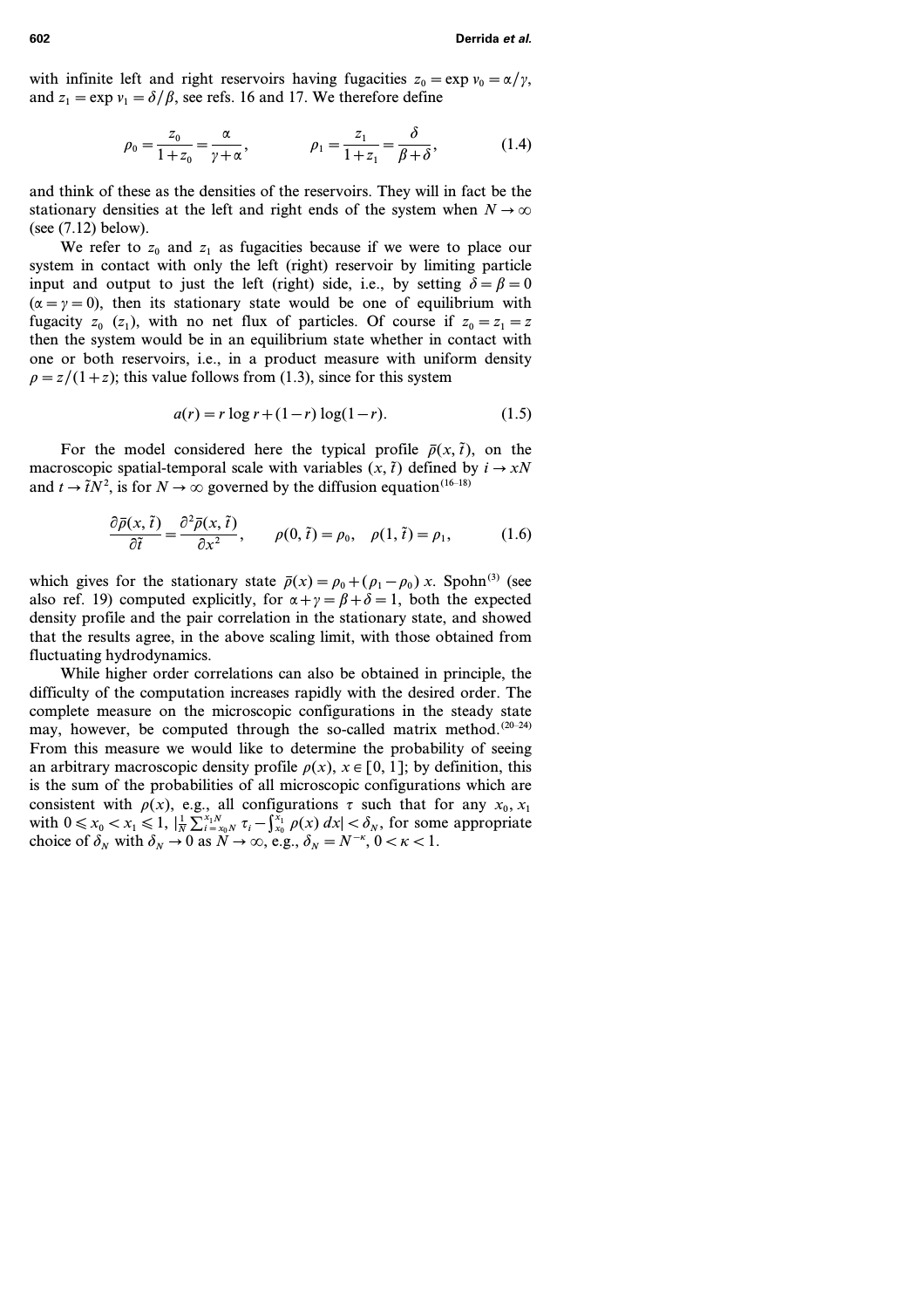with infinite left and right reservoirs having fugacities  $z_0 = \exp v_0 = \alpha/\gamma$ , and  $z_1 = \exp v_1 = \delta/\beta$ , see refs. 16 and 17. We therefore define

$$
\rho_0 = \frac{z_0}{1+z_0} = \frac{\alpha}{\gamma + \alpha}, \qquad \rho_1 = \frac{z_1}{1+z_1} = \frac{\delta}{\beta + \delta}, \qquad (1.4)
$$

and think of these as the densities of the reservoirs. They will in fact be the stationary densities at the left and right ends of the system when  $N \to \infty$ (see (7.12) below).

We refer to  $z_0$  and  $z_1$  as fugacities because if we were to place our system in contact with only the left (right) reservoir by limiting particle input and output to just the left (right) side, i.e., by setting  $\delta = \beta = 0$  $(\alpha = \gamma = 0)$ , then its stationary state would be one of equilibrium with fugacity  $z_0$  ( $z_1$ ), with no net flux of particles. Of course if  $z_0 = z_1 = z$ then the system would be in an equilibrium state whether in contact with one or both reservoirs, i.e., in a product measure with uniform density  $\rho = z/(1+z)$ ; this value follows from (1.3), since for this system

$$
a(r) = r \log r + (1 - r) \log(1 - r).
$$
 (1.5)

For the model considered here the typical profile  $\bar{p}(x, \tilde{t})$ , on the macroscopic spatial-temporal scale with variables  $(x, \tilde{t})$  defined by  $i \rightarrow xN$ and  $t \to \tilde{t}N^2$ , is for  $N \to \infty$  governed by the diffusion equation<sup>(16–18)</sup>

$$
\frac{\partial \bar{\rho}(x,\tilde{t})}{\partial \tilde{t}} = \frac{\partial^2 \bar{\rho}(x,\tilde{t})}{\partial x^2}, \qquad \rho(0,\tilde{t}) = \rho_0, \quad \rho(1,\tilde{t}) = \rho_1,\tag{1.6}
$$

which gives for the stationary state  $\bar{\rho}(x) = \rho_0 + (\rho_1 - \rho_0) x$ . Spohn<sup>(3)</sup> (see also ref. 19) computed explicitly, for  $\alpha + \gamma = \beta + \delta = 1$ , both the expected density profile and the pair correlation in the stationary state, and showed that the results agree, in the above scaling limit, with those obtained from fluctuating hydrodynamics.

While higher order correlations can also be obtained in principle, the difficulty of the computation increases rapidly with the desired order. The complete measure on the microscopic configurations in the steady state may, however, be computed through the so-called matrix method.<sup>(20-24)</sup> From this measure we would like to determine the probability of seeing an arbitrary macroscopic density profile  $\rho(x)$ ,  $x \in [0, 1]$ ; by definition, this is the sum of the probabilities of all microscopic configurations which are consistent with  $\rho(x)$ , e.g., all configurations  $\tau$  such that for any  $x_0, x_1$ with  $0 \le x_0 < x_1 \le 1$ ,  $|\frac{1}{N} \sum_{i=x_0}^{x_1 N} \tau_i - \int_{x_0}^{x_1} \rho(x) dx| < \delta_N$ , for some appropriate choice of  $\delta_N$  with  $\delta_N \to 0$  as  $N \to \infty$ , e.g.,  $\delta_N = N^{-\kappa}$ ,  $0 < \kappa < 1$ .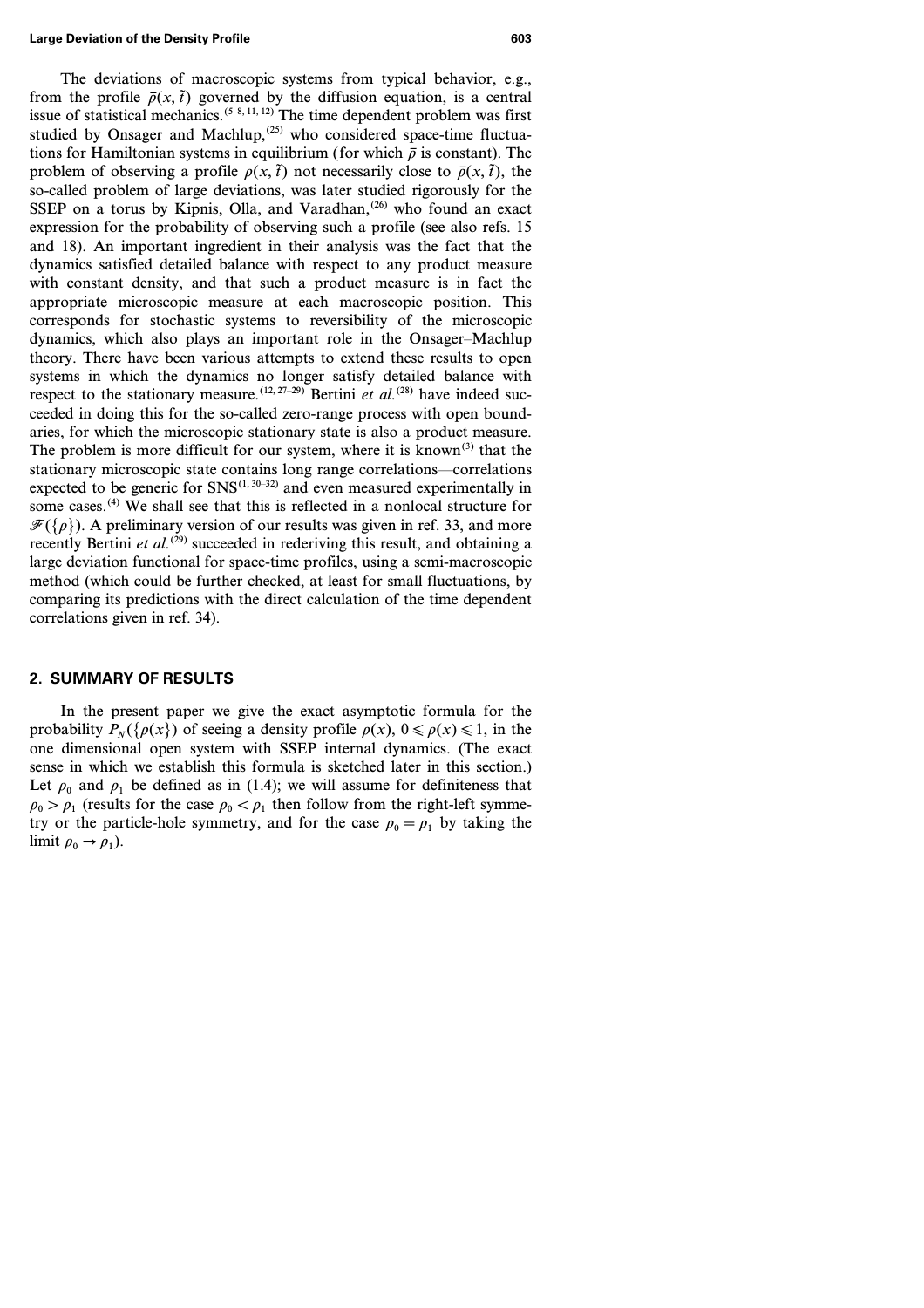The deviations of macroscopic systems from typical behavior, e.g., from the profile  $\bar{p}(x, \tilde{t})$  governed by the diffusion equation, is a central issue of statistical mechanics.<sup> $(5-8, 11, 12)$ </sup> The time dependent problem was first studied by Onsager and Machlup, $(25)$  who considered space-time fluctuations for Hamiltonian systems in equilibrium (for which  $\bar{\rho}$  is constant). The problem of observing a profile  $\rho(x, \tilde{t})$  not necessarily close to  $\bar{\rho}(x, \tilde{t})$ , the so-called problem of large deviations, was later studied rigorously for the SSEP on a torus by Kipnis, Olla, and Varadhan, $(26)$  who found an exact expression for the probability of observing such a profile (see also refs. 15 and 18). An important ingredient in their analysis was the fact that the dynamics satisfied detailed balance with respect to any product measure with constant density, and that such a product measure is in fact the appropriate microscopic measure at each macroscopic position. This corresponds for stochastic systems to reversibility of the microscopic dynamics, which also plays an important role in the Onsager–Machlup theory. There have been various attempts to extend these results to open systems in which the dynamics no longer satisfy detailed balance with respect to the stationary measure.<sup>(12, 27-29)</sup> Bertini *et al*.<sup>(28)</sup> have indeed succeeded in doing this for the so-called zero-range process with open boundaries, for which the microscopic stationary state is also a product measure. The problem is more difficult for our system, where it is known<sup>(3)</sup> that the stationary microscopic state contains long range correlations—correlations expected to be generic for  $SNS^{(1, 30-32)}$  and even measured experimentally in some cases.<sup>(4)</sup> We shall see that this is reflected in a nonlocal structure for  $\mathcal{F}({\rho})$ ). A preliminary version of our results was given in ref. 33, and more recently Bertini *et al.*<sup>(29)</sup> succeeded in rederiving this result, and obtaining a large deviation functional for space-time profiles, using a semi-macroscopic method (which could be further checked, at least for small fluctuations, by comparing its predictions with the direct calculation of the time dependent correlations given in ref. 34).

# **2. SUMMARY OF RESULTS**

In the present paper we give the exact asymptotic formula for the probability  $P_N({\rho(x)})$  of seeing a density profile  $\rho(x)$ ,  $0 \le \rho(x) \le 1$ , in the one dimensional open system with SSEP internal dynamics. (The exact sense in which we establish this formula is sketched later in this section.) Let  $\rho_0$  and  $\rho_1$  be defined as in (1.4); we will assume for definiteness that  $\rho_0 > \rho_1$  (results for the case  $\rho_0 < \rho_1$  then follow from the right-left symmetry or the particle-hole symmetry, and for the case  $\rho_0 = \rho_1$  by taking the limit  $\rho_0 \rightarrow \rho_1$ ).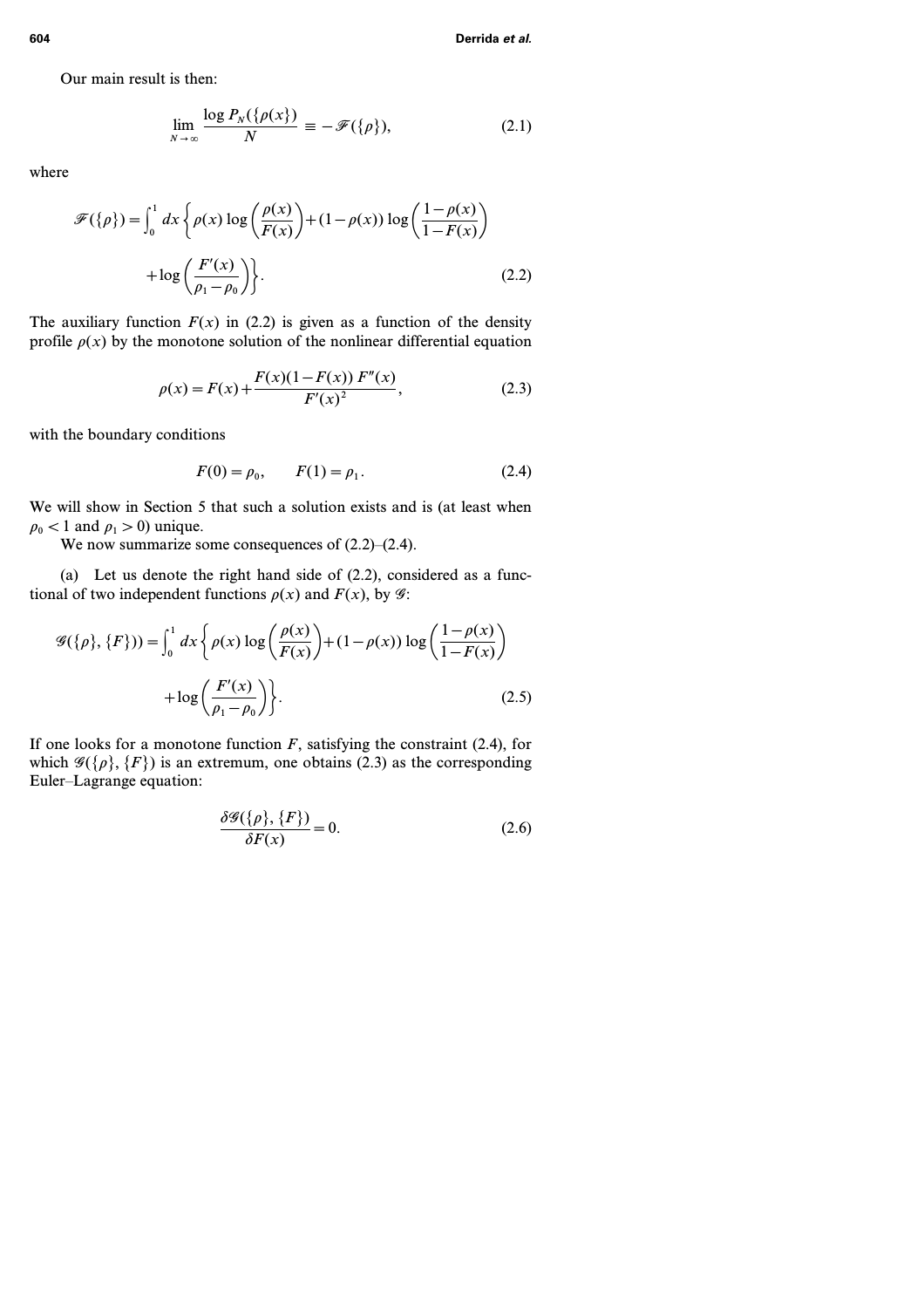Our main result is then:

$$
\lim_{N \to \infty} \frac{\log P_N(\{\rho(x\})}{N} \equiv -\mathscr{F}(\{\rho\}),\tag{2.1}
$$

where

$$
\mathcal{F}(\{\rho\}) = \int_0^1 dx \left\{ \rho(x) \log \left( \frac{\rho(x)}{F(x)} \right) + (1 - \rho(x)) \log \left( \frac{1 - \rho(x)}{1 - F(x)} \right) + \log \left( \frac{F'(x)}{\rho_1 - \rho_0} \right) \right\}.
$$
\n(2.2)

The auxiliary function  $F(x)$  in (2.2) is given as a function of the density profile  $\rho(x)$  by the monotone solution of the nonlinear differential equation

$$
\rho(x) = F(x) + \frac{F(x)(1 - F(x)) F''(x)}{F'(x)^2},
$$
\n(2.3)

with the boundary conditions

$$
F(0) = \rho_0, \qquad F(1) = \rho_1. \tag{2.4}
$$

We will show in Section 5 that such a solution exists and is (at least when  $\rho_0$  < 1 and  $\rho_1$  > 0) unique.

We now summarize some consequences of  $(2.2)$ – $(2.4)$ .

(a) Let us denote the right hand side of (2.2), considered as a functional of two independent functions  $\rho(x)$  and  $F(x)$ , by  $\mathcal{G}$ :

$$
\mathcal{G}(\{\rho\}, \{F\})) = \int_0^1 dx \left\{ \rho(x) \log \left( \frac{\rho(x)}{F(x)} \right) + (1 - \rho(x)) \log \left( \frac{1 - \rho(x)}{1 - F(x)} \right) + \log \left( \frac{F'(x)}{\rho_1 - \rho_0} \right) \right\}.
$$
\n(2.5)

If one looks for a monotone function  $F$ , satisfying the constraint  $(2.4)$ , for which  $\mathscr{G}(\{\rho\}, \{F\})$  is an extremum, one obtains (2.3) as the corresponding Euler–Lagrange equation:

$$
\frac{\delta \mathcal{G}(\{\rho\}, \{F\})}{\delta F(x)} = 0.
$$
\n(2.6)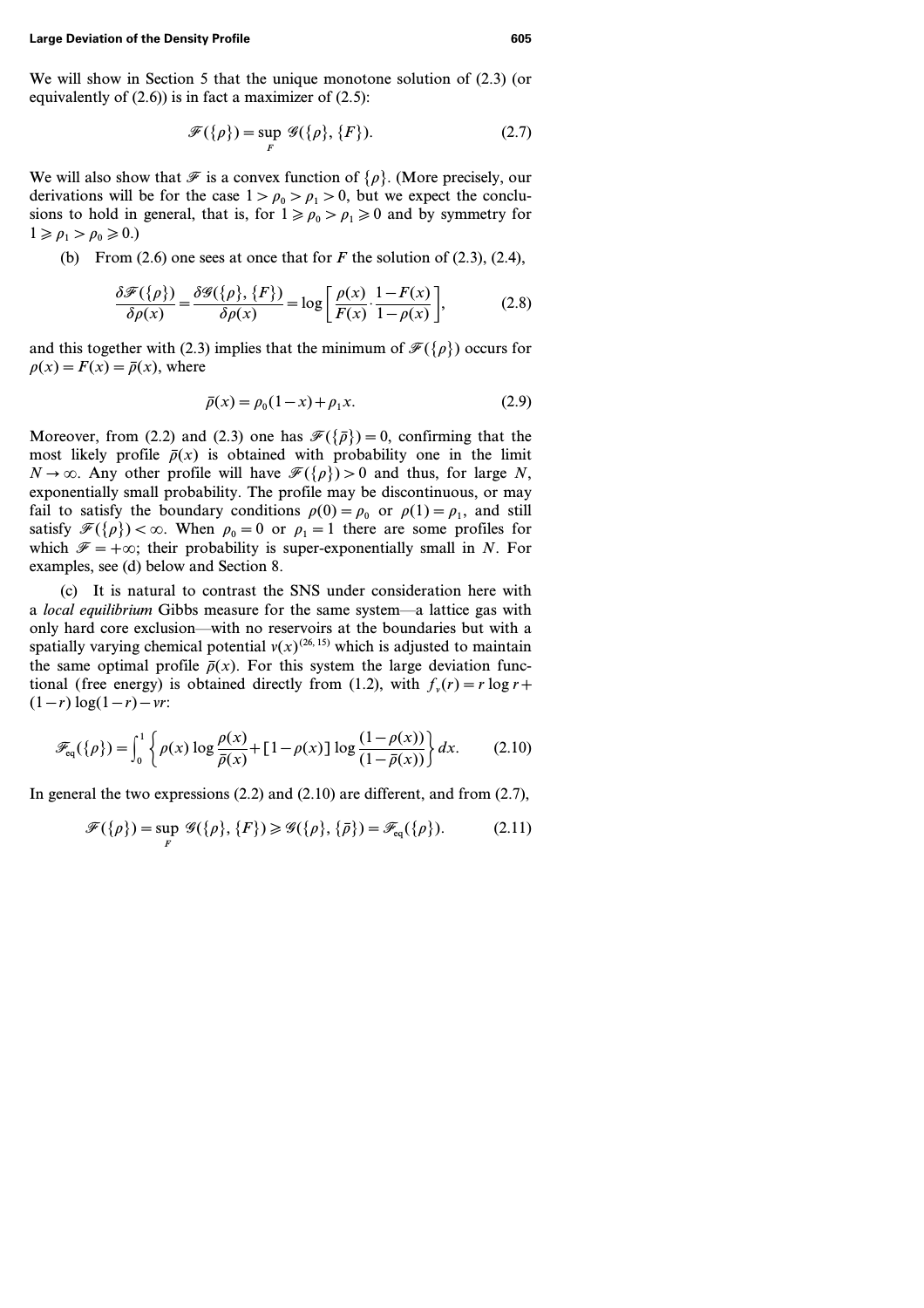We will show in Section 5 that the unique monotone solution of (2.3) (or equivalently of  $(2.6)$ ) is in fact a maximizer of  $(2.5)$ :

$$
\mathscr{F}(\{\rho\}) = \sup_{F} \mathscr{G}(\{\rho\}, \{F\}).
$$
\n(2.7)

We will also show that  $\mathcal F$  is a convex function of  $\{\rho\}$ . (More precisely, our derivations will be for the case  $1 > \rho_0 > \rho_1 > 0$ , but we expect the conclusions to hold in general, that is, for  $1 \ge \rho_0 > \rho_1 \ge 0$  and by symmetry for  $1 \geqslant \rho_1 > \rho_0 \geqslant 0.$ 

(b) From  $(2.6)$  one sees at once that for *F* the solution of  $(2.3)$ ,  $(2.4)$ ,

$$
\frac{\delta \mathcal{F}(\{\rho\})}{\delta \rho(x)} = \frac{\delta \mathcal{G}(\{\rho\}, \{F\})}{\delta \rho(x)} = \log \left[ \frac{\rho(x)}{F(x)} \cdot \frac{1 - F(x)}{1 - \rho(x)} \right],\tag{2.8}
$$

and this together with (2.3) implies that the minimum of  $\mathcal{F}(\{\rho\})$  occurs for  $p(x) = F(x) = \overline{p}(x)$ , where

$$
\bar{\rho}(x) = \rho_0(1-x) + \rho_1 x. \tag{2.9}
$$

Moreover, from (2.2) and (2.3) one has  $\mathcal{F}({\{\bar{\rho}\}})=0$ , confirming that the most likely profile  $\bar{p}(x)$  is obtained with probability one in the limit  $N \rightarrow \infty$ . Any other profile will have  $\mathcal{F}({\rho}) > 0$  and thus, for large *N*, exponentially small probability. The profile may be discontinuous, or may fail to satisfy the boundary conditions  $\rho(0) = \rho_0$  or  $\rho(1) = \rho_1$ , and still satisfy  $\mathcal{F}({\rho}) < \infty$ . When  $\rho_0 = 0$  or  $\rho_1 = 1$  there are some profiles for which  $\mathcal{F} = +\infty$ ; their probability is super-exponentially small in *N*. For examples, see (d) below and Section 8.

(c) It is natural to contrast the SNS under consideration here with a *local equilibrium* Gibbs measure for the same system—a lattice gas with only hard core exclusion—with no reservoirs at the boundaries but with a spatially varying chemical potential  $v(x)^{(26, 15)}$  which is adjusted to maintain the same optimal profile  $\bar{p}(x)$ . For this system the large deviation functional (free energy) is obtained directly from (1.2), with  $f_v(r) = r \log r +$  $(1 - r) \log(1 - r) - \nu r$ 

$$
\mathscr{F}_{eq}(\{\rho\}) = \int_0^1 \left\{ \rho(x) \log \frac{\rho(x)}{\bar{\rho}(x)} + [1 - \rho(x)] \log \frac{(1 - \rho(x))}{(1 - \bar{\rho}(x))} \right\} dx.
$$
 (2.10)

In general the two expressions (2.2) and (2.10) are different, and from (2.7),

$$
\mathscr{F}(\{\rho\}) = \sup_{F} \mathscr{G}(\{\rho\}, \{F\}) \geq \mathscr{G}(\{\rho\}, \{\bar{\rho}\}) = \mathscr{F}_{eq}(\{\rho\}). \tag{2.11}
$$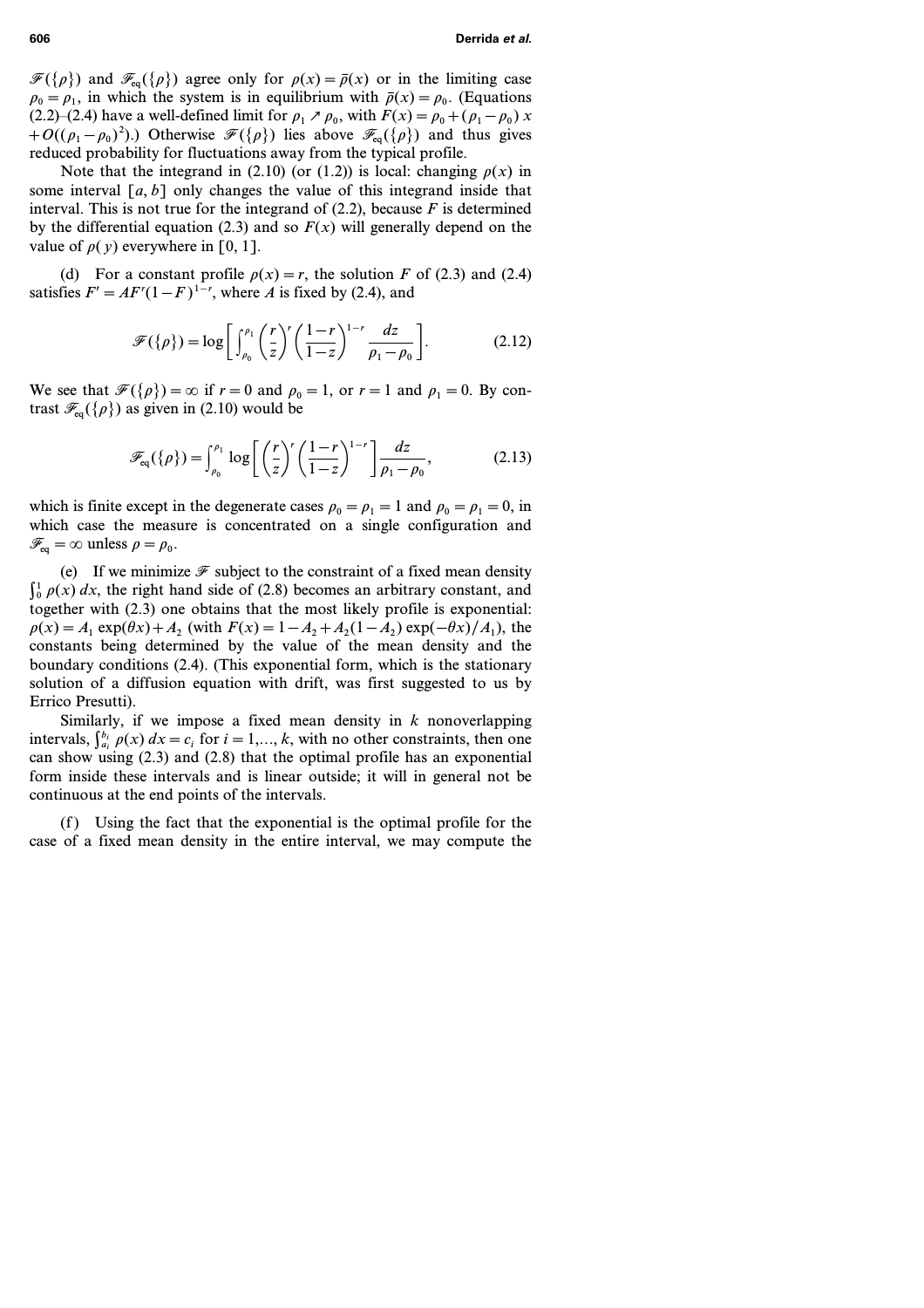$\mathcal{F}({\rho})$  and  $\mathcal{F}_{eq}({\rho})$  agree only for  $\rho(x) = \bar{\rho}(x)$  or in the limiting case  $\rho_0 = \rho_1$ , in which the system is in equilibrium with  $\bar{\rho}(x) = \rho_0$ . (Equations (2.2)–(2.4) have a well-defined limit for  $\rho_1 \nearrow \rho_0$ , with  $F(x) = \rho_0 + (\rho_1 - \rho_0) x$ *+O((* $\rho_1 - \rho_0$ )<sup>2</sup>).) Otherwise  $\mathcal{F}({\rho})$  lies above  $\mathcal{F}_{eq}({\rho})$  and thus gives reduced probability for fluctuations away from the typical profile.

Note that the integrand in (2.10) (or (1.2)) is local: changing  $\rho(x)$  in some interval *[a, b]* only changes the value of this integrand inside that interval. This is not true for the integrand of  $(2.2)$ , because  $F$  is determined by the differential equation (2.3) and so  $F(x)$  will generally depend on the value of  $\rho(y)$  everywhere in [0, 1].

(d) For a constant profile  $\rho(x) = r$ , the solution *F* of (2.3) and (2.4) satisfies  $F' = AF'(1 - F)^{1-r}$ , where *A* is fixed by (2.4), and

$$
\mathscr{F}(\{\rho\}) = \log \left[ \int_{\rho_0}^{\rho_1} \left( \frac{r}{z} \right)^r \left( \frac{1-r}{1-z} \right)^{1-r} \frac{dz}{\rho_1 - \rho_0} \right].
$$
 (2.12)

We see that  $\mathcal{F}({\rho})=\infty$  if  $r=0$  and  $\rho_0=1$ , or  $r=1$  and  $\rho_1=0$ . By contrast  $\mathcal{F}_{eq}(\{\rho\})$  as given in (2.10) would be

$$
\mathscr{F}_{\text{eq}}(\{\rho\}) = \int_{\rho_0}^{\rho_1} \log \left[ \left(\frac{r}{z}\right)^r \left(\frac{1-r}{1-z}\right)^{1-r} \right] \frac{dz}{\rho_1 - \rho_0},\tag{2.13}
$$

which is finite except in the degenerate cases  $\rho_0 = \rho_1 = 1$  and  $\rho_0 = \rho_1 = 0$ , in which case the measure is concentrated on a single configuration and  $\mathscr{F}_{eq} = \infty$  unless  $\rho = \rho_0$ .

(e) If we minimize  $\mathscr F$  subject to the constraint of a fixed mean density  $\int_0^1 \rho(x) dx$ , the right hand side of (2.8) becomes an arbitrary constant, and together with (2.3) one obtains that the most likely profile is exponential:  $p(x) = A_1 \exp(\theta x) + A_2$  (with  $F(x) = 1 - A_2 + A_2(1 - A_2) \exp(-\theta x)/A_1$ ), the constants being determined by the value of the mean density and the boundary conditions (2.4). (This exponential form, which is the stationary solution of a diffusion equation with drift, was first suggested to us by Errico Presutti).

Similarly, if we impose a fixed mean density in *k* nonoverlapping intervals,  $\int_{a_i}^{b_i} \rho(x) dx = c_i$  for  $i = 1,..., k$ , with no other constraints, then one can show using (2.3) and (2.8) that the optimal profile has an exponential form inside these intervals and is linear outside; it will in general not be continuous at the end points of the intervals.

Using the fact that the exponential is the optimal profile for the case of a fixed mean density in the entire interval, we may compute the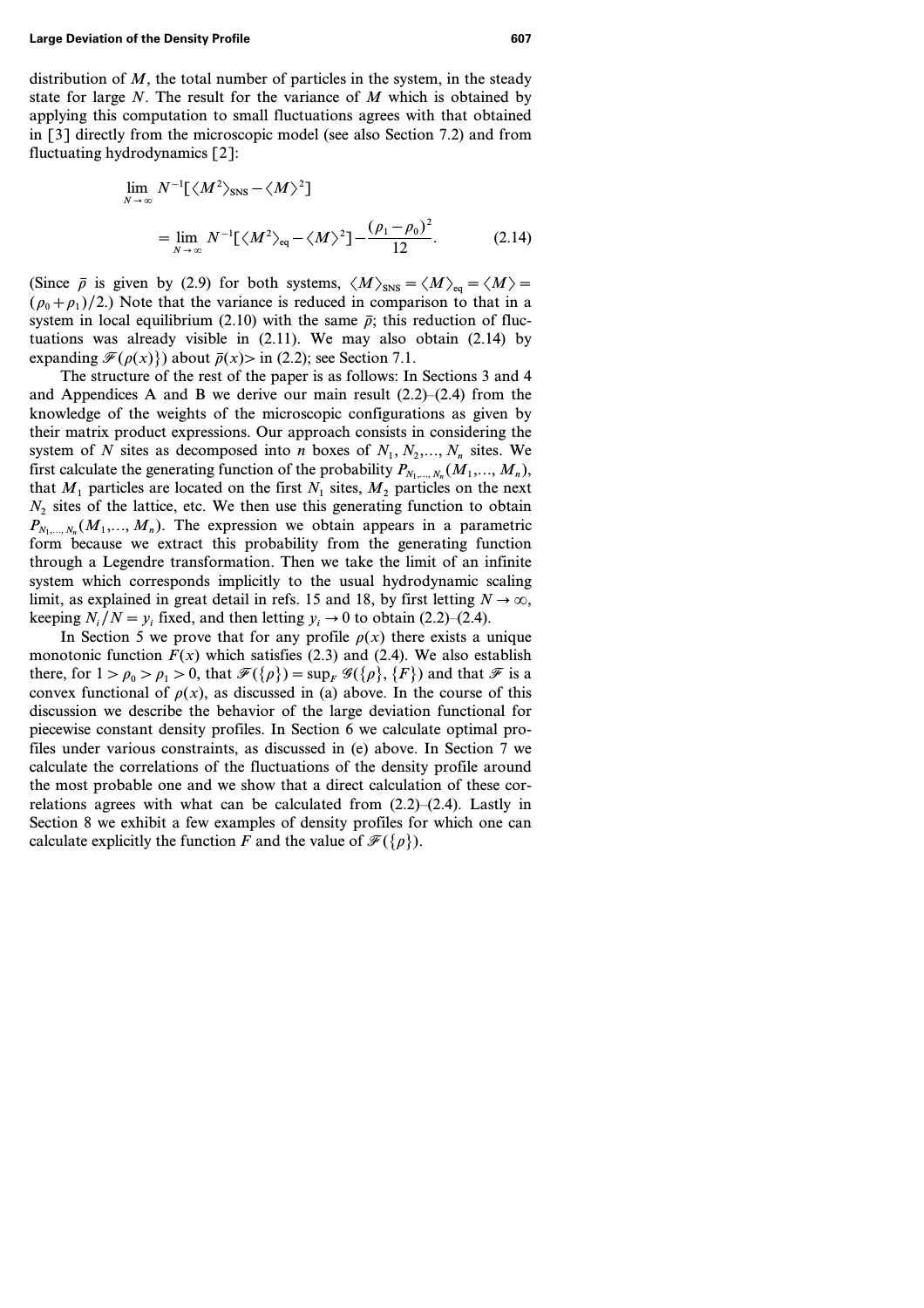distribution of *M*, the total number of particles in the system, in the steady state for large *N*. The result for the variance of *M* which is obtained by applying this computation to small fluctuations agrees with that obtained in [3] directly from the microscopic model (see also Section 7.2) and from fluctuating hydrodynamics [2]:

$$
\lim_{N \to \infty} N^{-1} [\langle M^2 \rangle_{\text{SNS}} - \langle M \rangle^2]
$$
  
= 
$$
\lim_{N \to \infty} N^{-1} [\langle M^2 \rangle_{\text{eq}} - \langle M \rangle^2] - \frac{(\rho_1 - \rho_0)^2}{12}.
$$
 (2.14)

(Since  $\bar{\rho}$  is given by (2.9) for both systems,  $\langle M \rangle_{\text{SNS}} = \langle M \rangle_{\text{eq}} = \langle M \rangle =$  $(\rho_0 + \rho_1)/2$ .) Note that the variance is reduced in comparison to that in a system in local equilibrium (2.10) with the same  $\bar{p}$ ; this reduction of fluctuations was already visible in (2.11). We may also obtain (2.14) by expanding  $\mathcal{F}(\rho(x))$  about  $\bar{\rho}(x)$  in (2.2); see Section 7.1.

The structure of the rest of the paper is as follows: In Sections 3 and 4 and Appendices A and B we derive our main result  $(2.2)$ – $(2.4)$  from the knowledge of the weights of the microscopic configurations as given by their matrix product expressions. Our approach consists in considering the system of N sites as decomposed into *n* boxes of  $N_1, N_2, ..., N_n$  sites. We first calculate the generating function of the probability  $P_{N_1,\dots,N_n}(M_1,\dots,M_n)$ , that  $M_1$  particles are located on the first  $N_1$  sites,  $M_2$  particles on the next *N<sup>2</sup>* sites of the lattice, etc. We then use this generating function to obtain  $P_{N_1,N_2}(M_1,...,M_n)$ . The expression we obtain appears in a parametric form because we extract this probability from the generating function through a Legendre transformation. Then we take the limit of an infinite system which corresponds implicitly to the usual hydrodynamic scaling limit, as explained in great detail in refs. 15 and 18, by first letting  $N \to \infty$ , keeping  $N_i/N = y_i$  fixed, and then letting  $y_i \rightarrow 0$  to obtain (2.2)–(2.4).

In Section 5 we prove that for any profile  $\rho(x)$  there exists a unique monotonic function  $F(x)$  which satisfies (2.3) and (2.4). We also establish there, for  $1 > \rho_0 > \rho_1 > 0$ , that  $\mathcal{F}(\{\rho\}) = \sup_F \mathcal{G}(\{\rho\}, \{F\})$  and that  $\mathcal F$  is a convex functional of  $\rho(x)$ , as discussed in (a) above. In the course of this discussion we describe the behavior of the large deviation functional for piecewise constant density profiles. In Section 6 we calculate optimal profiles under various constraints, as discussed in (e) above. In Section 7 we calculate the correlations of the fluctuations of the density profile around the most probable one and we show that a direct calculation of these correlations agrees with what can be calculated from  $(2.2)$ – $(2.4)$ . Lastly in Section 8 we exhibit a few examples of density profiles for which one can calculate explicitly the function *F* and the value of  $\mathcal{F}({\rho})$ .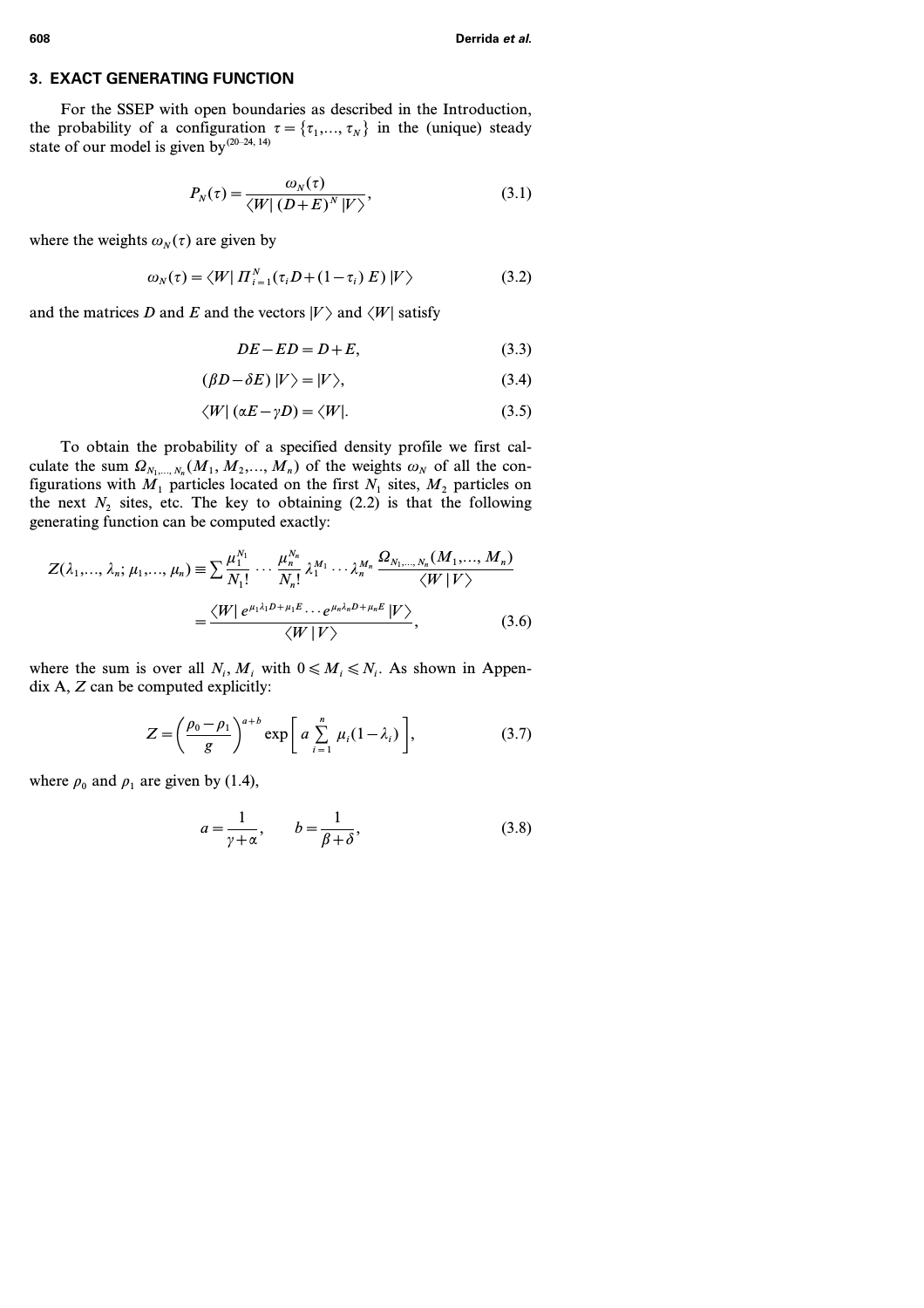### **3. EXACT GENERATING FUNCTION**

For the SSEP with open boundaries as described in the Introduction, the probability of a configuration  $\tau = {\tau_1,...,\tau_N}$  in the (unique) steady state of our model is given by<sup>(20–24, 14)</sup>

$$
P_N(\tau) = \frac{\omega_N(\tau)}{\langle W | (D+E)^N | V \rangle},\tag{3.1}
$$

where the weights  $\omega_N(\tau)$  are given by

$$
\omega_N(\tau) = \langle W | \Pi_{i=1}^N(\tau_i D + (1 - \tau_i) E) | V \rangle \tag{3.2}
$$

and the matrices *D* and *E* and the vectors  $|V\rangle$  and  $\langle W|$  satisfy

$$
DE - ED = D + E,\t(3.3)
$$

$$
(\beta D - \delta E)|V\rangle = |V\rangle, \tag{3.4}
$$

$$
\langle W | (\alpha E - \gamma D) = \langle W |.
$$
 (3.5)

To obtain the probability of a specified density profile we first calculate the sum  $\Omega_{N_1,\ldots,N_n}(M_1,M_2,\ldots,M_n)$  of the weights  $\omega_N$  of all the configurations with  $M_1$  particles located on the first  $N_1$  sites,  $M_2$  particles on the next  $N_2$  sites, etc. The key to obtaining (2.2) is that the following generating function can be computed exactly:

$$
Z(\lambda_1, ..., \lambda_n; \mu_1, ..., \mu_n) \equiv \sum \frac{\mu_1^{N_1}}{N_1!} \cdots \frac{\mu_n^{N_n}}{N_n!} \lambda_1^{M_1} \cdots \lambda_n^{M_n} \frac{\Omega_{N_1, ..., N_n}(M_1, ..., M_n)}{\langle W | V \rangle} = \frac{\langle W | e^{\mu_1 \lambda_1 D + \mu_1 E} \cdots e^{\mu_n \lambda_n D + \mu_n E} | V \rangle}{\langle W | V \rangle},
$$
(3.6)

where the sum is over all  $N_i$ ,  $M_i$  with  $0 \le M_i \le N_i$ . As shown in Appendix A, *Z* can be computed explicitly:

$$
Z = \left(\frac{\rho_0 - \rho_1}{g}\right)^{a+b} \exp\left[a \sum_{i=1}^n \mu_i (1 - \lambda_i)\right],
$$
 (3.7)

where  $\rho_0$  and  $\rho_1$  are given by (1.4),

$$
a = \frac{1}{\gamma + \alpha}, \qquad b = \frac{1}{\beta + \delta}, \tag{3.8}
$$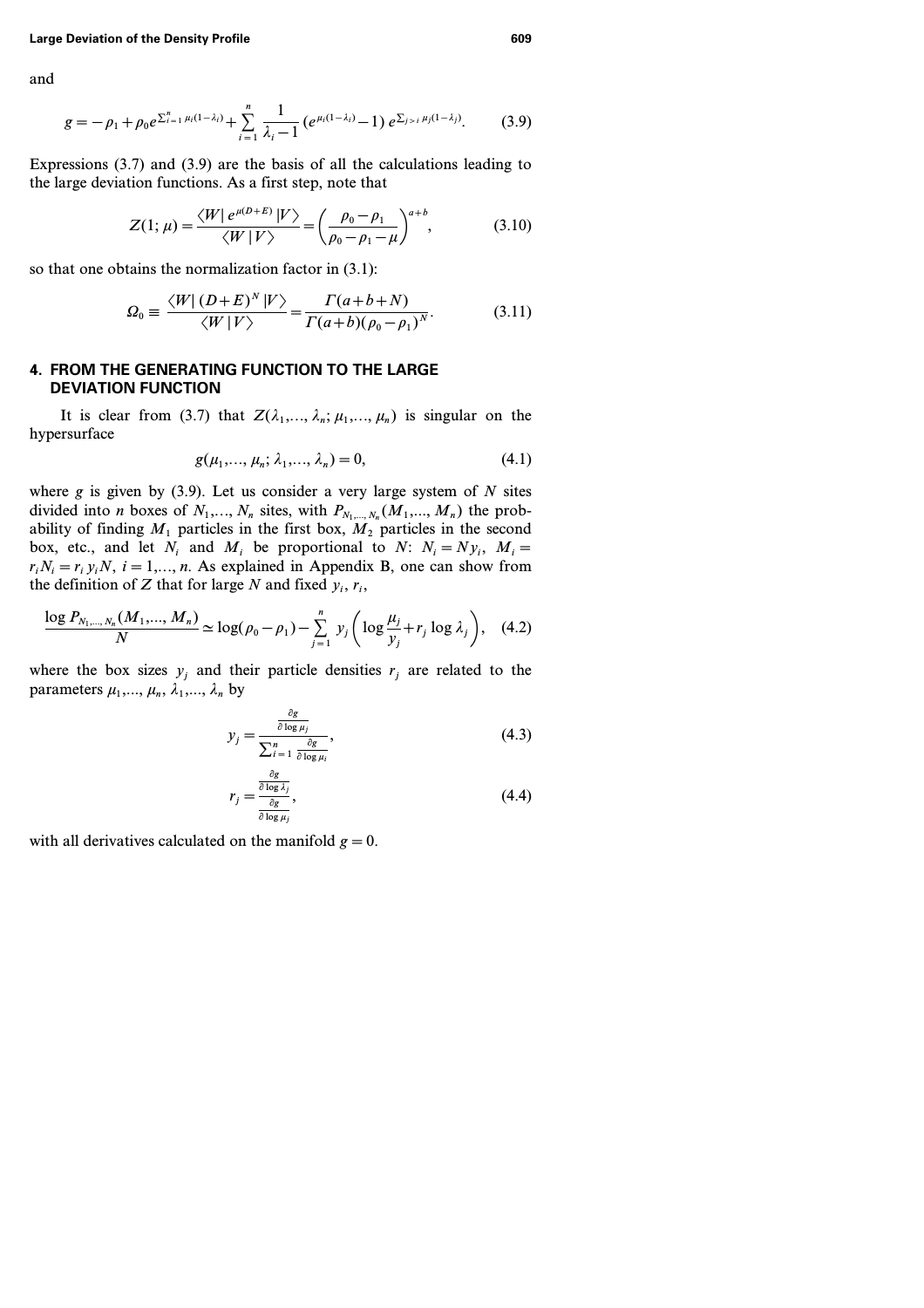and

$$
g = -\rho_1 + \rho_0 e^{\sum_{i=1}^n \mu_i (1-\lambda_i)} + \sum_{i=1}^n \frac{1}{\lambda_i - 1} \left( e^{\mu_i (1-\lambda_i)} - 1 \right) e^{\sum_{j>i} \mu_j (1-\lambda_j)}.
$$
 (3.9)

Expressions (3.7) and (3.9) are the basis of all the calculations leading to the large deviation functions. As a first step, note that

$$
Z(1; \mu) = \frac{\langle W | e^{\mu(D+E)} | V \rangle}{\langle W | V \rangle} = \left( \frac{\rho_0 - \rho_1}{\rho_0 - \rho_1 - \mu} \right)^{a+b}, \tag{3.10}
$$

so that one obtains the normalization factor in (3.1):

$$
\Omega_0 \equiv \frac{\langle W | (D+E)^N | V \rangle}{\langle W | V \rangle} = \frac{\Gamma(a+b+N)}{\Gamma(a+b)(\rho_0 - \rho_1)^N}.
$$
\n(3.11)

# **4. FROM THE GENERATING FUNCTION TO THE LARGE DEVIATION FUNCTION**

It is clear from (3.7) that  $Z(\lambda_1, \ldots, \lambda_n; \mu_1, \ldots, \mu_n)$  is singular on the hypersurface

$$
g(\mu_1, ..., \mu_n; \lambda_1, ..., \lambda_n) = 0,
$$
\n(4.1)

where *g* is given by (3.9). Let us consider a very large system of *N* sites divided into *n* boxes of  $N_1, \ldots, N_n$  sites, with  $P_{N_1, \ldots, N_n}(M_1, \ldots, M_n)$  the probability of finding  $M_1$  particles in the first box,  $M_2$  particles in the second box, etc., and let  $N_i$  and  $M_i$  be proportional to  $N: N_i = N y_i$ ,  $M_i =$  $r_i N_i = r_i y_i N$ ,  $i = 1,..., n$ . As explained in Appendix B, one can show from the definition of *Z* that for large *N* and fixed  $y_i$ ,  $r_i$ ,

$$
\frac{\log P_{N_1,\dots,N_n}(M_1,\dots,M_n)}{N} \simeq \log(\rho_0 - \rho_1) - \sum_{j=1}^n y_j \left( \log \frac{\mu_j}{y_j} + r_j \log \lambda_j \right), \quad (4.2)
$$

where the box sizes  $y_i$  and their particle densities  $r_i$  are related to the parameters  $\mu_1, \ldots, \mu_n, \lambda_1, \ldots, \lambda_n$  by

$$
y_j = \frac{\frac{\partial g}{\partial \log \mu_j}}{\sum_{i=1}^n \frac{\partial g}{\partial \log \mu_i}},
$$
\n(4.3)

$$
r_j = \frac{\frac{\partial g}{\partial \log \lambda_j}}{\frac{\partial g}{\partial \log \mu_j}},\tag{4.4}
$$

with all derivatives calculated on the manifold  $g=0$ .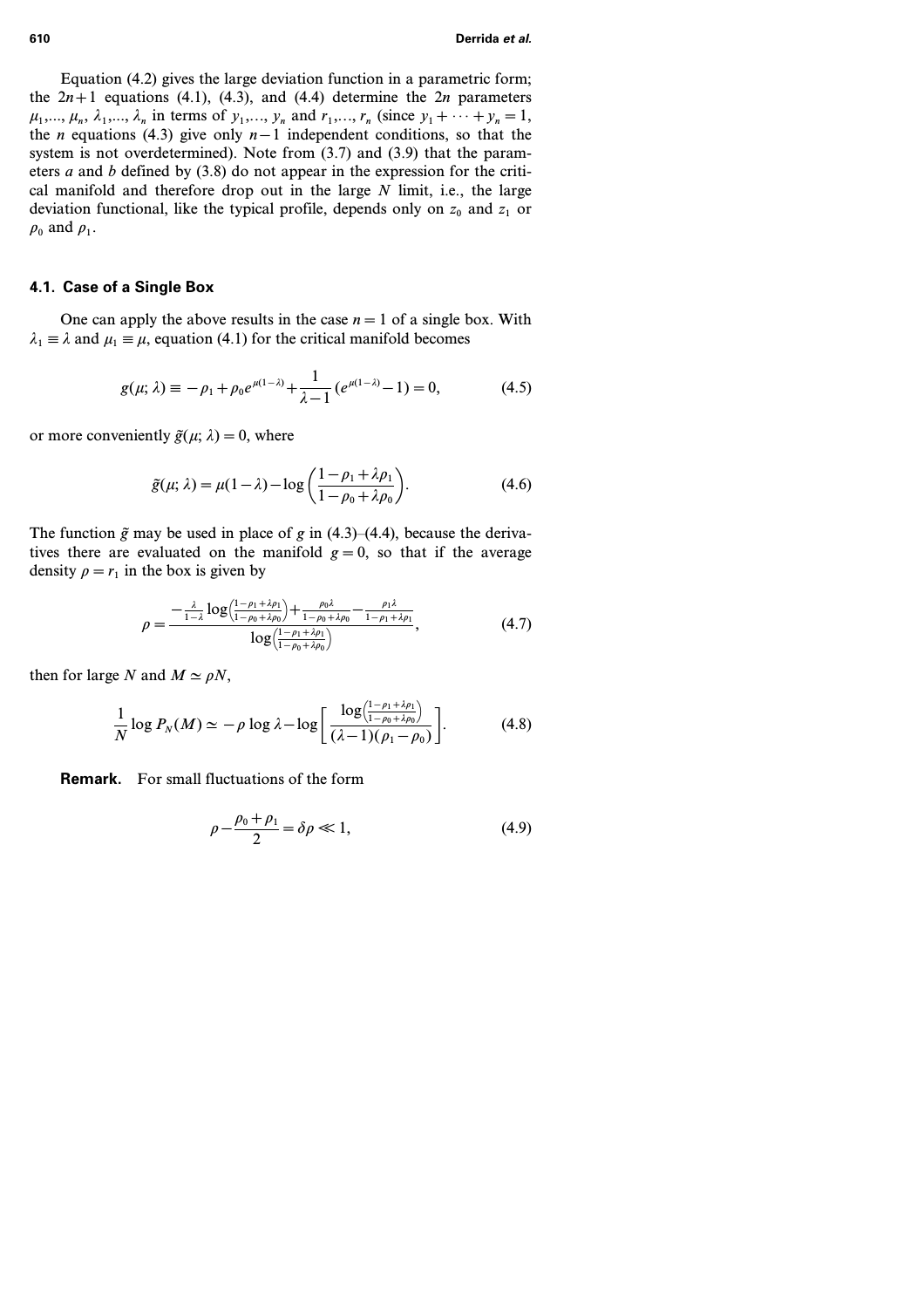Equation (4.2) gives the large deviation function in a parametric form; the  $2n+1$  equations (4.1), (4.3), and (4.4) determine the  $2n$  parameters  $\mu_1, ..., \mu_n, \lambda_1, ..., \lambda_n$  in terms of  $y_1, ..., y_n$  and  $r_1, ..., r_n$  (since  $y_1 + \cdots + y_n = 1$ , the *n* equations (4.3) give only *n−1* independent conditions, so that the system is not overdetermined). Note from (3.7) and (3.9) that the parameters *a* and *b* defined by (3.8) do not appear in the expression for the critical manifold and therefore drop out in the large *N* limit, i.e., the large deviation functional, like the typical profile, depends only on *z<sup>0</sup>* and *z<sup>1</sup>* or  $\rho_0$  and  $\rho_1$ .

### **4.1. Case of a Single Box**

One can apply the above results in the case  $n=1$  of a single box. With  $\lambda_1 \equiv \lambda$  and  $\mu_1 \equiv \mu$ , equation (4.1) for the critical manifold becomes

$$
g(\mu; \lambda) \equiv -\rho_1 + \rho_0 e^{\mu(1-\lambda)} + \frac{1}{\lambda - 1} \left( e^{\mu(1-\lambda)} - 1 \right) = 0, \tag{4.5}
$$

or more conveniently  $\tilde{g}(\mu; \lambda) = 0$ , where

$$
\tilde{g}(\mu; \lambda) = \mu(1 - \lambda) - \log\left(\frac{1 - \rho_1 + \lambda \rho_1}{1 - \rho_0 + \lambda \rho_0}\right).
$$
\n(4.6)

The function  $\tilde{g}$  may be used in place of *g* in (4.3)–(4.4), because the derivatives there are evaluated on the manifold  $g=0$ , so that if the average density  $\rho = r_1$  in the box is given by

$$
\rho = \frac{-\frac{\lambda}{1-\lambda}\log\left(\frac{1-\rho_1+\lambda\rho_1}{1-\rho_0+\lambda\rho_0}\right) + \frac{\rho_0\lambda}{1-\rho_0+\lambda\rho_0} - \frac{\rho_1\lambda}{1-\rho_1+\lambda\rho_1}}{\log\left(\frac{1-\rho_1+\lambda\rho_1}{1-\rho_0+\lambda\rho_0}\right)},
$$
(4.7)

then for large *N* and  $M \simeq \rho N$ ,

$$
\frac{1}{N}\log P_N(M) \simeq -\rho \log \lambda - \log \left[\frac{\log\left(\frac{1-\rho_1+\lambda\rho_1}{1-\rho_0+\lambda\rho_0}\right)}{(\lambda-1)(\rho_1-\rho_0)}\right].
$$
\n(4.8)

**Remark.** For small fluctuations of the form

$$
\rho - \frac{\rho_0 + \rho_1}{2} = \delta \rho \ll 1,
$$
\n(4.9)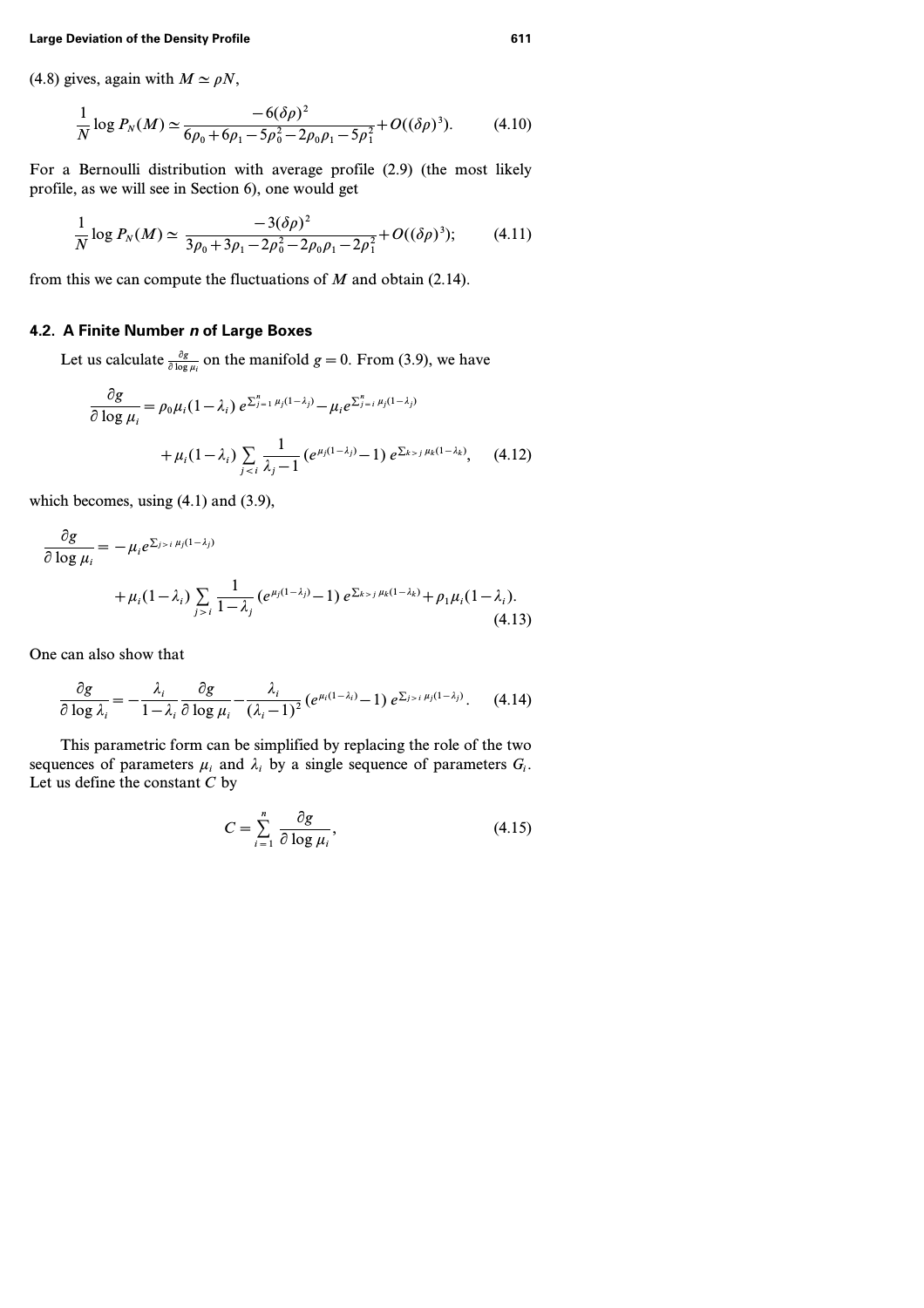(4.8) gives, again with  $M \simeq \rho N$ ,

$$
\frac{1}{N}\log P_N(M) \simeq \frac{-6(\delta\rho)^2}{6\rho_0 + 6\rho_1 - 5\rho_0^2 - 2\rho_0\rho_1 - 5\rho_1^2} + O((\delta\rho)^3). \tag{4.10}
$$

For a Bernoulli distribution with average profile (2.9) (the most likely profile, as we will see in Section 6), one would get

$$
\frac{1}{N}\log P_N(M) \simeq \frac{-3(\delta\rho)^2}{3\rho_0 + 3\rho_1 - 2\rho_0^2 - 2\rho_0\rho_1 - 2\rho_1^2} + O((\delta\rho)^3); \tag{4.11}
$$

from this we can compute the fluctuations of *M* and obtain (2.14).

# **4.2. A Finite Number** *n* **of Large Boxes**

Let us calculate  $\frac{\partial g}{\partial \log \mu_i}$  on the manifold  $g = 0$ . From (3.9), we have

$$
\frac{\partial g}{\partial \log \mu_i} = \rho_0 \mu_i (1 - \lambda_i) e^{\sum_{j=1}^n \mu_j (1 - \lambda_j)} - \mu_i e^{\sum_{j=i}^n \mu_j (1 - \lambda_j)}
$$
  
+  $\mu_i (1 - \lambda_i) \sum_{j < i} \frac{1}{\lambda_j - 1} (e^{\mu_j (1 - \lambda_j)} - 1) e^{\sum_{k > j} \mu_k (1 - \lambda_k)}, \quad (4.12)$ 

which becomes, using  $(4.1)$  and  $(3.9)$ ,

$$
\frac{\partial g}{\partial \log \mu_i} = -\mu_i e^{\sum_{j>i} \mu_j (1-\lambda_j)} + \mu_i (1-\lambda_i) \sum_{j>i} \frac{1}{1-\lambda_j} \left( e^{\mu_j (1-\lambda_j)} - 1 \right) e^{\sum_{k>j} \mu_k (1-\lambda_k)} + \rho_1 \mu_i (1-\lambda_i). \tag{4.13}
$$

One can also show that

$$
\frac{\partial g}{\partial \log \lambda_i} = -\frac{\lambda_i}{1 - \lambda_i} \frac{\partial g}{\partial \log \mu_i} - \frac{\lambda_i}{(\lambda_i - 1)^2} \left( e^{\mu_i (1 - \lambda_i)} - 1 \right) e^{\sum_{j > i} \mu_j (1 - \lambda_j)}.
$$
 (4.14)

This parametric form can be simplified by replacing the role of the two sequences of parameters  $\mu_i$  and  $\lambda_i$  by a single sequence of parameters  $G_i$ . Let us define the constant *C* by

$$
C = \sum_{i=1}^{n} \frac{\partial g}{\partial \log \mu_i},\tag{4.15}
$$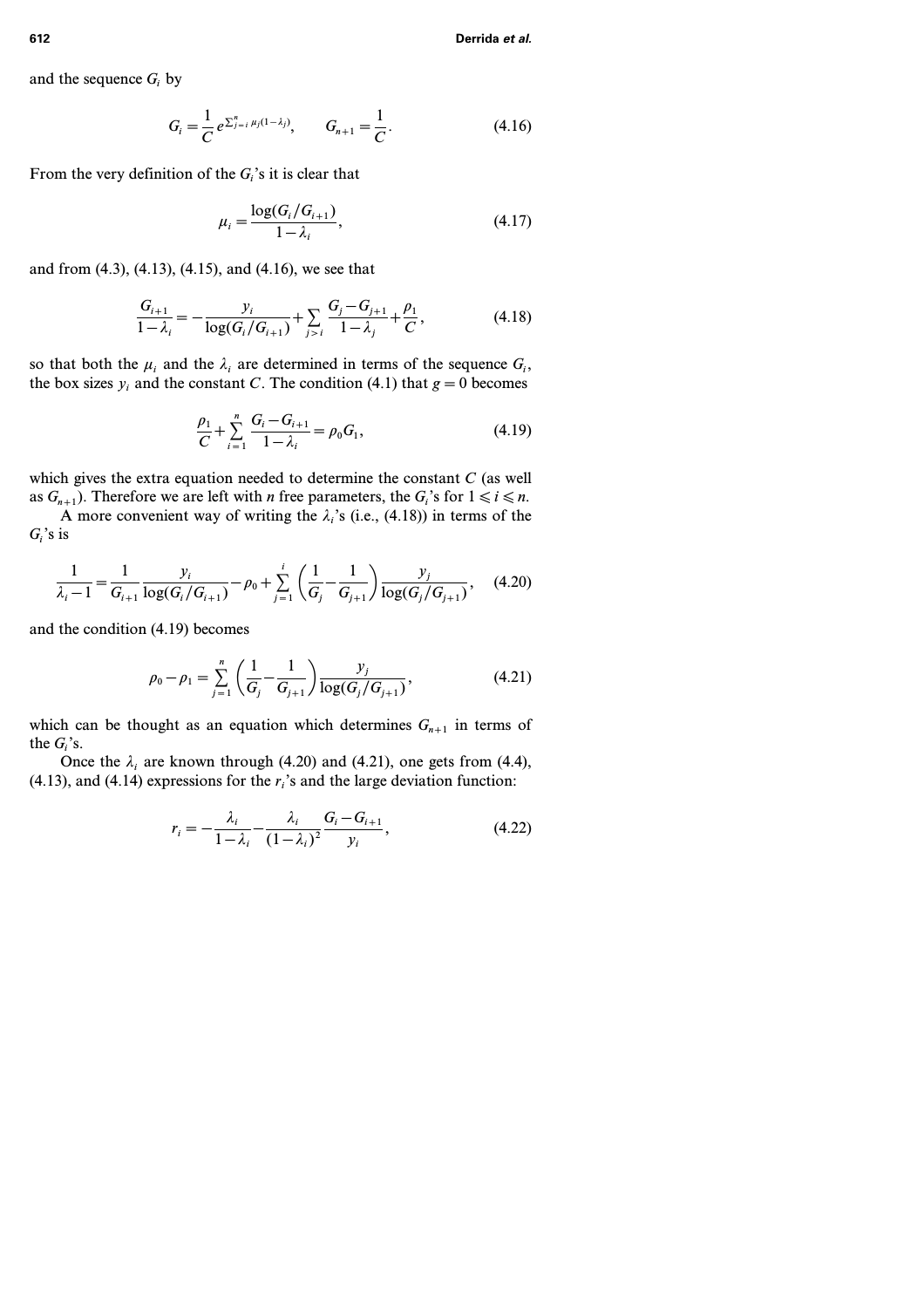and the sequence *G<sup>i</sup>* by

$$
G_i = \frac{1}{C} e^{\sum_{j=i}^{n} \mu_j (1 - \lambda_j)}, \qquad G_{n+1} = \frac{1}{C}.
$$
 (4.16)

From the very definition of the  $G_i$ 's it is clear that

$$
\mu_i = \frac{\log(G_i/G_{i+1})}{1 - \lambda_i},\tag{4.17}
$$

and from (4.3), (4.13), (4.15), and (4.16), we see that

$$
\frac{G_{i+1}}{1-\lambda_i} = -\frac{y_i}{\log(G_i/G_{i+1})} + \sum_{j>i} \frac{G_j - G_{j+1}}{1-\lambda_j} + \frac{\rho_1}{C},
$$
(4.18)

so that both the  $\mu_i$  and the  $\lambda_i$  are determined in terms of the sequence  $G_i$ , the box sizes  $y_i$  and the constant *C*. The condition (4.1) that  $g = 0$  becomes

$$
\frac{\rho_1}{C} + \sum_{i=1}^{n} \frac{G_i - G_{i+1}}{1 - \lambda_i} = \rho_0 G_1,
$$
\n(4.19)

which gives the extra equation needed to determine the constant *C* (as well as  $G_{n+1}$ ). Therefore we are left with *n* free parameters, the  $G_i$ 's for  $1 \le i \le n$ .

A more convenient way of writing the  $\lambda_i$ 's (i.e., (4.18)) in terms of the  $G_i$ 's is

$$
\frac{1}{\lambda_i - 1} = \frac{1}{G_{i+1}} \frac{y_i}{\log(G_i/G_{i+1})} - \rho_0 + \sum_{j=1}^i \left(\frac{1}{G_j} - \frac{1}{G_{j+1}}\right) \frac{y_j}{\log(G_j/G_{j+1})},\quad(4.20)
$$

and the condition (4.19) becomes

$$
\rho_0 - \rho_1 = \sum_{j=1}^n \left( \frac{1}{G_j} - \frac{1}{G_{j+1}} \right) \frac{y_j}{\log(G_j/G_{j+1})},
$$
(4.21)

which can be thought as an equation which determines  $G_{n+1}$  in terms of the  $G_i$ 's.

Once the  $\lambda_i$  are known through (4.20) and (4.21), one gets from (4.4), (4.13), and (4.14) expressions for the *ri*'s and the large deviation function:

$$
r_{i} = -\frac{\lambda_{i}}{1 - \lambda_{i}} - \frac{\lambda_{i}}{(1 - \lambda_{i})^{2}} \frac{G_{i} - G_{i+1}}{y_{i}},
$$
(4.22)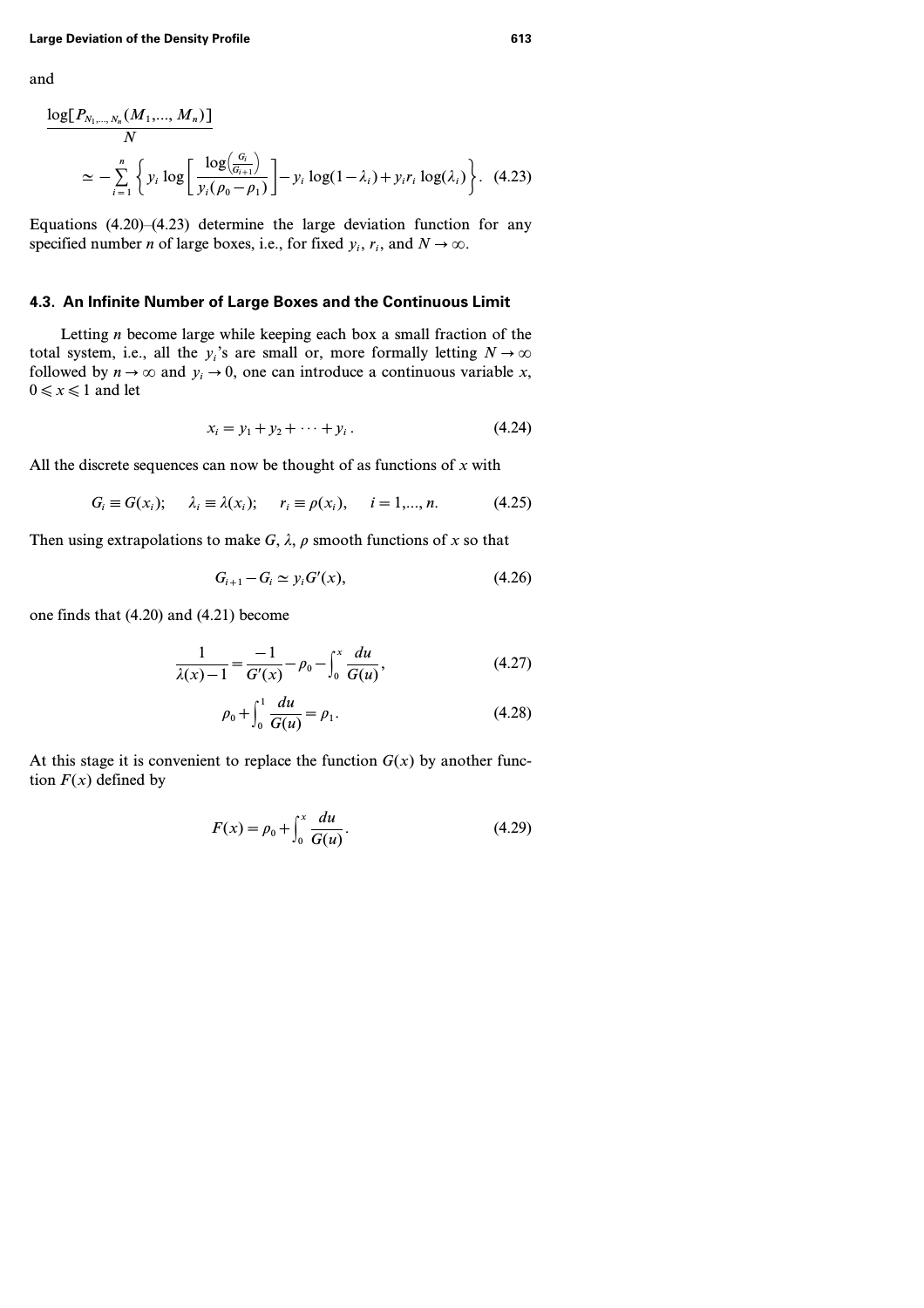and

$$
\frac{\log[P_{N_1,\dots,N_n}(M_1,\dots,M_n)]}{N}
$$
\n
$$
\simeq -\sum_{i=1}^n \left\{ y_i \log \left[ \frac{\log(\frac{G_i}{G_{i+1}})}{y_i(\rho_0 - \rho_1)} \right] - y_i \log(1 - \lambda_i) + y_i r_i \log(\lambda_i) \right\}. \tag{4.23}
$$

Equations  $(4.20)$ – $(4.23)$  determine the large deviation function for any specified number *n* of large boxes, i.e., for fixed  $y_i$ ,  $r_i$ , and  $N \to \infty$ .

# **4.3. An Infinite Number of Large Boxes and the Continuous Limit**

Letting *n* become large while keeping each box a small fraction of the total system, i.e., all the  $y_i$ 's are small or, more formally letting  $N \to \infty$ followed by  $n \to \infty$  and  $y_i \to 0$ , one can introduce a continuous variable *x*,  $0 \leq x \leq 1$  and let

$$
x_i = y_1 + y_2 + \dots + y_i \,. \tag{4.24}
$$

All the discrete sequences can now be thought of as functions of *x* with

$$
G_i \equiv G(x_i); \quad \lambda_i \equiv \lambda(x_i); \quad r_i \equiv \rho(x_i), \quad i = 1,...,n. \tag{4.25}
$$

Then using extrapolations to make  $G$ ,  $\lambda$ ,  $\rho$  smooth functions of x so that

$$
G_{i+1} - G_i \simeq y_i G'(x), \tag{4.26}
$$

one finds that (4.20) and (4.21) become

$$
\frac{1}{\lambda(x)-1} = \frac{-1}{G'(x)} - \rho_0 - \int_0^x \frac{du}{G(u)},
$$
\n(4.27)

$$
\rho_0 + \int_0^1 \frac{du}{G(u)} = \rho_1.
$$
\n(4.28)

At this stage it is convenient to replace the function  $G(x)$  by another function  $F(x)$  defined by

$$
F(x) = \rho_0 + \int_0^x \frac{du}{G(u)}.
$$
 (4.29)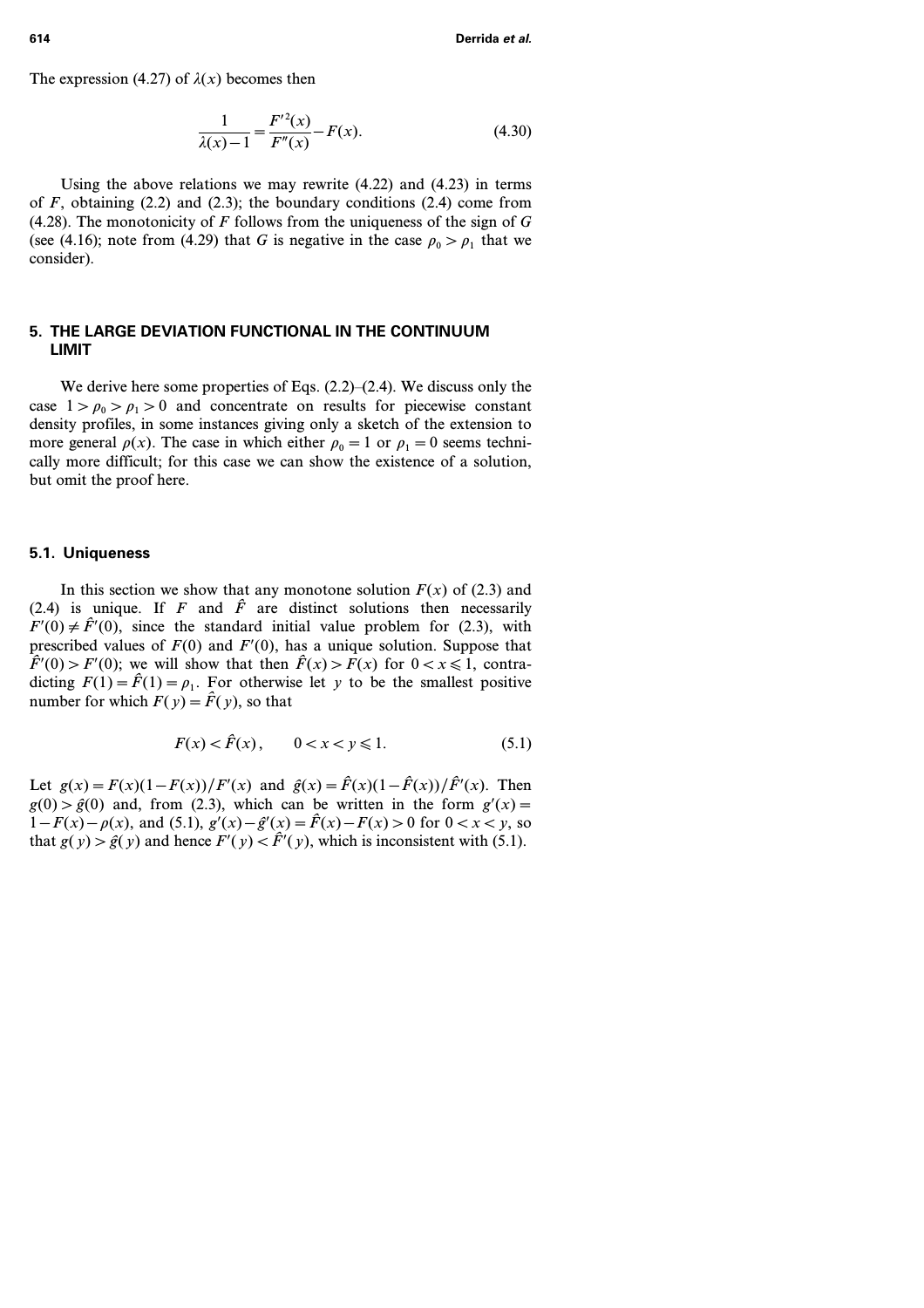The expression (4.27) of  $\lambda(x)$  becomes then

$$
\frac{1}{\lambda(x) - 1} = \frac{F'^2(x)}{F''(x)} - F(x).
$$
 (4.30)

Using the above relations we may rewrite (4.22) and (4.23) in terms of  $F$ , obtaining  $(2.2)$  and  $(2.3)$ ; the boundary conditions  $(2.4)$  come from (4.28). The monotonicity of *F* follows from the uniqueness of the sign of *G* (see (4.16); note from (4.29) that *G* is negative in the case  $\rho_0 > \rho_1$  that we consider).

# **5. THE LARGE DEVIATION FUNCTIONAL IN THE CONTINUUM LIMIT**

We derive here some properties of Eqs. (2.2)–(2.4). We discuss only the case  $1 > \rho_0 > \rho_1 > 0$  and concentrate on results for piecewise constant density profiles, in some instances giving only a sketch of the extension to more general  $\rho(x)$ . The case in which either  $\rho_0 = 1$  or  $\rho_1 = 0$  seems technically more difficult; for this case we can show the existence of a solution, but omit the proof here.

# **5.1. Uniqueness**

In this section we show that any monotone solution  $F(x)$  of (2.3) and (2.4) is unique. If  $F$  and  $\hat{F}$  are distinct solutions then necessarily  $F'(0) \neq \hat{F}'(0)$ , since the standard initial value problem for (2.3), with prescribed values of  $F(0)$  and  $F'(0)$ , has a unique solution. Suppose that  $\hat{F}(0) > F'(0)$ ; we will show that then  $\hat{F}(x) > F(x)$  for  $0 < x \le 1$ , contradicting  $F(1) = \hat{F}(1) = \rho_1$ . For otherwise let *y* to be the smallest positive number for which  $F(y) = \hat{F}(y)$ , so that

$$
F(x) < \hat{F}(x), \quad 0 < x < y \le 1.
$$
 (5.1)

Let  $g(x) = F(x)(1 - F(x))/F'(x)$  and  $\hat{g}(x) = \hat{F}(x)(1 - \hat{F}(x))/\hat{F}'(x)$ . Then  $g(0) > \hat{g}(0)$  and, from (2.3), which can be written in the form  $g'(x) =$ *1*−*F*(*x*)− $\rho$ (*x*), and (5.1),  $g'(x) - \hat{g}'(x) = \hat{F}(x) - F(x) > 0$  for  $0 < x < y$ , so that  $g(y) > \hat{g}(y)$  and hence  $F'(y) < \hat{F}'(y)$ , which is inconsistent with (5.1).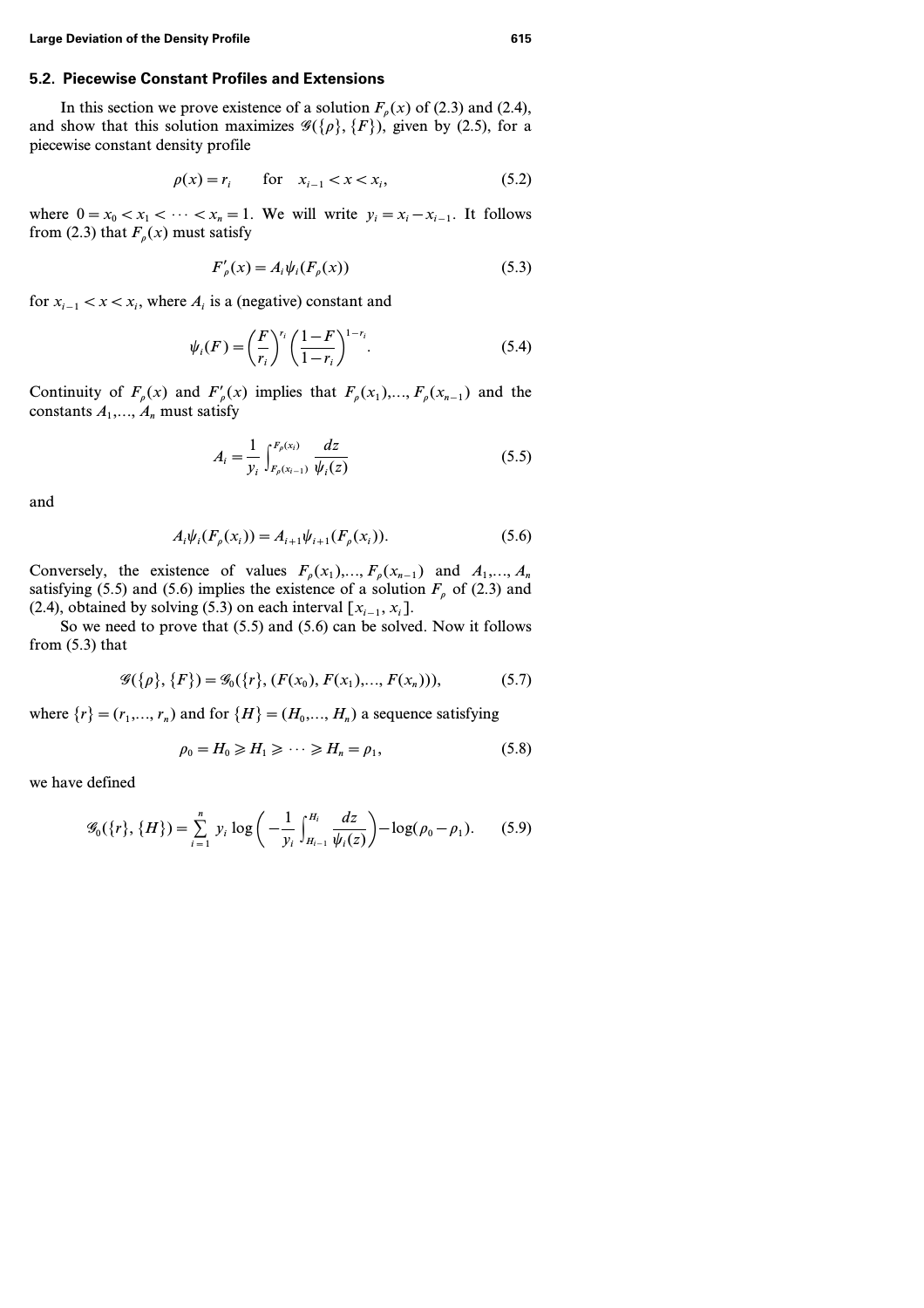# **5.2. Piecewise Constant Profiles and Extensions**

In this section we prove existence of a solution  $F<sub>\rho</sub>(x)$  of (2.3) and (2.4), and show that this solution maximizes  $\mathcal{G}({\rho}, {\{F\}})$ , given by (2.5), for a piecewise constant density profile

$$
\rho(x) = r_i \qquad \text{for} \quad x_{i-1} < x < x_i,\tag{5.2}
$$

where  $0 = x_0 < x_1 < \cdots < x_n = 1$ . We will write  $y_i = x_i - x_{i-1}$ . It follows from (2.3) that  $F_p(x)$  must satisfy

$$
F'_{\rho}(x) = A_i \psi_i(F_{\rho}(x))
$$
\n(5.3)

for  $x_{i-1}$  <  $x$  <  $x_i$ , where  $A_i$  is a (negative) constant and

$$
\psi_i(F) = \left(\frac{F}{r_i}\right)^{r_i} \left(\frac{1-F}{1-r_i}\right)^{1-r_i}.\tag{5.4}
$$

Continuity of  $F_p(x)$  and  $F'_p(x)$  implies that  $F_p(x_1),..., F_p(x_{n-1})$  and the constants  $A_1, \ldots, A_n$  must satisfy

$$
A_{i} = \frac{1}{y_{i}} \int_{F_{\rho}(x_{i-1})}^{F_{\rho}(x_{i})} \frac{dz}{\psi_{i}(z)}
$$
(5.5)

and

$$
A_i \psi_i(F_\rho(x_i)) = A_{i+1} \psi_{i+1}(F_\rho(x_i)).
$$
\n(5.6)

Conversely, the existence of values  $F_p(x_1),..., F_p(x_{n-1})$  and  $A_1,..., A_n$ satisfying (5.5) and (5.6) implies the existence of a solution  $F<sub>o</sub>$  of (2.3) and (2.4), obtained by solving (5.3) on each interval  $[x_{i-1}, x_i]$ .

So we need to prove that (5.5) and (5.6) can be solved. Now it follows from (5.3) that

$$
\mathcal{G}(\{\rho\}, \{F\}) = \mathcal{G}_0(\{r\}, (F(x_0), F(x_1), \dots, F(x_n))), \tag{5.7}
$$

where  $\{r\}=(r_1, ..., r_n)$  and for  $\{H\}=(H_0, ..., H_n)$  a sequence satisfying

$$
\rho_0 = H_0 \ge H_1 \ge \cdots \ge H_n = \rho_1,\tag{5.8}
$$

we have defined

$$
\mathscr{G}_0(\{r\}, \{H\}) = \sum_{i=1}^n y_i \log \left(-\frac{1}{y_i} \int_{H_{i-1}}^{H_i} \frac{dz}{\psi_i(z)}\right) - \log(\rho_0 - \rho_1). \tag{5.9}
$$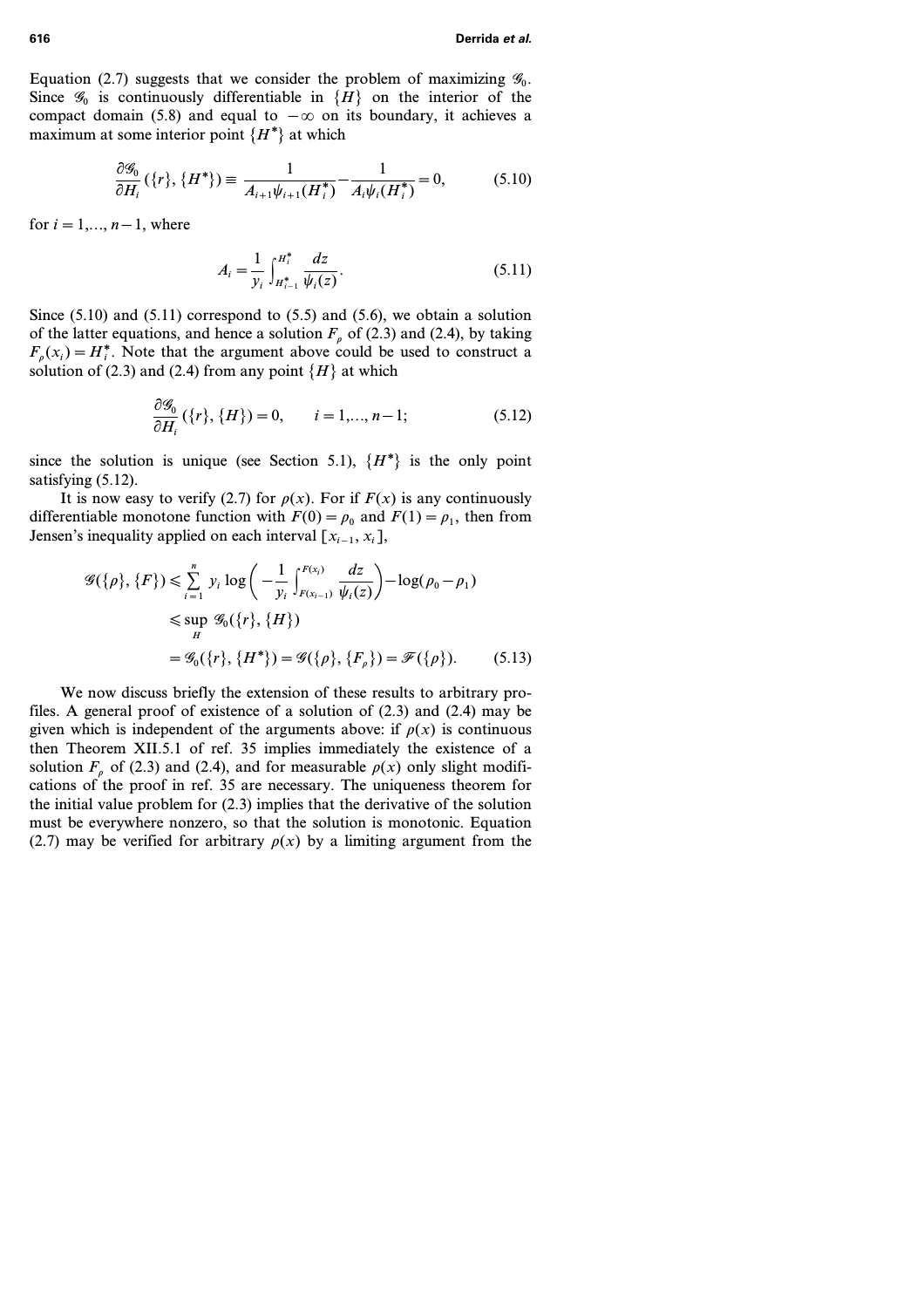Equation (2.7) suggests that we consider the problem of maximizing  $\mathscr{G}_0$ . Since  $\mathscr{G}_0$  is continuously differentiable in  $\{H\}$  on the interior of the compact domain (5.8) and equal to *−*. on its boundary, it achieves a maximum at some interior point  $\{H^*\}$  at which

$$
\frac{\partial \mathcal{G}_0}{\partial H_i}(\{r\}, \{H^*\}) \equiv \frac{1}{A_{i+1}\psi_{i+1}(H_i^*)} - \frac{1}{A_i\psi_i(H_i^*)} = 0,\tag{5.10}
$$

for  $i=1,..., n-1$ , where

$$
A_i = \frac{1}{y_i} \int_{H_{i-1}^*}^{H_i^*} \frac{dz}{\psi_i(z)}.
$$
 (5.11)

Since  $(5.10)$  and  $(5.11)$  correspond to  $(5.5)$  and  $(5.6)$ , we obtain a solution of the latter equations, and hence a solution  $F_p$  of (2.3) and (2.4), by taking  $F_p(x_i) = H_i^*$ . Note that the argument above could be used to construct a solution of (2.3) and (2.4) from any point  $\{H\}$  at which

$$
\frac{\partial \mathcal{G}_0}{\partial H_i} (\{r\}, \{H\}) = 0, \qquad i = 1, ..., n-1; \tag{5.12}
$$

since the solution is unique (see Section 5.1),  $\{H^*\}$  is the only point satisfying  $(5.12)$ .

It is now easy to verify (2.7) for  $\rho(x)$ . For if  $F(x)$  is any continuously differentiable monotone function with  $F(0) = \rho_0$  and  $F(1) = \rho_1$ , then from Jensen's inequality applied on each interval  $[x_{i-1}, x_i]$ ,

$$
\mathscr{G}(\{\rho\}, \{F\}) \leq \sum_{i=1}^{n} y_i \log \left( -\frac{1}{y_i} \int_{F(x_{i-1})}^{F(x_i)} \frac{dz}{\psi_i(z)} \right) - \log(\rho_0 - \rho_1)
$$
  

$$
\leq \sup_{H} \mathscr{G}_0(\{r\}, \{H\})
$$
  

$$
= \mathscr{G}_0(\{r\}, \{H^*\}) = \mathscr{G}(\{\rho\}, \{F_{\rho}\}) = \mathscr{F}(\{\rho\}).
$$
 (5.13)

We now discuss briefly the extension of these results to arbitrary profiles. A general proof of existence of a solution of (2.3) and (2.4) may be given which is independent of the arguments above: if  $\rho(x)$  is continuous then Theorem XII.5.1 of ref. 35 implies immediately the existence of a solution  $F$ <sup>*r*</sup> of (2.3) and (2.4), and for measurable  $\rho(x)$  only slight modifications of the proof in ref. 35 are necessary. The uniqueness theorem for the initial value problem for (2.3) implies that the derivative of the solution must be everywhere nonzero, so that the solution is monotonic. Equation (2.7) may be verified for arbitrary  $\rho(x)$  by a limiting argument from the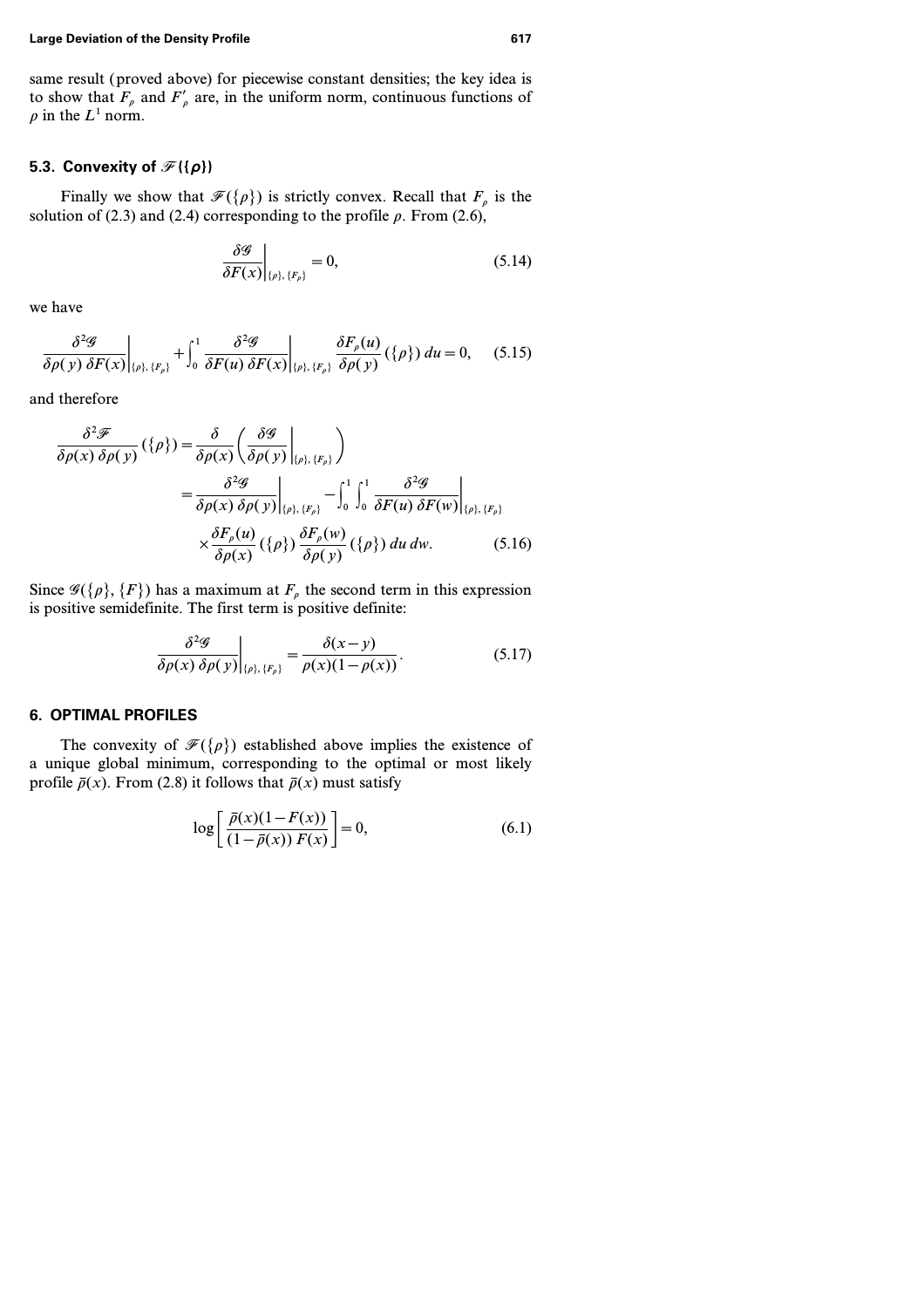same result (proved above) for piecewise constant densities; the key idea is to show that  $F_{\rho}$  and  $F'_{\rho}$  are, in the uniform norm, continuous functions of  $\rho$  in the  $L^1$  norm.

### **5.3. Convexity of**  $\mathcal{F}(\{\rho\})$

Finally we show that  $\mathcal{F}({\rho})$  is strictly convex. Recall that  $F_{\rho}$  is the solution of  $(2.3)$  and  $(2.4)$  corresponding to the profile  $\rho$ . From  $(2.6)$ ,

$$
\left. \frac{\delta \mathcal{G}}{\delta F(x)} \right|_{\{\rho\},\,\{F_{\rho}\}} = 0, \tag{5.14}
$$

we have

$$
\frac{\delta^2 \mathscr{G}}{\delta \rho(y) \delta F(x)}\bigg|_{\{\rho\},\{F_{\rho}\}} + \int_0^1 \frac{\delta^2 \mathscr{G}}{\delta F(u) \delta F(x)}\bigg|_{\{\rho\},\{F_{\rho}\}} \frac{\delta F_{\rho}(u)}{\delta \rho(y)} (\{\rho\}) du = 0, \quad (5.15)
$$

and therefore

$$
\frac{\delta^2 \mathcal{F}}{\delta \rho(x) \delta \rho(y)} (\{\rho\}) = \frac{\delta}{\delta \rho(x)} \left( \frac{\delta \mathcal{G}}{\delta \rho(y)} \Big|_{\{\rho\}, \{F_{\rho}\}} \right)
$$
  

$$
= \frac{\delta^2 \mathcal{G}}{\delta \rho(x) \delta \rho(y)} \Big|_{\{\rho\}, \{F_{\rho}\}} - \int_0^1 \int_0^1 \frac{\delta^2 \mathcal{G}}{\delta F(u) \delta F(w)} \Big|_{\{\rho\}, \{F_{\rho}\}} \times \frac{\delta F_{\rho}(u)}{\delta \rho(x)} (\{\rho\}) \frac{\delta F_{\rho}(w)}{\delta \rho(y)} (\{\rho\}) du dw. \tag{5.16}
$$

Since  $\mathscr{G}(\{\rho\}, \{F\})$  has a maximum at  $F_{\rho}$  the second term in this expression is positive semidefinite. The first term is positive definite:

$$
\frac{\delta^2 \mathscr{G}}{\delta \rho(x) \delta \rho(y)} \bigg|_{\{\rho\},\,\{F_\rho\}} = \frac{\delta(x-y)}{\rho(x)(1-\rho(x))}.
$$
\n(5.17)

### **6. OPTIMAL PROFILES**

The convexity of  $\mathcal{F}({\rho})$  established above implies the existence of a unique global minimum, corresponding to the optimal or most likely profile  $\bar{p}(x)$ . From (2.8) it follows that  $\bar{p}(x)$  must satisfy

$$
\log\left[\frac{\bar{\rho}(x)(1-F(x))}{(1-\bar{\rho}(x))F(x)}\right] = 0,\tag{6.1}
$$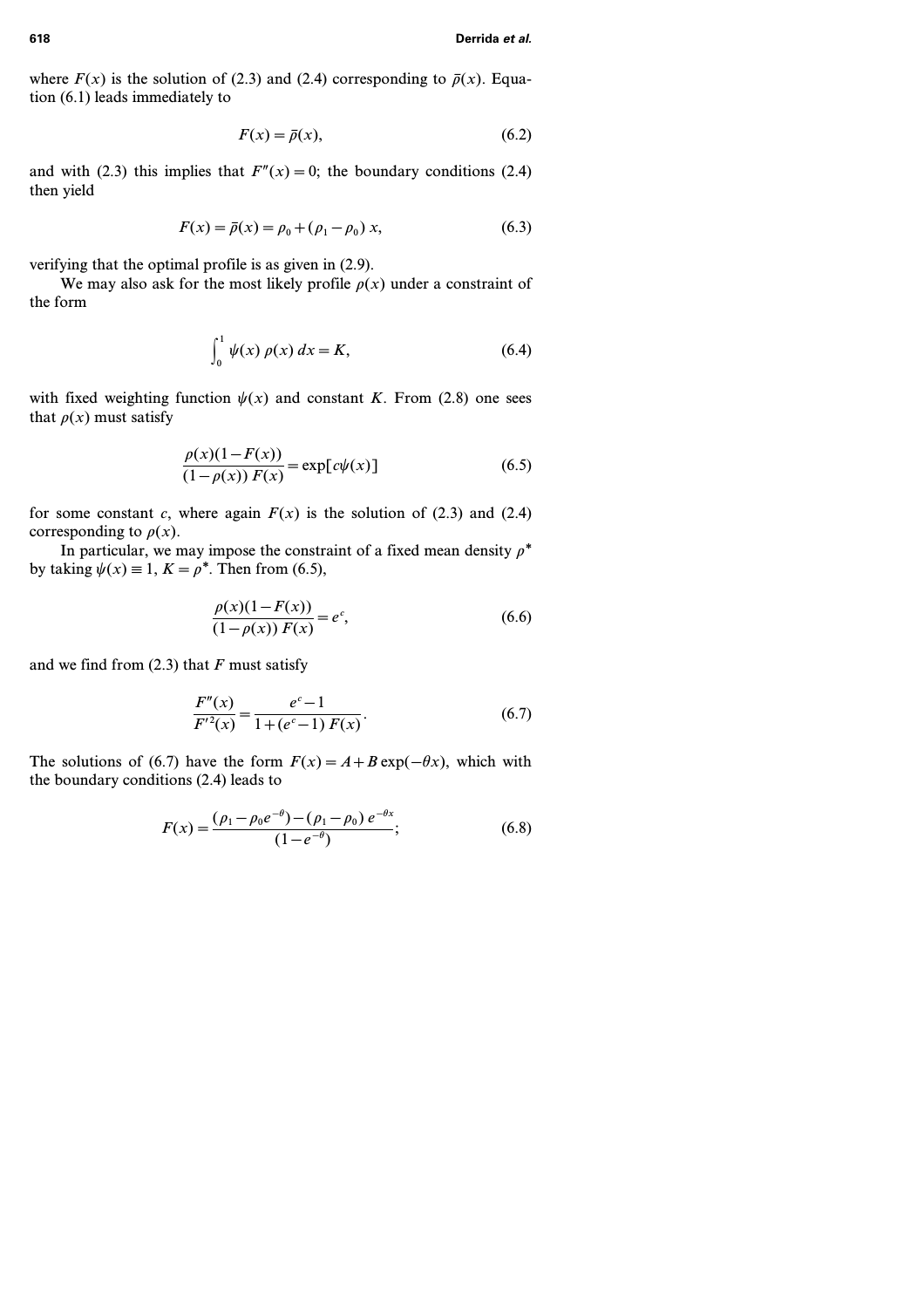where  $F(x)$  is the solution of (2.3) and (2.4) corresponding to  $\bar{p}(x)$ . Equation (6.1) leads immediately to

$$
F(x) = \bar{\rho}(x),\tag{6.2}
$$

and with (2.3) this implies that  $F''(x) = 0$ ; the boundary conditions (2.4) then yield

$$
F(x) = \bar{\rho}(x) = \rho_0 + (\rho_1 - \rho_0) x, \tag{6.3}
$$

verifying that the optimal profile is as given in (2.9).

We may also ask for the most likely profile  $\rho(x)$  under a constraint of the form

$$
\int_{0}^{1} \psi(x) \, \rho(x) \, dx = K,\tag{6.4}
$$

with fixed weighting function  $\psi(x)$  and constant *K*. From (2.8) one sees that  $\rho(x)$  must satisfy

$$
\frac{\rho(x)(1 - F(x))}{(1 - \rho(x)) F(x)} = \exp[c\psi(x)]
$$
\n(6.5)

for some constant *c*, where again  $F(x)$  is the solution of (2.3) and (2.4) corresponding to  $\rho(x)$ .

In particular, we may impose the constraint of a fixed mean density  $\rho^*$ by taking  $\psi(x) \equiv 1, K = \rho^*$ . Then from (6.5),

$$
\frac{\rho(x)(1 - F(x))}{(1 - \rho(x)) F(x)} = e^c,
$$
\n(6.6)

and we find from (2.3) that *F* must satisfy

$$
\frac{F''(x)}{F'^2(x)} = \frac{e^c - 1}{1 + (e^c - 1) F(x)}.
$$
\n(6.7)

The solutions of (6.7) have the form  $F(x) = A + B \exp(-\theta x)$ , which with the boundary conditions (2.4) leads to

$$
F(x) = \frac{(\rho_1 - \rho_0 e^{-\theta}) - (\rho_1 - \rho_0) e^{-\theta x}}{(1 - e^{-\theta})};
$$
\n(6.8)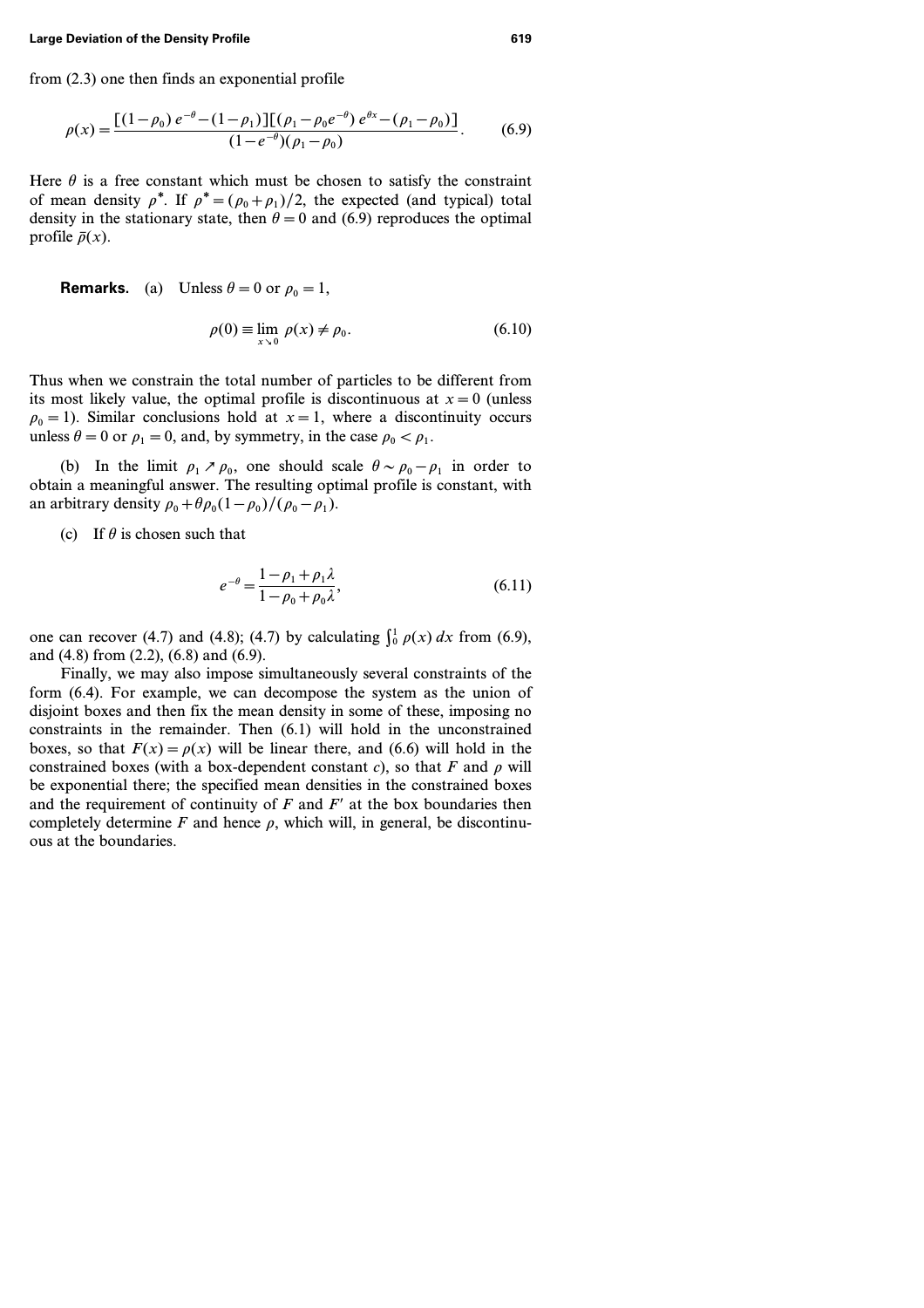from (2.3) one then finds an exponential profile

$$
\rho(x) = \frac{\left[ (1 - \rho_0) e^{-\theta} - (1 - \rho_1) \right] \left[ (\rho_1 - \rho_0 e^{-\theta}) e^{\theta x} - (\rho_1 - \rho_0) \right]}{(1 - e^{-\theta}) (\rho_1 - \rho_0)}.
$$
(6.9)

Here  $\theta$  is a free constant which must be chosen to satisfy the constraint of mean density  $\rho^*$ . If  $\rho^* = (\rho_0 + \rho_1)/2$ , the expected (and typical) total density in the stationary state, then  $\theta = 0$  and (6.9) reproduces the optimal profile  $\bar{p}(x)$ .

**Remarks.** (a) Unless  $\theta = 0$  or  $\rho_0 = 1$ ,

$$
\rho(0) \equiv \lim_{x \to 0} \rho(x) \neq \rho_0. \tag{6.10}
$$

Thus when we constrain the total number of particles to be different from its most likely value, the optimal profile is discontinuous at  $x=0$  (unless  $p_0 = 1$ ). Similar conclusions hold at  $x = 1$ , where a discontinuity occurs unless  $\theta = 0$  or  $\rho_1 = 0$ , and, by symmetry, in the case  $\rho_0 < \rho_1$ .

(b) In the limit  $\rho_1 \nearrow \rho_0$ , one should scale  $\theta \sim \rho_0 - \rho_1$  in order to obtain a meaningful answer. The resulting optimal profile is constant, with an arbitrary density  $\rho_0 + \theta \rho_0 (1 - \rho_0) / (\rho_0 - \rho_1)$ .

(c) If  $\theta$  is chosen such that

$$
e^{-\theta} = \frac{1 - \rho_1 + \rho_1 \lambda}{1 - \rho_0 + \rho_0 \lambda},
$$
\n(6.11)

one can recover (4.7) and (4.8); (4.7) by calculating  $\int_0^1 \rho(x) dx$  from (6.9), and (4.8) from (2.2), (6.8) and (6.9).

Finally, we may also impose simultaneously several constraints of the form (6.4). For example, we can decompose the system as the union of disjoint boxes and then fix the mean density in some of these, imposing no constraints in the remainder. Then (6.1) will hold in the unconstrained boxes, so that  $F(x) = \rho(x)$  will be linear there, and (6.6) will hold in the constrained boxes (with a box-dependent constant *c*), so that  $F$  and  $\rho$  will be exponential there; the specified mean densities in the constrained boxes and the requirement of continuity of  $F$  and  $F'$  at the box boundaries then completely determine  $F$  and hence  $\rho$ , which will, in general, be discontinuous at the boundaries.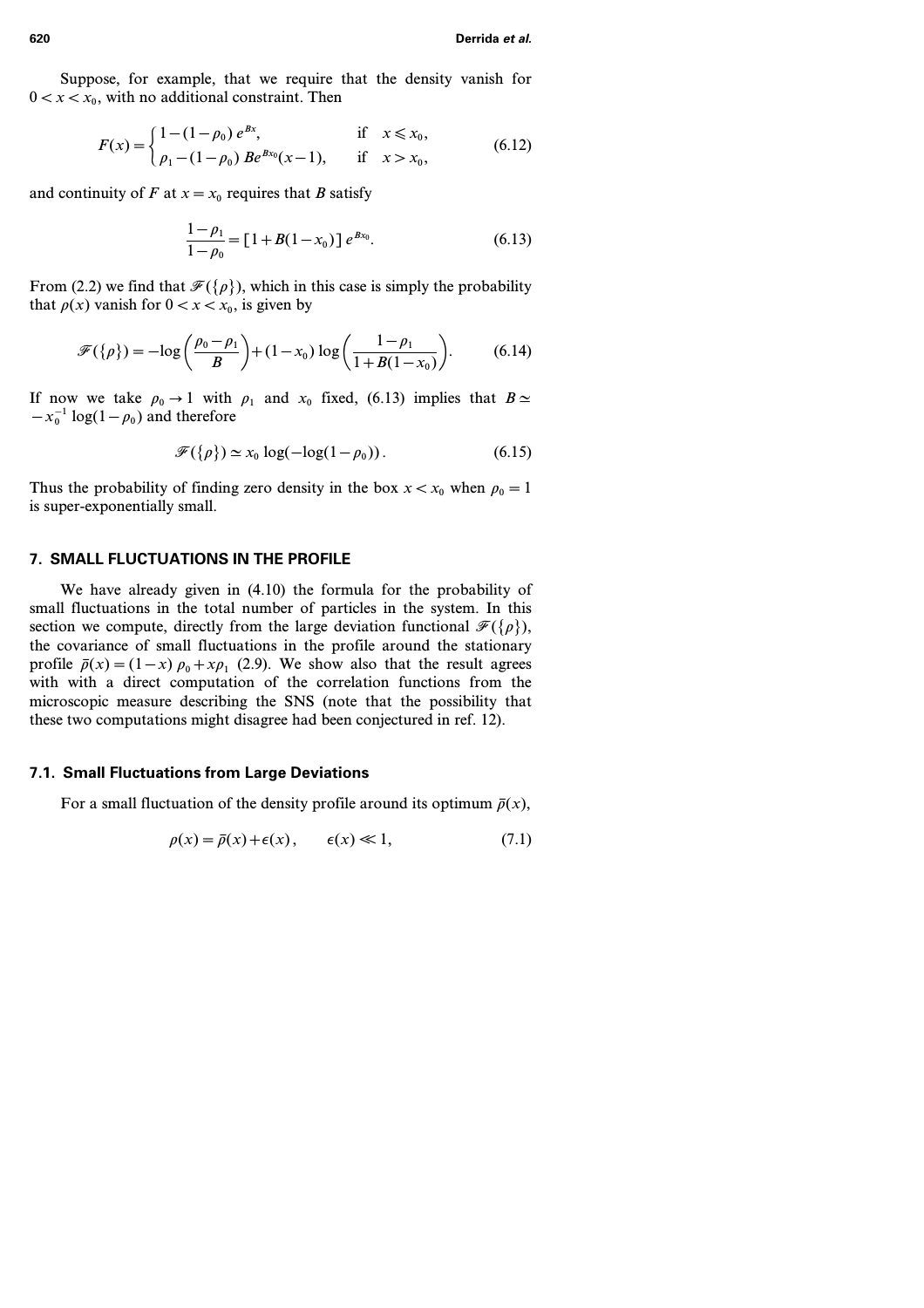Suppose, for example, that we require that the density vanish for  $0 < x < x_0$ , with no additional constraint. Then

$$
F(x) = \begin{cases} 1 - (1 - \rho_0) e^{Bx}, & \text{if } x \le x_0, \\ \rho_1 - (1 - \rho_0) B e^{Bx_0}(x - 1), & \text{if } x > x_0, \end{cases}
$$
(6.12)

and continuity of *F* at  $x = x_0$  requires that *B* satisfy

$$
\frac{1 - \rho_1}{1 - \rho_0} = [1 + B(1 - x_0)] e^{Bx_0}.
$$
 (6.13)

From (2.2) we find that  $\mathcal{F}({\rho})$ , which in this case is simply the probability that  $\rho(x)$  vanish for  $0 < x < x_0$ , is given by

$$
\mathscr{F}(\{\rho\}) = -\log\left(\frac{\rho_0 - \rho_1}{B}\right) + (1 - x_0) \log\left(\frac{1 - \rho_1}{1 + B(1 - x_0)}\right). \tag{6.14}
$$

If now we take  $\rho_0 \rightarrow 1$  with  $\rho_1$  and  $x_0$  fixed, (6.13) implies that  $B \simeq$  $-x_0^{-1} \log(1-\rho_0)$  and therefore

$$
\mathcal{F}(\{\rho\}) \simeq x_0 \log(-\log(1 - \rho_0)). \tag{6.15}
$$

Thus the probability of finding zero density in the box  $x < x_0$  when  $\rho_0 = 1$ is super-exponentially small.

### **7. SMALL FLUCTUATIONS IN THE PROFILE**

We have already given in (4.10) the formula for the probability of small fluctuations in the total number of particles in the system. In this section we compute, directly from the large deviation functional  $\mathcal{F}({\rho})$ , the covariance of small fluctuations in the profile around the stationary profile  $\bar{p}(x)=(1-x) p_0 + x p_1 (2.9)$ . We show also that the result agrees with with a direct computation of the correlation functions from the microscopic measure describing the SNS (note that the possibility that these two computations might disagree had been conjectured in ref. 12).

### **7.1. Small Fluctuations from Large Deviations**

For a small fluctuation of the density profile around its optimum  $\bar{p}(x)$ ,

$$
\rho(x) = \bar{\rho}(x) + \epsilon(x), \qquad \epsilon(x) \ll 1,
$$
\n(7.1)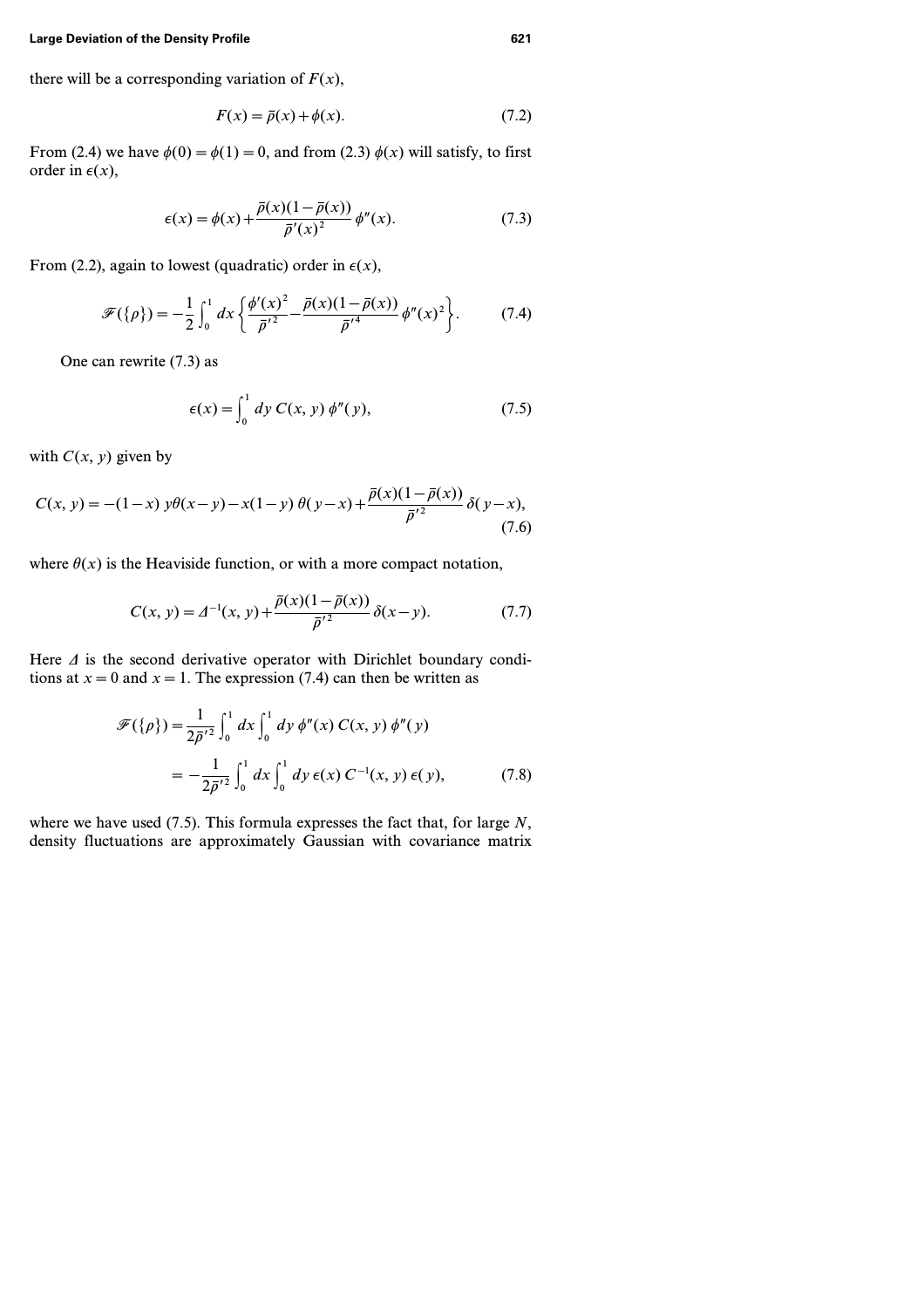there will be a corresponding variation of  $F(x)$ ,

$$
F(x) = \bar{\rho}(x) + \phi(x). \tag{7.2}
$$

From (2.4) we have  $\phi(0) = \phi(1) = 0$ , and from (2.3)  $\phi(x)$  will satisfy, to first order in  $\epsilon(x)$ ,

$$
\epsilon(x) = \phi(x) + \frac{\bar{\rho}(x)(1 - \bar{\rho}(x))}{\bar{\rho}'(x)^2} \phi''(x).
$$
 (7.3)

From (2.2), again to lowest (quadratic) order in  $\epsilon(x)$ ,

$$
\mathscr{F}(\{\rho\}) = -\frac{1}{2} \int_0^1 dx \left\{ \frac{\phi'(x)^2}{\bar{\rho}'^2} - \frac{\bar{\rho}(x)(1 - \bar{\rho}(x))}{\bar{\rho}'^4} \phi''(x)^2 \right\}.
$$
 (7.4)

One can rewrite (7.3) as

$$
\epsilon(x) = \int_0^1 dy \ C(x, y) \ \phi''(y), \tag{7.5}
$$

with  $C(x, y)$  given by

$$
C(x, y) = -(1-x) y\theta(x-y) - x(1-y) \theta(y-x) + \frac{\bar{\rho}(x)(1-\bar{\rho}(x))}{\bar{\rho}'^2} \delta(y-x),
$$
\n(7.6)

where  $\theta(x)$  is the Heaviside function, or with a more compact notation,

$$
C(x, y) = \Delta^{-1}(x, y) + \frac{\bar{\rho}(x)(1 - \bar{\rho}(x))}{\bar{\rho}'^2} \delta(x - y).
$$
 (7.7)

Here  $\Delta$  is the second derivative operator with Dirichlet boundary conditions at  $x = 0$  and  $x = 1$ . The expression (7.4) can then be written as

$$
\mathscr{F}(\{\rho\}) = \frac{1}{2\bar{\rho}'} 2 \int_0^1 dx \int_0^1 dy \, \phi''(x) \, C(x, y) \, \phi''(y)
$$

$$
= -\frac{1}{2\bar{\rho}'} 2 \int_0^1 dx \int_0^1 dy \, \epsilon(x) \, C^{-1}(x, y) \, \epsilon(y), \tag{7.8}
$$

where we have used (7.5). This formula expresses the fact that, for large *N*, density fluctuations are approximately Gaussian with covariance matrix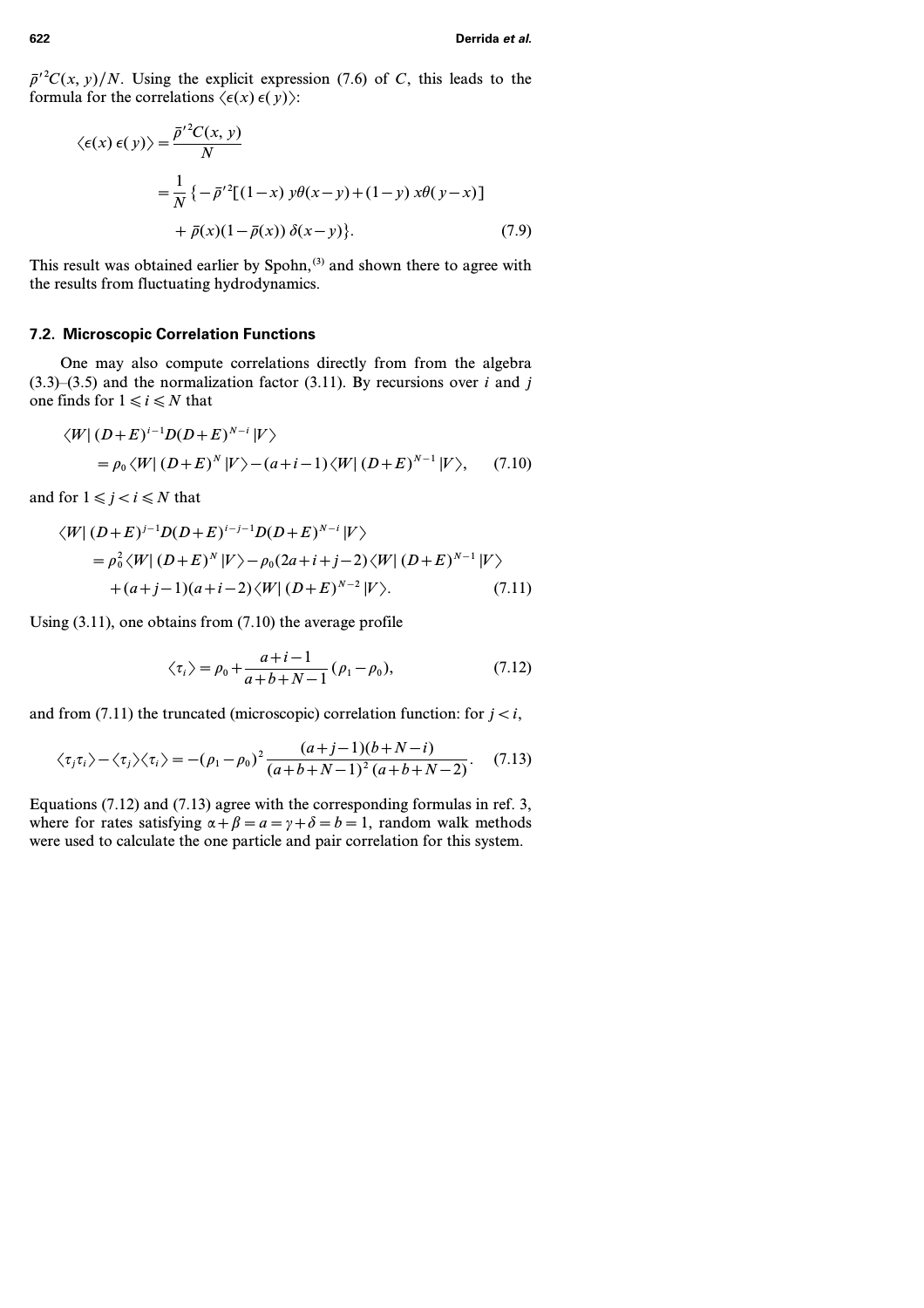$\bar{p}'^2C(x, y)/N$ . Using the explicit expression (7.6) of *C*, this leads to the formula for the correlations  $\langle \epsilon(x) \epsilon(y) \rangle$ :

$$
\langle \epsilon(x) \epsilon(y) \rangle = \frac{\bar{\rho}^{\prime 2} C(x, y)}{N}
$$
  
=  $\frac{1}{N} \{ -\bar{\rho}^{\prime 2} [(1-x) y \theta(x-y) + (1-y) x \theta(y-x) ]$   
+  $\bar{\rho}(x) (1-\bar{\rho}(x)) \delta(x-y) \}.$  (7.9)

This result was obtained earlier by Spohn,<sup>(3)</sup> and shown there to agree with the results from fluctuating hydrodynamics.

### **7.2. Microscopic Correlation Functions**

One may also compute correlations directly from from the algebra  $(3.3)$ – $(3.5)$  and the normalization factor  $(3.11)$ . By recursions over *i* and *j* one finds for  $1 \le i \le N$  that

$$
\langle W | (D+E)^{i-1} D(D+E)^{N-i} | V \rangle
$$
  
=  $\rho_0 \langle W | (D+E)^N | V \rangle - (a+i-1) \langle W | (D+E)^{N-1} | V \rangle,$  (7.10)

and for  $1 \leq j < i \leq N$  that

$$
\langle W | (D+E)^{j-1} D(D+E)^{i-j-1} D(D+E)^{N-i} | V \rangle
$$
  
=  $\rho_0^2 \langle W | (D+E)^N | V \rangle - \rho_0 (2a+i+j-2) \langle W | (D+E)^{N-1} | V \rangle$   
+  $(a+j-1)(a+i-2) \langle W | (D+E)^{N-2} | V \rangle$ . (7.11)

Using (3.11), one obtains from (7.10) the average profile

$$
\langle \tau_i \rangle = \rho_0 + \frac{a+i-1}{a+b+N-1} (\rho_1 - \rho_0),
$$
 (7.12)

and from  $(7.11)$  the truncated (microscopic) correlation function: for  $j < i$ ,

$$
\langle \tau_j \tau_i \rangle - \langle \tau_j \rangle \langle \tau_i \rangle = -(\rho_1 - \rho_0)^2 \frac{(a+j-1)(b+N-i)}{(a+b+N-1)^2 (a+b+N-2)}.
$$
 (7.13)

Equations (7.12) and (7.13) agree with the corresponding formulas in ref. 3, where for rates satisfying  $\alpha + \beta = a = \gamma + \delta = b = 1$ , random walk methods were used to calculate the one particle and pair correlation for this system.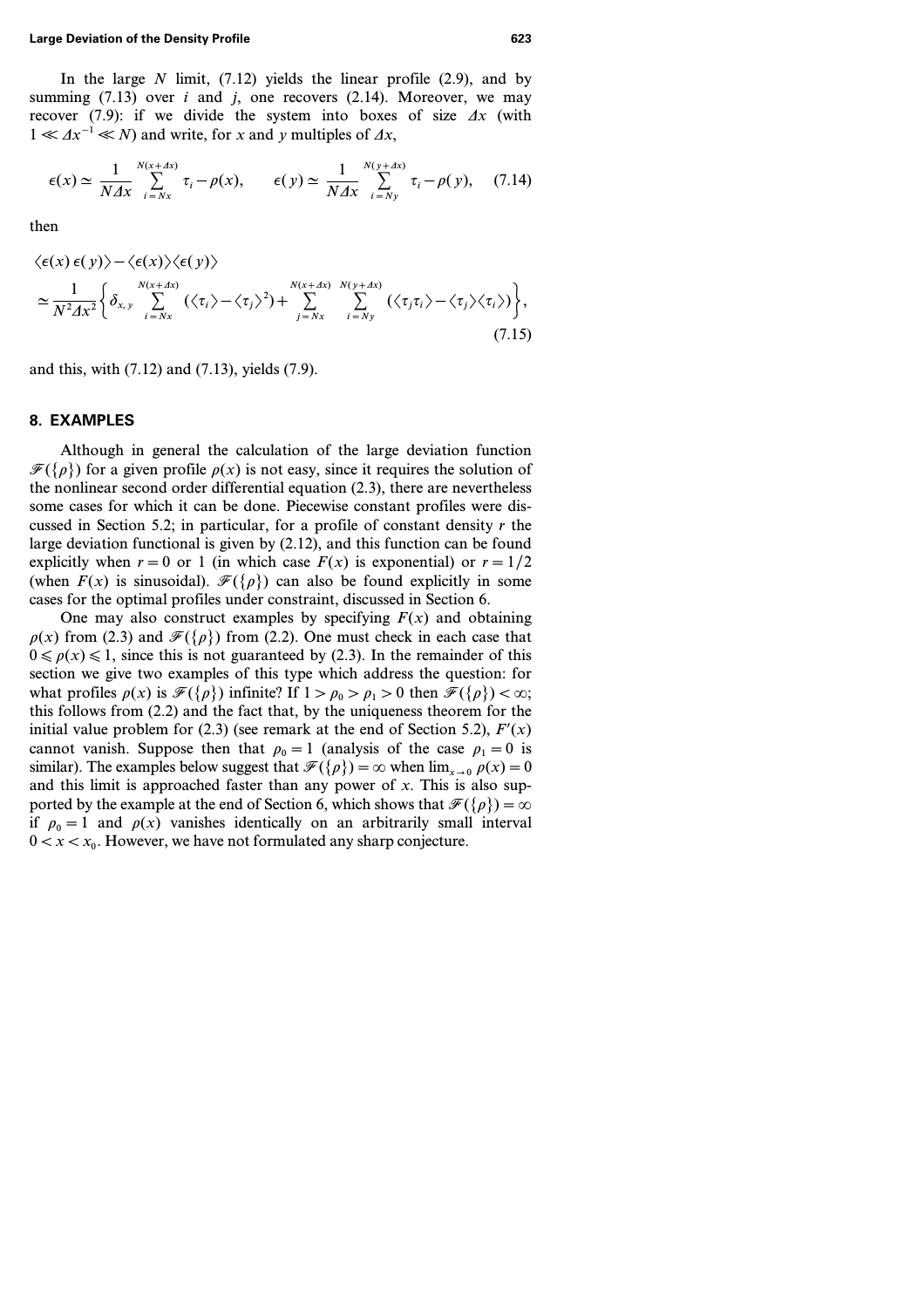In the large *N* limit, (7.12) yields the linear profile (2.9), and by summing  $(7.13)$  over *i* and *j*, one recovers  $(2.14)$ . Moreover, we may recover (7.9): if we divide the system into boxes of size  $\Delta x$  (with  $1 \ll \Delta x^{-1} \ll N$  and write, for *x* and *y* multiples of  $\Delta x$ ,

$$
\epsilon(x) \simeq \frac{1}{N\Delta x} \sum_{i=Nx}^{N(x+\Delta x)} \tau_i - \rho(x), \qquad \epsilon(y) \simeq \frac{1}{N\Delta x} \sum_{i=Ny}^{N(y+\Delta x)} \tau_i - \rho(y), \quad (7.14)
$$

then

$$
\langle \epsilon(x) \epsilon(y) \rangle - \langle \epsilon(x) \rangle \langle \epsilon(y) \rangle
$$
  
\n
$$
\simeq \frac{1}{N^2 \Delta x^2} \Biggl\{ \delta_{x, y} \sum_{i = Nx}^{N(x + \Delta x)} (\langle \tau_i \rangle - \langle \tau_j \rangle^2) + \sum_{j = Nx}^{N(x + \Delta x)} \sum_{i = Ny}^{N(y + \Delta x)} (\langle \tau_j \tau_i \rangle - \langle \tau_j \rangle \langle \tau_i \rangle) \Biggr\},
$$
\n(7.15)

and this, with (7.12) and (7.13), yields (7.9).

### **8. EXAMPLES**

Although in general the calculation of the large deviation function  $\mathcal{F}({\rho})$  for a given profile  $\rho(x)$  is not easy, since it requires the solution of the nonlinear second order differential equation (2.3), there are nevertheless some cases for which it can be done. Piecewise constant profiles were discussed in Section 5.2; in particular, for a profile of constant density *r* the large deviation functional is given by (2.12), and this function can be found explicitly when  $r=0$  or 1 (in which case  $F(x)$  is exponential) or  $r=1/2$ (when  $F(x)$  is sinusoidal).  $\mathcal{F}({\rho})$  can also be found explicitly in some cases for the optimal profiles under constraint, discussed in Section 6.

One may also construct examples by specifying  $F(x)$  and obtaining  $p(x)$  from (2.3) and  $\mathcal{F}({p})$  from (2.2). One must check in each case that  $0 \le \rho(x) \le 1$ , since this is not guaranteed by (2.3). In the remainder of this section we give two examples of this type which address the question: for what profiles  $\rho(x)$  is  $\mathcal{F}({\rho})$  infinite? If  $1 > \rho_0 > \rho_1 > 0$  then  $\mathcal{F}({\rho}) < \infty$ ; this follows from (2.2) and the fact that, by the uniqueness theorem for the initial value problem for (2.3) (see remark at the end of Section 5.2),  $F'(x)$ cannot vanish. Suppose then that  $\rho_0 = 1$  (analysis of the case  $\rho_1 = 0$  is similar). The examples below suggest that  $\mathcal{F}({\rho}) = \infty$  when  $\lim_{x \to 0} \rho(x) = 0$ and this limit is approached faster than any power of *x*. This is also supported by the example at the end of Section 6, which shows that  $\mathcal{F}({\rho})=\infty$ if  $\rho_0 = 1$  and  $\rho(x)$  vanishes identically on an arbitrarily small interval  $0 < x < x_0$ . However, we have not formulated any sharp conjecture.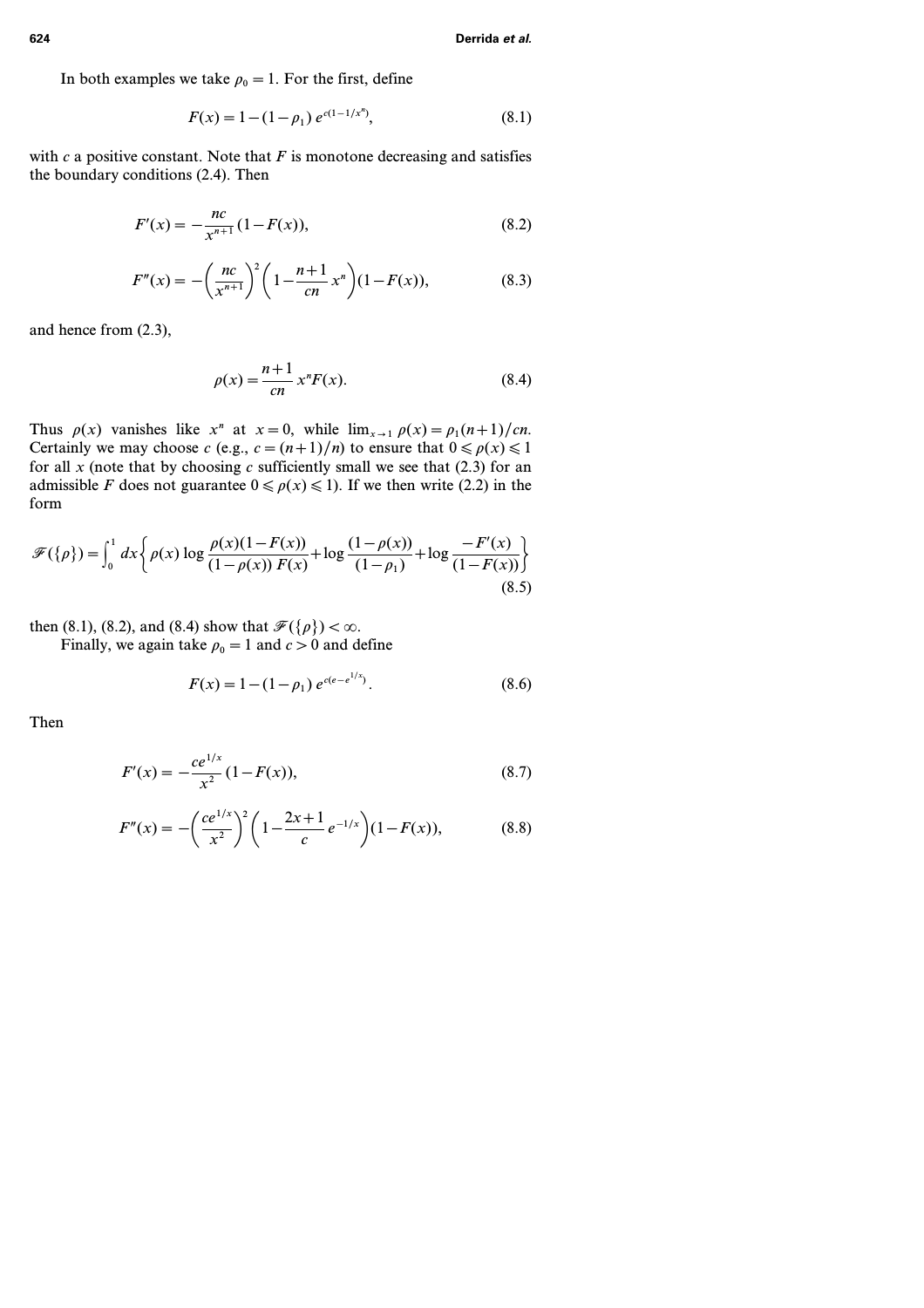In both examples we take  $\rho_0 = 1$ . For the first, define

$$
F(x) = 1 - (1 - \rho_1) e^{c(1 - 1/x^n)},
$$
\n(8.1)

with  $c$  a positive constant. Note that  $F$  is monotone decreasing and satisfies the boundary conditions (2.4). Then

$$
F'(x) = -\frac{nc}{x^{n+1}}(1 - F(x)),
$$
\n(8.2)

$$
F''(x) = -\left(\frac{nc}{x^{n+1}}\right)^2 \left(1 - \frac{n+1}{cn}x^n\right) (1 - F(x)),\tag{8.3}
$$

and hence from (2.3),

$$
\rho(x) = \frac{n+1}{cn} x^n F(x). \tag{8.4}
$$

Thus  $\rho(x)$  vanishes like  $x^n$  at  $x=0$ , while  $\lim_{x\to 1} \rho(x) = \rho_1(n+1)/cn$ . Certainly we may choose *c* (e.g.,  $c = (n+1)/n$ ) to ensure that  $0 \le \rho(x) \le 1$ for all  $x$  (note that by choosing  $c$  sufficiently small we see that (2.3) for an admissible *F* does not guarantee  $0 \leq \rho(x) \leq 1$ . If we then write (2.2) in the form

$$
\mathcal{F}(\{\rho\}) = \int_0^1 dx \left\{ \rho(x) \log \frac{\rho(x)(1 - F(x))}{(1 - \rho(x)) F(x)} + \log \frac{(1 - \rho(x))}{(1 - \rho_1)} + \log \frac{-F'(x)}{(1 - F(x))} \right\}
$$
(8.5)

then (8.1), (8.2), and (8.4) show that  $\mathcal{F}({p}) < \infty$ . Finally, we again take  $\rho_0 = 1$  and  $c > 0$  and define

$$
F(x) = 1 - (1 - \rho_1) e^{c(e - e^{1/x})}.
$$
 (8.6)

Then

$$
F'(x) = -\frac{ce^{1/x}}{x^2} (1 - F(x)),
$$
\n(8.7)

$$
F''(x) = -\left(\frac{ce^{1/x}}{x^2}\right)^2 \left(1 - \frac{2x+1}{c}e^{-1/x}\right) (1 - F(x)),\tag{8.8}
$$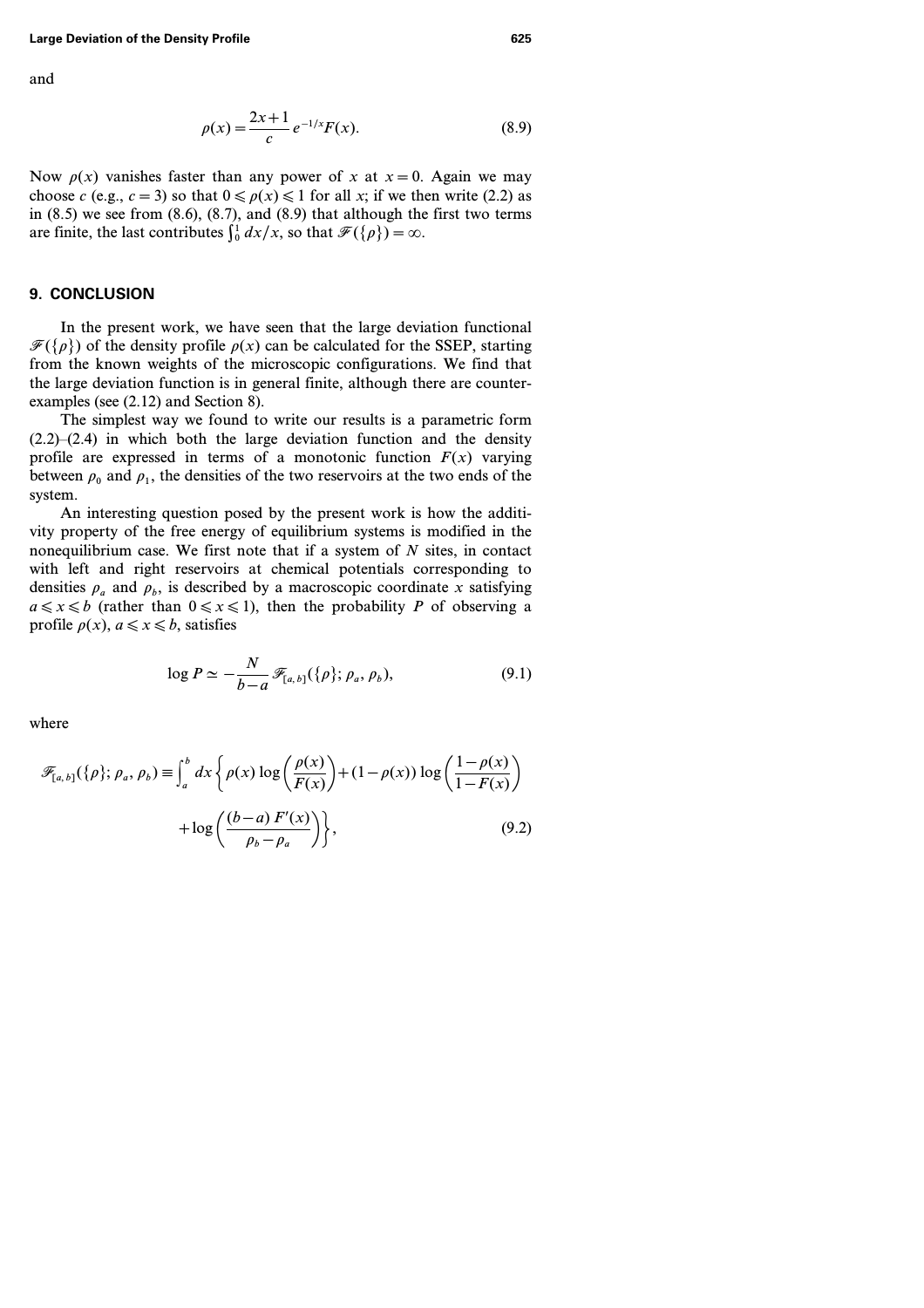and

$$
\rho(x) = \frac{2x+1}{c} e^{-1/x} F(x).
$$
 (8.9)

Now  $\rho(x)$  vanishes faster than any power of *x* at  $x = 0$ . Again we may choose *c* (e.g., *c* = 3) so that  $0 \le p(x) \le 1$  for all *x*; if we then write (2.2) as in  $(8.5)$  we see from  $(8.6)$ ,  $(8.7)$ , and  $(8.9)$  that although the first two terms are finite, the last contributes  $\int_0^1 dx/x$ , so that  $\mathcal{F}(\{\rho\}) = \infty$ .

### **9. CONCLUSION**

In the present work, we have seen that the large deviation functional  $\mathcal{F}({\rho})$  of the density profile  $\rho(x)$  can be calculated for the SSEP, starting from the known weights of the microscopic configurations. We find that the large deviation function is in general finite, although there are counterexamples (see (2.12) and Section 8).

The simplest way we found to write our results is a parametric form  $(2.2)$ – $(2.4)$  in which both the large deviation function and the density profile are expressed in terms of a monotonic function  $F(x)$  varying between  $\rho_0$  and  $\rho_1$ , the densities of the two reservoirs at the two ends of the system.

An interesting question posed by the present work is how the additivity property of the free energy of equilibrium systems is modified in the nonequilibrium case. We first note that if a system of *N* sites, in contact with left and right reservoirs at chemical potentials corresponding to densities  $\rho_a$  and  $\rho_b$ , is described by a macroscopic coordinate *x* satisfying  $a \le x \le b$  (rather than  $0 \le x \le 1$ ), then the probability *P* of observing a profile  $\rho(x)$ ,  $a \le x \le b$ , satisfies

$$
\log P \simeq -\frac{N}{b-a} \mathscr{F}_{[a,b]}(\{\rho\};\rho_a,\rho_b),\tag{9.1}
$$

$$
\mathscr{F}_{[a,b]}(\{\rho\};\rho_a,\rho_b) \equiv \int_a^b dx \left\{ \rho(x) \log \left( \frac{\rho(x)}{F(x)} \right) + (1 - \rho(x)) \log \left( \frac{1 - \rho(x)}{1 - F(x)} \right) + \log \left( \frac{(b - a) F'(x)}{\rho_b - \rho_a} \right) \right\},\tag{9.2}
$$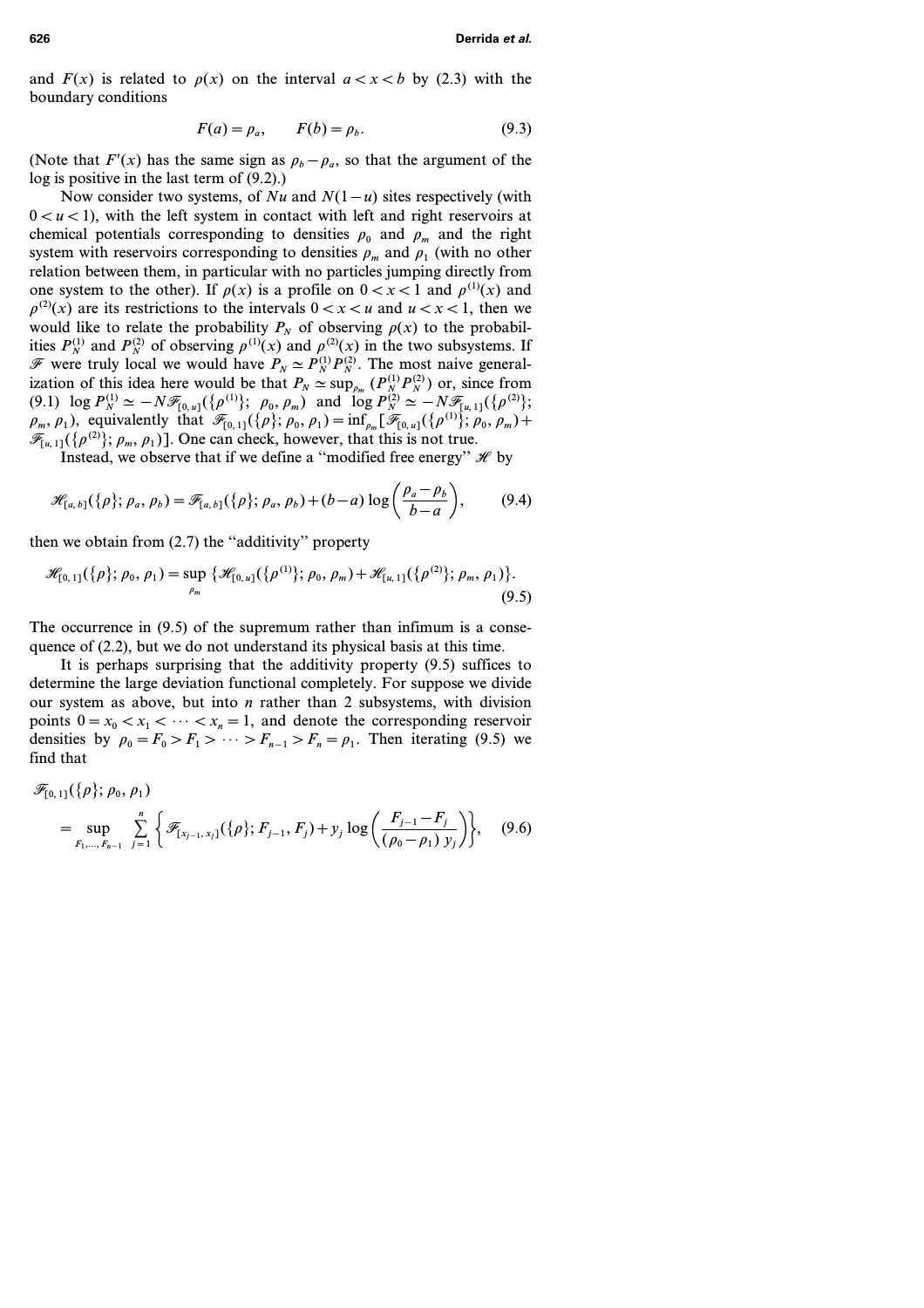and  $F(x)$  is related to  $\rho(x)$  on the interval  $a < x < b$  by (2.3) with the boundary conditions

$$
F(a) = \rho_a, \qquad F(b) = \rho_b. \tag{9.3}
$$

(Note that *F'(x)* has the same sign as  $\rho_b - \rho_a$ , so that the argument of the log is positive in the last term of (9.2).)

Now consider two systems, of *Nu* and *N(1 − u)* sites respectively (with  $0 < u < 1$ ), with the left system in contact with left and right reservoirs at chemical potentials corresponding to densities  $\rho_0$  and  $\rho_m$  and the right system with reservoirs corresponding to densities  $\rho_m$  and  $\rho_1$  (with no other relation between them, in particular with no particles jumping directly from one system to the other). If  $\rho(x)$  is a profile on  $0 < x < 1$  and  $\rho^{(1)}(x)$  and  $p^{(2)}(x)$  are its restrictions to the intervals  $0 < x < u$  and  $u < x < 1$ , then we would like to relate the probability  $P<sub>N</sub>$  of observing  $\rho(x)$  to the probabilities  $P_N^{(1)}$  and  $P_N^{(2)}$  of observing  $\rho^{(1)}(x)$  and  $\rho^{(2)}(x)$  in the two subsystems. If F were truly local we would have  $P_N \simeq P_N^{(1)} P_N^{(2)}$ . The most naive generalization of this idea here would be that  $P_N \simeq \sup_{\rho_m} (P_N^{(1)} P_N^{(2)})$  or, since from (9.1)  $\log P_N^{(1)} \simeq -N \mathcal{F}_{[0,u]}(\{\rho^{(1)}\}; \ \rho_0, \rho_m)$  and  $\log P_N^{(2)} \simeq -N \mathcal{F}_{[u,1]}(\{\rho^{(2)}\};$  $\rho_m$ ,  $\rho_1$ ), equivalently that  $\mathscr{F}_{[0,1]}(\{\rho\};\rho_0,\rho_1) = \inf_{\rho_m} [\mathscr{F}_{[0,u]}(\{\rho^{(1)}\};\rho_0,\rho_m) +$  $\mathcal{F}_{[u, 1]}(\{\rho^{(2)}\}; \rho_m, \rho_1)\}\)$ . One can check, however, that this is not true.

Instead, we observe that if we define a "modified free energy"  $\mathcal{H}$  by

$$
\mathscr{H}_{[a,b]}(\{\rho\};\rho_a,\rho_b) = \mathscr{F}_{[a,b]}(\{\rho\};\rho_a,\rho_b) + (b-a)\log\left(\frac{\rho_a-\rho_b}{b-a}\right),\tag{9.4}
$$

then we obtain from  $(2.7)$  the "additivity" property

$$
\mathscr{H}_{[0,1]}(\{\rho\};\rho_0,\rho_1)=\sup_{\rho_m}\{\mathscr{H}_{[0,u]}(\{\rho^{(1)}\};\rho_0,\rho_m)+\mathscr{H}_{[u,1]}(\{\rho^{(2)}\};\rho_m,\rho_1)\}.
$$
\n(9.5)

The occurrence in (9.5) of the supremum rather than infimum is a consequence of (2.2), but we do not understand its physical basis at this time.

It is perhaps surprising that the additivity property (9.5) suffices to determine the large deviation functional completely. For suppose we divide our system as above, but into *n* rather than 2 subsystems, with division points  $0 = x_0 < x_1 < \cdots < x_n = 1$ , and denote the corresponding reservoir densities by  $\rho_0 = F_0 > F_1 > \cdots > F_{n-1} > F_n = \rho_1$ . Then iterating (9.5) we find that

$$
\mathscr{F}_{[0,1]}(\{\rho\};\rho_0,\rho_1)
$$
\n
$$
= \sup_{F_1,\dots,F_{n-1}} \sum_{j=1}^n \left\{ \mathscr{F}_{[x_{j-1},x_j]}(\{\rho\};F_{j-1},F_j) + y_j \log \left( \frac{F_{j-1} - F_j}{(\rho_0 - \rho_1) y_j} \right) \right\}, \quad (9.6)
$$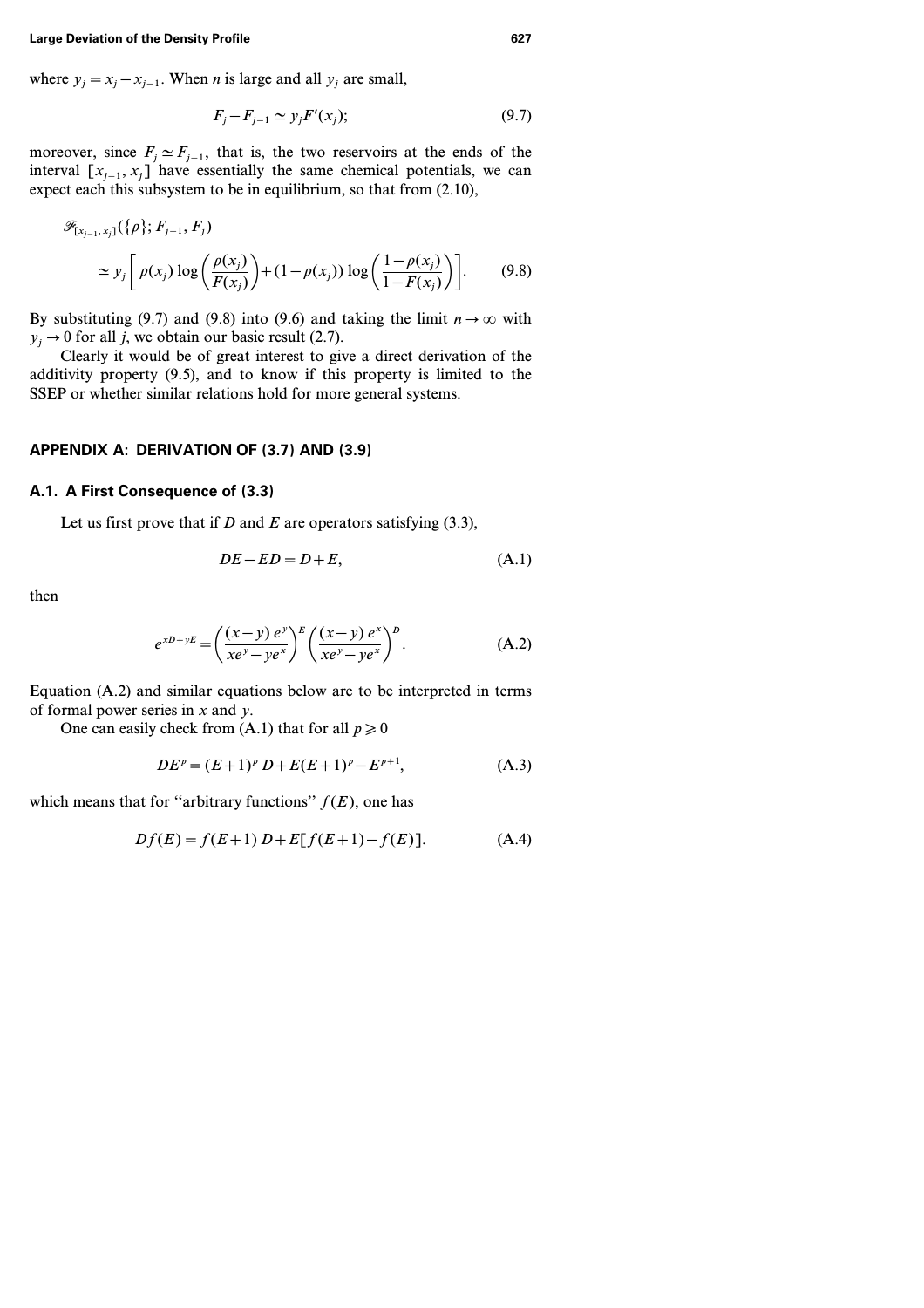where  $y_i = x_i - x_{i-1}$ . When *n* is large and all  $y_i$  are small,

$$
F_j - F_{j-1} \simeq y_j F'(x_j); \tag{9.7}
$$

moreover, since  $F_j \simeq F_{j-1}$ , that is, the two reservoirs at the ends of the interval  $[x_{i-1}, x_i]$  have essentially the same chemical potentials, we can expect each this subsystem to be in equilibrium, so that from (2.10),

$$
\mathscr{F}_{[x_{j-1}, x_j]}(\{\rho\}; F_{j-1}, F_j)
$$
\n
$$
\simeq y_j \left[ \rho(x_j) \log \left( \frac{\rho(x_j)}{F(x_j)} \right) + (1 - \rho(x_j)) \log \left( \frac{1 - \rho(x_j)}{1 - F(x_j)} \right) \right].
$$
\n(9.8)

By substituting (9.7) and (9.8) into (9.6) and taking the limit  $n \to \infty$  with  $y_i \rightarrow 0$  for all *j*, we obtain our basic result (2.7).

Clearly it would be of great interest to give a direct derivation of the additivity property (9.5), and to know if this property is limited to the SSEP or whether similar relations hold for more general systems.

### **APPENDIX A: DERIVATION OF (3.7) AND (3.9)**

# **A.1. A First Consequence of (3.3)**

Let us first prove that if *D* and *E* are operators satisfying (3.3),

$$
DE - ED = D + E,\tag{A.1}
$$

then

$$
e^{xD+ yE} = \left(\frac{(x-y) e^y}{xe^y - ye^x}\right)^E \left(\frac{(x-y) e^x}{xe^y - ye^x}\right)^D.
$$
 (A.2)

Equation (A.2) and similar equations below are to be interpreted in terms of formal power series in *x* and *y*.

One can easily check from (A.1) that for all  $p \ge 0$ 

$$
DEp = (E+1)p D + E(E+1)p - Ep+1,
$$
 (A.3)

which means that for "arbitrary functions"  $f(E)$ , one has

$$
Df(E) = f(E+1) D + E[f(E+1) - f(E)].
$$
 (A.4)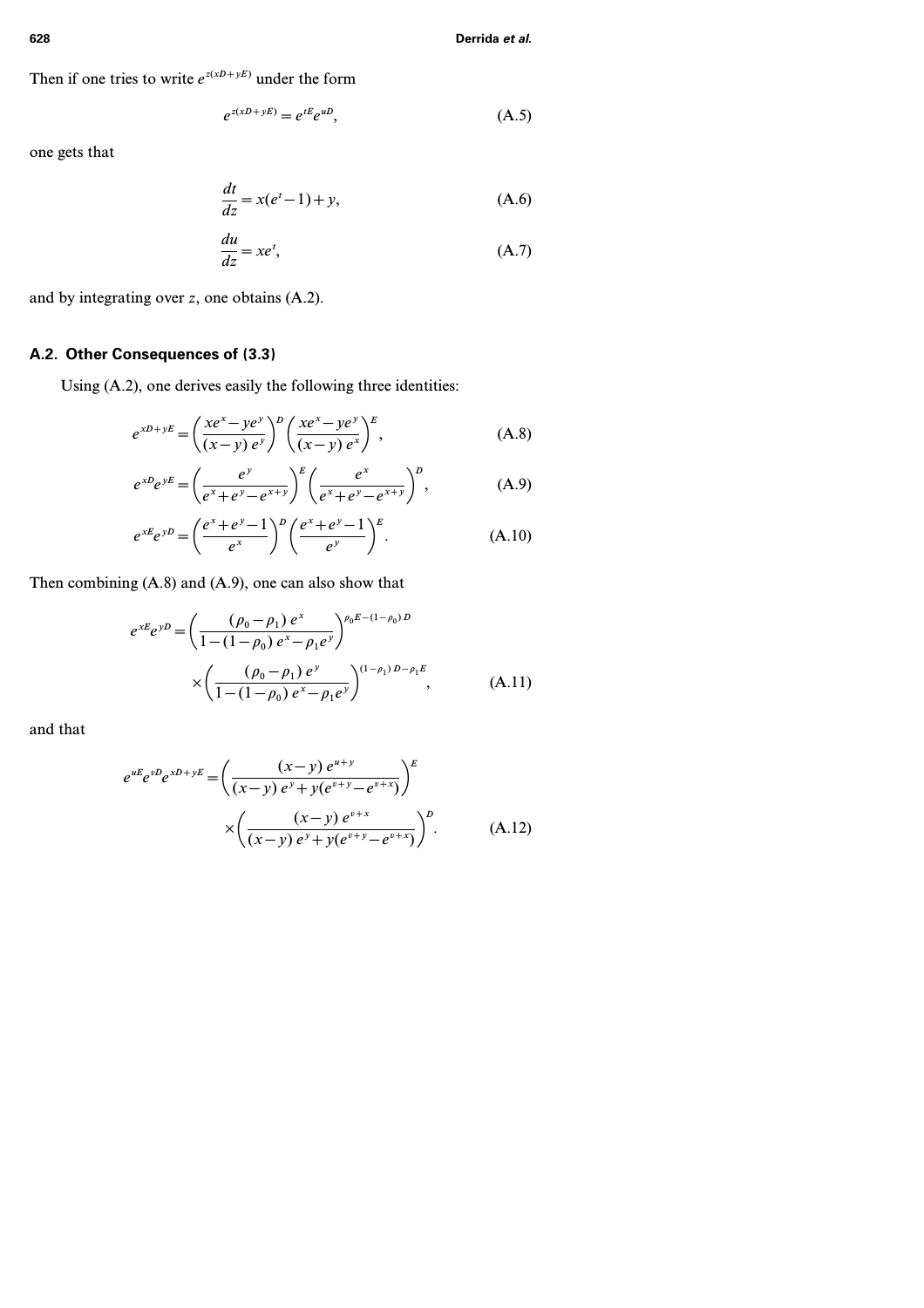Then if one tries to write  $e^{z(xD+yE)}$  under the form

$$
e^{z(xD+yE)} = e^{tE}e^{uD},\tag{A.5}
$$

one gets that

$$
\frac{dt}{dz} = x(e^t - 1) + y,
$$
\n(A.6)  
\n
$$
\frac{du}{dz} = xe^t,
$$
\n(A.7)

and by integrating over *z*, one obtains (A.2).

# **A.2. Other Consequences of (3.3)**

Using (A.2), one derives easily the following three identities:

$$
e^{xD+ yE} = \left(\frac{xe^x - ye^y}{(x-y)e^y}\right)^D \left(\frac{xe^x - ye^y}{(x-y)e^x}\right)^E, \tag{A.8}
$$

$$
e^{xD}e^{yE} = \left(\frac{e^y}{e^x + e^y - e^{x+y}}\right)^E \left(\frac{e^x}{e^x + e^y - e^{x+y}}\right)^p, \tag{A.9}
$$

$$
e^{xE}e^{yD} = \left(\frac{e^x + e^y - 1}{e^x}\right)^D \left(\frac{e^x + e^y - 1}{e^y}\right)^E.
$$
 (A.10)

Then combining (A.8) and (A.9), one can also show that

$$
e^{xE}e^{yD} = \left(\frac{(\rho_0 - \rho_1) e^x}{1 - (1 - \rho_0) e^x - \rho_1 e^y}\right)^{\rho_0 E - (1 - \rho_0) D}
$$
  
 
$$
\times \left(\frac{(\rho_0 - \rho_1) e^y}{1 - (1 - \rho_0) e^x - \rho_1 e^y}\right)^{(1 - \rho_1) D - \rho_1 E}, \tag{A.11}
$$

and that

$$
e^{uE}e^{vD}e^{xD+yE} = \left(\frac{(x-y) e^{u+y}}{(x-y) e^y + y(e^{v+y} - e^{v+x})}\right)^E
$$

$$
\times \left(\frac{(x-y) e^{v+x}}{(x-y) e^y + y(e^{v+y} - e^{v+x})}\right)^D.
$$
(A.12)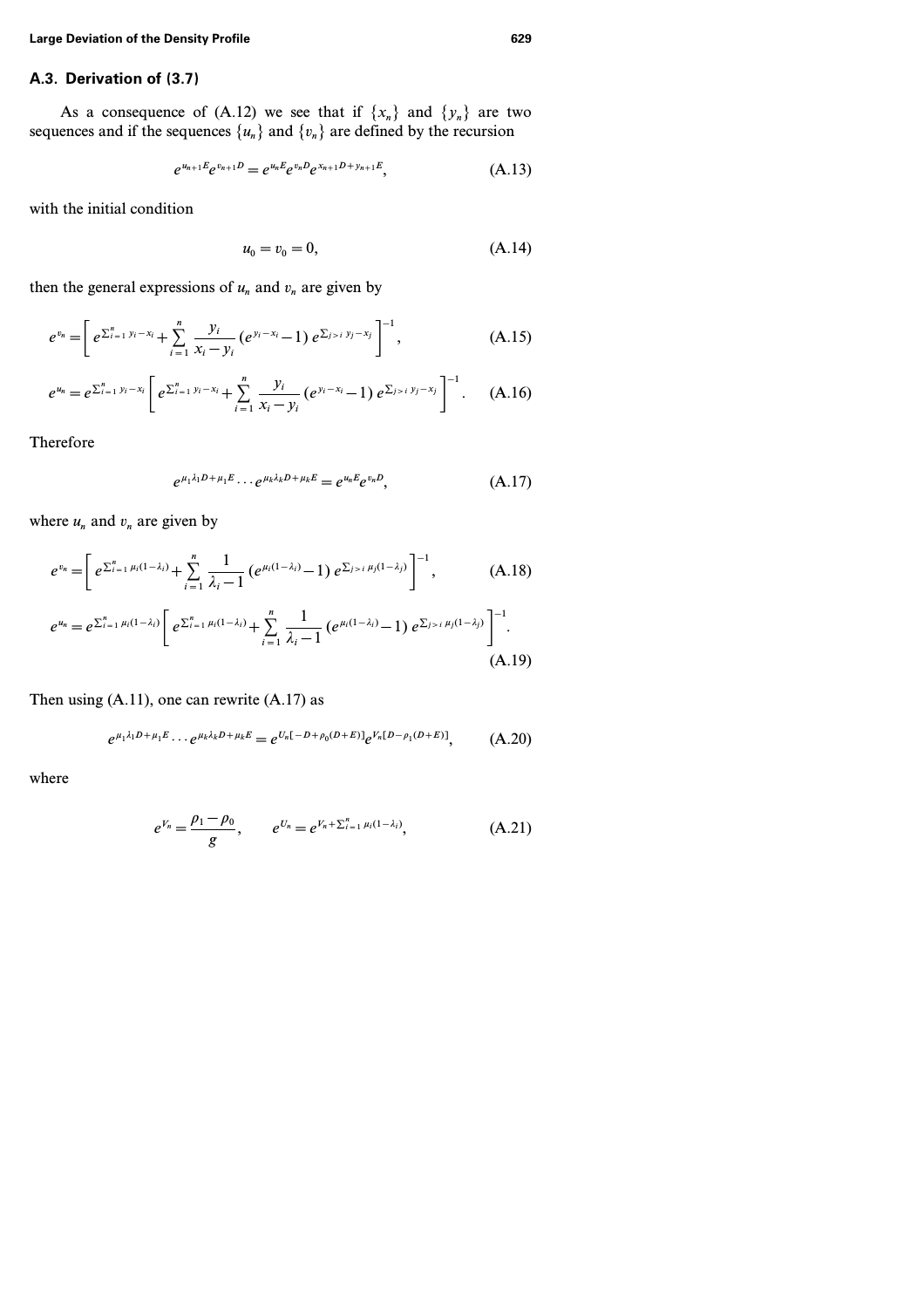# **A.3. Derivation of (3.7)**

As a consequence of (A.12) we see that if  $\{x_n\}$  and  $\{y_n\}$  are two sequences and if the sequences  $\{u_n\}$  and  $\{v_n\}$  are defined by the recursion

$$
e^{u_{n+1}E}e^{v_{n+1}D}=e^{u_nE}e^{v_nD}e^{x_{n+1}D+y_{n+1}E}, \qquad (A.13)
$$

with the initial condition

$$
u_0 = v_0 = 0,\t\t(A.14)
$$

then the general expressions of  $u_n$  and  $v_n$  are given by

$$
e^{v_n} = \left[ e^{\sum_{i=1}^n y_i - x_i} + \sum_{i=1}^n \frac{y_i}{x_i - y_i} \left( e^{y_i - x_i} - 1 \right) e^{\sum_{j>i} y_j - x_j} \right]^{-1}, \tag{A.15}
$$

$$
e^{u_n}=e^{\sum_{i=1}^n y_i-x_i}\left[e^{\sum_{i=1}^n y_i-x_i}+\sum_{i=1}^n\frac{y_i}{x_i-y_i}(e^{y_i-x_i}-1)e^{\sum_{j>i}y_j-x_j}\right]^{-1}.\quad (A.16)
$$

Therefore

$$
e^{\mu_1 \lambda_1 D + \mu_1 E} \cdots e^{\mu_k \lambda_k D + \mu_k E} = e^{\mu_n E} e^{\nu_n D}, \tag{A.17}
$$

where  $u_n$  and  $v_n$  are given by

$$
e^{v_n} = \left[ e^{\sum_{i=1}^n \mu_i (1-\lambda_i)} + \sum_{i=1}^n \frac{1}{\lambda_i - 1} \left( e^{\mu_i (1-\lambda_i)} - 1 \right) e^{\sum_{j>i} \mu_j (1-\lambda_j)} \right]^{-1}, \quad (A.18)
$$

$$
e^{u_n} = e^{\sum_{i=1}^n \mu_i (1-\lambda_i)} \left[ e^{\sum_{i=1}^n \mu_i (1-\lambda_i)} + \sum_{i=1}^n \frac{1}{\lambda_i - 1} \left( e^{\mu_i (1-\lambda_i)} - 1 \right) e^{\sum_{j>i} \mu_j (1-\lambda_j)} \right]^{-1}.
$$
\n(A.19)

Then using (A.11), one can rewrite (A.17) as

$$
e^{\mu_1 \lambda_1 D + \mu_1 E} \cdots e^{\mu_k \lambda_k D + \mu_k E} = e^{U_n [-D + \rho_0 (D + E)]} e^{V_n [D - \rho_1 (D + E)]}, \tag{A.20}
$$

$$
e^{V_n} = \frac{\rho_1 - \rho_0}{g}, \qquad e^{U_n} = e^{V_n + \sum_{i=1}^n \mu_i (1 - \lambda_i)}, \tag{A.21}
$$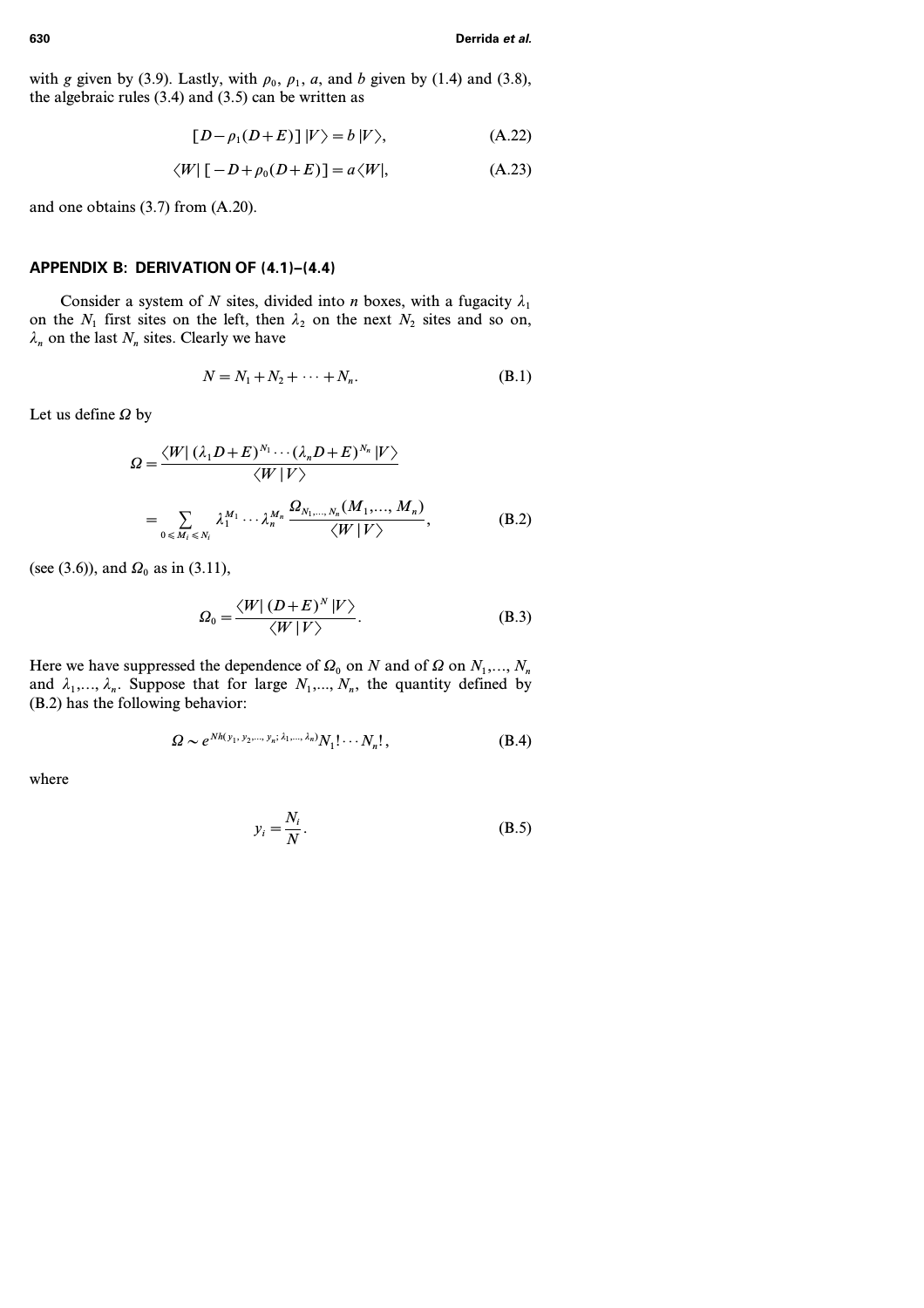with *g* given by (3.9). Lastly, with  $\rho_0$ ,  $\rho_1$ , *a*, and *b* given by (1.4) and (3.8), the algebraic rules  $(3.4)$  and  $(3.5)$  can be written as

$$
[D - \rho_1(D+E)] |V\rangle = b |V\rangle, \qquad (A.22)
$$

$$
\langle W | [-D + \rho_0 (D + E)] = a \langle W |,
$$
 (A.23)

and one obtains (3.7) from (A.20).

# **APPENDIX B: DERIVATION OF (4.1)–(4.4)**

Consider a system of *N* sites, divided into *n* boxes, with a fugacity  $\lambda_1$ on the  $N_1$  first sites on the left, then  $\lambda_2$  on the next  $N_2$  sites and so on,  $\lambda_n$  on the last  $N_n$  sites. Clearly we have

$$
N = N_1 + N_2 + \dots + N_n. \tag{B.1}
$$

Let us define  $\Omega$  by

$$
\Omega = \frac{\langle W | (\lambda_1 D + E)^{N_1} \cdots (\lambda_n D + E)^{N_n} | V \rangle}{\langle W | V \rangle}
$$
  
= 
$$
\sum_{0 \le M_i \le N_i} \lambda_1^{M_1} \cdots \lambda_n^{M_n} \frac{\Omega_{N_1, \dots, N_n} (M_1, \dots, M_n)}{\langle W | V \rangle},
$$
 (B.2)

(see (3.6)), and  $\Omega_0$  as in (3.11),

$$
\Omega_0 = \frac{\langle W | (D+E)^N | V \rangle}{\langle W | V \rangle}.
$$
\n(B.3)

Here we have suppressed the dependence of  $\Omega_0$  on *N* and of  $\Omega$  on  $N_1, \ldots, N_n$ and  $\lambda_1, \ldots, \lambda_n$ . Suppose that for large  $N_1, \ldots, N_n$ , the quantity defined by (B.2) has the following behavior:

$$
\Omega \sim e^{Nh(y_1, y_2, \dots, y_n; \lambda_1, \dots, \lambda_n)} N_1! \cdots N_n!,
$$
\n(B.4)

$$
y_i = \frac{N_i}{N}.\tag{B.5}
$$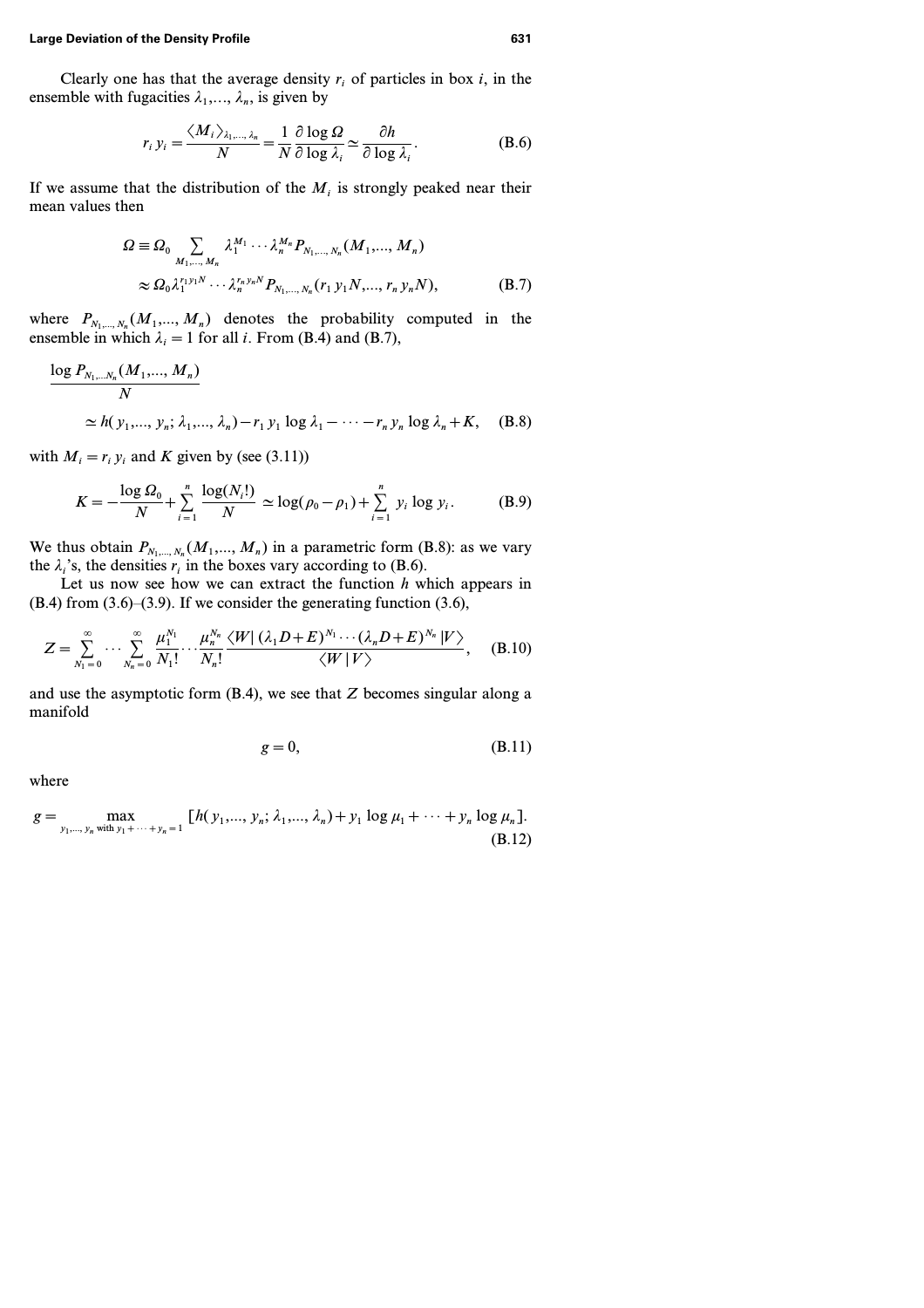Clearly one has that the average density  $r_i$  of particles in box  $i$ , in the ensemble with fugacities  $\lambda_1, \ldots, \lambda_n$ , is given by

$$
r_i y_i = \frac{\langle M_i \rangle_{\lambda_1, \dots, \lambda_n}}{N} = \frac{1}{N} \frac{\partial \log \Omega}{\partial \log \lambda_i} \simeq \frac{\partial h}{\partial \log \lambda_i}.
$$
 (B.6)

If we assume that the distribution of the  $M_i$  is strongly peaked near their mean values then

$$
\Omega \equiv \Omega_0 \sum_{M_1,\dots,M_n} \lambda_1^{M_1} \cdots \lambda_n^{M_n} P_{N_1,\dots,N_n}(M_1,\dots,M_n)
$$
  
 
$$
\approx \Omega_0 \lambda_1^{r_1 y_1 N} \cdots \lambda_n^{r_n y_n N} P_{N_1,\dots,N_n}(r_1 y_1 N,\dots,r_n y_n N),
$$
 (B.7)

where  $P_{N_1,\dots,N_n}(M_1,\dots,M_n)$  denotes the probability computed in the ensemble in which  $\lambda_i = 1$  for all *i*. From (B.4) and (B.7),

$$
\frac{\log P_{N_1,...N_n}(M_1,...,M_n)}{N}
$$
\n
$$
\simeq h(y_1,...,y_n; \lambda_1,..., \lambda_n) - r_1 y_1 \log \lambda_1 - \dots - r_n y_n \log \lambda_n + K, \quad (B.8)
$$

with  $M_i = r_i y_i$  and K given by (see (3.11))

$$
K = -\frac{\log \Omega_0}{N} + \sum_{i=1}^{n} \frac{\log(N_i!)}{N} \simeq \log(\rho_0 - \rho_1) + \sum_{i=1}^{n} y_i \log y_i.
$$
 (B.9)

We thus obtain  $P_{N_1,\dots,N_n}(M_1,\dots,M_n)$  in a parametric form (B.8): as we vary the  $\lambda_i$ 's, the densities  $r_i$  in the boxes vary according to (B.6).

Let us now see how we can extract the function *h* which appears in  $(B.4)$  from  $(3.6)$ – $(3.9)$ . If we consider the generating function  $(3.6)$ ,

$$
Z = \sum_{N_1=0}^{\infty} \cdots \sum_{N_n=0}^{\infty} \frac{\mu_1^{N_1}}{N_1!} \cdots \frac{\mu_n^{N_n}}{N_n!} \frac{\langle W | (\lambda_1 D + E)^{N_1} \cdots (\lambda_n D + E)^{N_n} | V \rangle}{\langle W | V \rangle}, \quad (B.10)
$$

and use the asymptotic form (B.4), we see that *Z* becomes singular along a manifold

$$
g = 0,\tag{B.11}
$$

$$
g = \max_{y_1, \ldots, y_n \text{ with } y_1 + \cdots + y_n = 1} \left[ h(y_1, \ldots, y_n; \lambda_1, \ldots, \lambda_n) + y_1 \log \mu_1 + \cdots + y_n \log \mu_n \right].
$$
\n(B.12)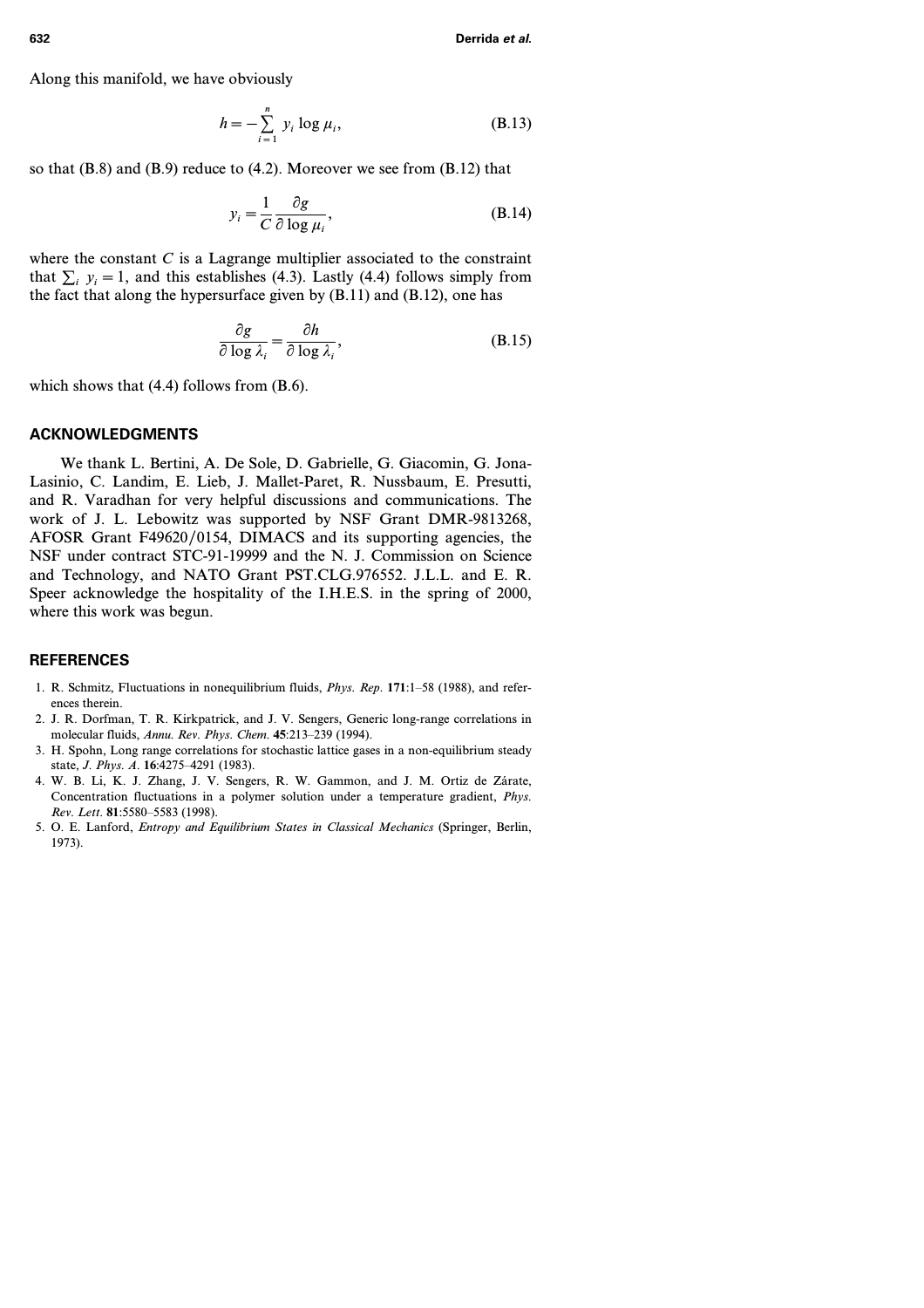Along this manifold, we have obviously

$$
h = -\sum_{i=1}^{n} y_i \log \mu_i,
$$
 (B.13)

so that (B.8) and (B.9) reduce to (4.2). Moreover we see from (B.12) that

$$
y_i = \frac{1}{C} \frac{\partial g}{\partial \log \mu_i},\tag{B.14}
$$

where the constant  $C$  is a Lagrange multiplier associated to the constraint that  $\sum_i y_i = 1$ , and this establishes (4.3). Lastly (4.4) follows simply from the fact that along the hypersurface given by  $(B.11)$  and  $(B.12)$ , one has

$$
\frac{\partial g}{\partial \log \lambda_i} = \frac{\partial h}{\partial \log \lambda_i},
$$
 (B.15)

which shows that  $(4.4)$  follows from  $(B.6)$ .

### **ACKNOWLEDGMENTS**

We thank L. Bertini, A. De Sole, D. Gabrielle, G. Giacomin, G. Jona-Lasinio, C. Landim, E. Lieb, J. Mallet-Paret, R. Nussbaum, E. Presutti, and R. Varadhan for very helpful discussions and communications. The work of J. L. Lebowitz was supported by NSF Grant DMR-9813268, AFOSR Grant F49620/0154, DIMACS and its supporting agencies, the NSF under contract STC-91-19999 and the N. J. Commission on Science and Technology, and NATO Grant PST.CLG.976552. J.L.L. and E. R. Speer acknowledge the hospitality of the I.H.E.S. in the spring of 2000, where this work was begun.

### **REFERENCES**

- 1. R. Schmitz, Fluctuations in nonequilibrium fluids, *Phys. Rep.* **171**:1–58 (1988), and references therein.
- 2. J. R. Dorfman, T. R. Kirkpatrick, and J. V. Sengers, Generic long-range correlations in molecular fluids, *Annu. Rev. Phys. Chem.* **45**:213–239 (1994).
- 3. H. Spohn, Long range correlations for stochastic lattice gases in a non-equilibrium steady state, *J. Phys. A.* **16**:4275–4291 (1983).
- 4. W. B. Li, K. J. Zhang, J. V. Sengers, R. W. Gammon, and J. M. Ortiz de Zárate, Concentration fluctuations in a polymer solution under a temperature gradient, *Phys. Rev. Lett.* **81**:5580–5583 (1998).
- 5. O. E. Lanford, *Entropy and Equilibrium States in Classical Mechanics* (Springer, Berlin, 1973).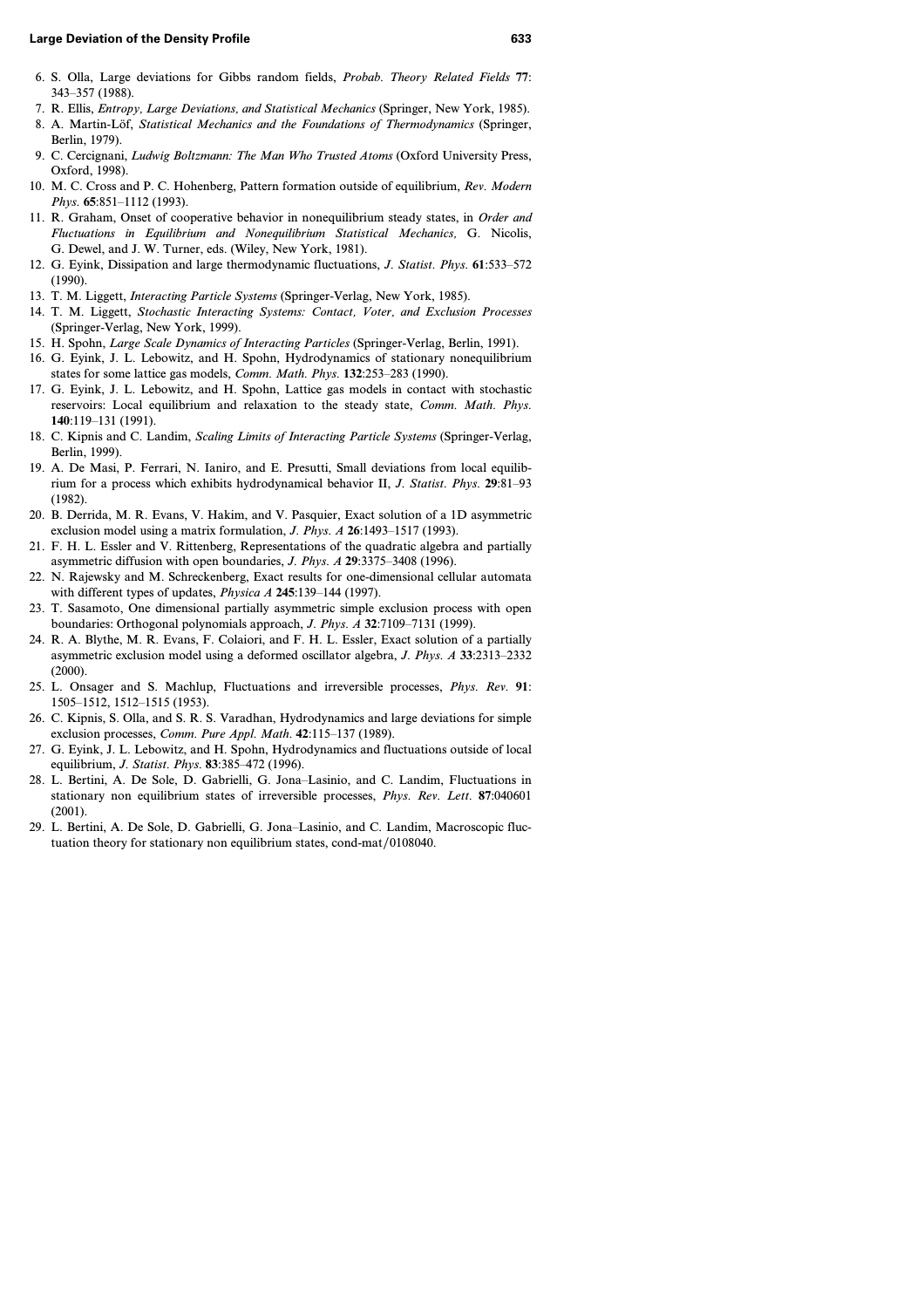- 6. S. Olla, Large deviations for Gibbs random fields, *Probab. Theory Related Fields* **77**: 343–357 (1988).
- 7. R. Ellis, *Entropy, Large Deviations, and Statistical Mechanics* (Springer, New York, 1985).
- 8. A. Martin-Löf, *Statistical Mechanics and the Foundations of Thermodynamics* (Springer, Berlin, 1979).
- 9. C. Cercignani, *Ludwig Boltzmann: The Man Who Trusted Atoms* (Oxford University Press, Oxford, 1998).
- 10. M. C. Cross and P. C. Hohenberg, Pattern formation outside of equilibrium, *Rev. Modern Phys.* **65**:851–1112 (1993).
- 11. R. Graham, Onset of cooperative behavior in nonequilibrium steady states, in *Order and Fluctuations in Equilibrium and Nonequilibrium Statistical Mechanics,* G. Nicolis, G. Dewel, and J. W. Turner, eds. (Wiley, New York, 1981).
- 12. G. Eyink, Dissipation and large thermodynamic fluctuations, *J. Statist. Phys.* **61**:533–572 (1990).
- 13. T. M. Liggett, *Interacting Particle Systems* (Springer-Verlag, New York, 1985).
- 14. T. M. Liggett, *Stochastic Interacting Systems: Contact, Voter, and Exclusion Processes* (Springer-Verlag, New York, 1999).
- 15. H. Spohn, *Large Scale Dynamics of Interacting Particles* (Springer-Verlag, Berlin, 1991).
- 16. G. Eyink, J. L. Lebowitz, and H. Spohn, Hydrodynamics of stationary nonequilibrium states for some lattice gas models, *Comm. Math. Phys.* **132**:253–283 (1990).
- 17. G. Eyink, J. L. Lebowitz, and H. Spohn, Lattice gas models in contact with stochastic reservoirs: Local equilibrium and relaxation to the steady state, *Comm. Math. Phys.* **140**:119–131 (1991).
- 18. C. Kipnis and C. Landim, *Scaling Limits of Interacting Particle Systems* (Springer-Verlag, Berlin, 1999).
- 19. A. De Masi, P. Ferrari, N. Ianiro, and E. Presutti, Small deviations from local equilibrium for a process which exhibits hydrodynamical behavior II, *J. Statist. Phys.* **29**:81–93 (1982).
- 20. B. Derrida, M. R. Evans, V. Hakim, and V. Pasquier, Exact solution of a 1D asymmetric exclusion model using a matrix formulation, *J. Phys. A* **26**:1493–1517 (1993).
- 21. F. H. L. Essler and V. Rittenberg, Representations of the quadratic algebra and partially asymmetric diffusion with open boundaries, *J. Phys. A* **29**:3375–3408 (1996).
- 22. N. Rajewsky and M. Schreckenberg, Exact results for one-dimensional cellular automata with different types of updates, *Physica A* **245**:139–144 (1997).
- 23. T. Sasamoto, One dimensional partially asymmetric simple exclusion process with open boundaries: Orthogonal polynomials approach, *J. Phys. A* **32**:7109–7131 (1999).
- 24. R. A. Blythe, M. R. Evans, F. Colaiori, and F. H. L. Essler, Exact solution of a partially asymmetric exclusion model using a deformed oscillator algebra, *J. Phys. A* **33**:2313–2332 (2000).
- 25. L. Onsager and S. Machlup, Fluctuations and irreversible processes, *Phys. Rev.* **91**: 1505–1512, 1512–1515 (1953).
- 26. C. Kipnis, S. Olla, and S. R. S. Varadhan, Hydrodynamics and large deviations for simple exclusion processes, *Comm. Pure Appl. Math.* **42**:115–137 (1989).
- 27. G. Eyink, J. L. Lebowitz, and H. Spohn, Hydrodynamics and fluctuations outside of local equilibrium, *J. Statist. Phys.* **83**:385–472 (1996).
- 28. L. Bertini, A. De Sole, D. Gabrielli, G. Jona–Lasinio, and C. Landim, Fluctuations in stationary non equilibrium states of irreversible processes, *Phys. Rev. Lett.* **87**:040601 (2001).
- 29. L. Bertini, A. De Sole, D. Gabrielli, G. Jona–Lasinio, and C. Landim, Macroscopic fluctuation theory for stationary non equilibrium states, cond-mat/0108040.